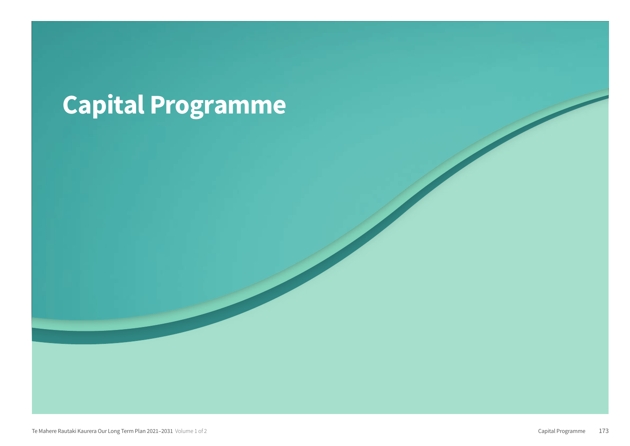# Capital Programme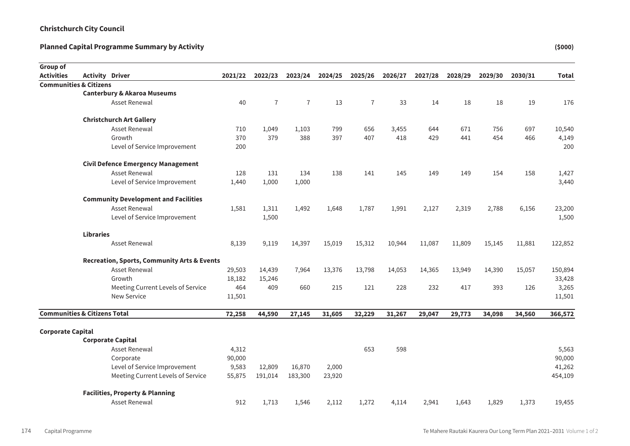| Group of                                |                  |                                                        |         |                |                |         |                |         |         |         |         |         |              |
|-----------------------------------------|------------------|--------------------------------------------------------|---------|----------------|----------------|---------|----------------|---------|---------|---------|---------|---------|--------------|
| <b>Activities</b>                       |                  | <b>Activity Driver</b>                                 | 2021/22 | 2022/23        | 2023/24        | 2024/25 | 2025/26        | 2026/27 | 2027/28 | 2028/29 | 2029/30 | 2030/31 | <b>Total</b> |
| <b>Communities &amp; Citizens</b>       |                  |                                                        |         |                |                |         |                |         |         |         |         |         |              |
|                                         |                  | <b>Canterbury &amp; Akaroa Museums</b>                 |         |                |                |         |                |         |         |         |         |         |              |
|                                         |                  | <b>Asset Renewal</b>                                   | 40      | $\overline{7}$ | $\overline{7}$ | 13      | $\overline{7}$ | 33      | 14      | 18      | 18      | 19      | 176          |
|                                         |                  | <b>Christchurch Art Gallery</b>                        |         |                |                |         |                |         |         |         |         |         |              |
|                                         |                  | <b>Asset Renewal</b>                                   | 710     | 1,049          | 1,103          | 799     | 656            | 3,455   | 644     | 671     | 756     | 697     | 10,540       |
|                                         |                  | Growth                                                 | 370     | 379            | 388            | 397     | 407            | 418     | 429     | 441     | 454     | 466     | 4,149        |
|                                         |                  | Level of Service Improvement                           | 200     |                |                |         |                |         |         |         |         |         | 200          |
|                                         |                  | <b>Civil Defence Emergency Management</b>              |         |                |                |         |                |         |         |         |         |         |              |
|                                         |                  | <b>Asset Renewal</b>                                   | 128     | 131            | 134            | 138     | 141            | 145     | 149     | 149     | 154     | 158     | 1,427        |
|                                         |                  | Level of Service Improvement                           | 1,440   | 1,000          | 1,000          |         |                |         |         |         |         |         | 3,440        |
|                                         |                  | <b>Community Development and Facilities</b>            |         |                |                |         |                |         |         |         |         |         |              |
|                                         |                  | <b>Asset Renewal</b>                                   | 1,581   | 1,311          | 1,492          | 1,648   | 1,787          | 1,991   | 2,127   | 2,319   | 2,788   | 6,156   | 23,200       |
|                                         |                  | Level of Service Improvement                           |         | 1,500          |                |         |                |         |         |         |         |         | 1,500        |
|                                         | <b>Libraries</b> |                                                        |         |                |                |         |                |         |         |         |         |         |              |
|                                         |                  | <b>Asset Renewal</b>                                   | 8,139   | 9,119          | 14,397         | 15,019  | 15,312         | 10,944  | 11,087  | 11,809  | 15,145  | 11,881  | 122,852      |
|                                         |                  | <b>Recreation, Sports, Community Arts &amp; Events</b> |         |                |                |         |                |         |         |         |         |         |              |
|                                         |                  | <b>Asset Renewal</b>                                   | 29,503  | 14,439         | 7,964          | 13,376  | 13,798         | 14,053  | 14,365  | 13,949  | 14,390  | 15,057  | 150,894      |
|                                         |                  | Growth                                                 | 18,182  | 15,246         |                |         |                |         |         |         |         |         | 33,428       |
|                                         |                  | Meeting Current Levels of Service                      | 464     | 409            | 660            | 215     | 121            | 228     | 232     | 417     | 393     | 126     | 3,265        |
|                                         |                  | <b>New Service</b>                                     | 11,501  |                |                |         |                |         |         |         |         |         | 11,501       |
| <b>Communities &amp; Citizens Total</b> |                  |                                                        | 72,258  | 44,590         | 27,145         | 31,605  | 32,229         | 31,267  | 29,047  | 29,773  | 34,098  | 34,560  | 366,572      |
| <b>Corporate Capital</b>                |                  |                                                        |         |                |                |         |                |         |         |         |         |         |              |
|                                         |                  | <b>Corporate Capital</b>                               |         |                |                |         |                |         |         |         |         |         |              |
|                                         |                  | Asset Renewal                                          | 4,312   |                |                |         | 653            | 598     |         |         |         |         | 5,563        |
|                                         |                  | Corporate                                              | 90,000  |                |                |         |                |         |         |         |         |         | 90,000       |
|                                         |                  | Level of Service Improvement                           | 9,583   | 12,809         | 16,870         | 2,000   |                |         |         |         |         |         | 41,262       |
|                                         |                  | Meeting Current Levels of Service                      | 55,875  | 191,014        | 183,300        | 23,920  |                |         |         |         |         |         | 454,109      |
|                                         |                  | <b>Facilities, Property &amp; Planning</b>             |         |                |                |         |                |         |         |         |         |         |              |
|                                         |                  | <b>Asset Renewal</b>                                   | 912     | 1,713          | 1,546          | 2,112   | 1,272          | 4.114   | 2,941   | 1,643   | 1,829   | 1,373   | 19,455       |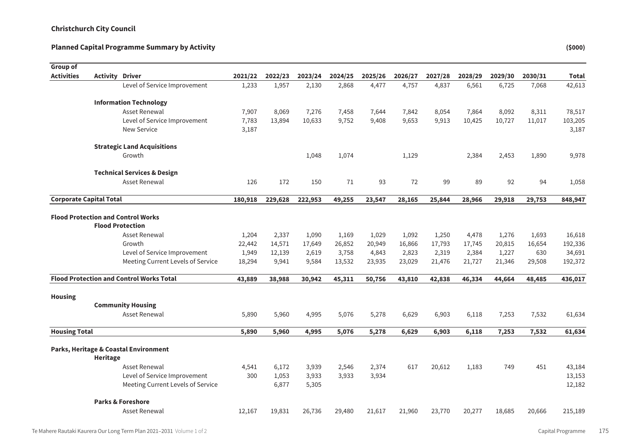| Group of                       |                        |                                                 |         |         |         |         |         |         |         |         |         |         |              |
|--------------------------------|------------------------|-------------------------------------------------|---------|---------|---------|---------|---------|---------|---------|---------|---------|---------|--------------|
| <b>Activities</b>              | <b>Activity Driver</b> |                                                 | 2021/22 | 2022/23 | 2023/24 | 2024/25 | 2025/26 | 2026/27 | 2027/28 | 2028/29 | 2029/30 | 2030/31 | <b>Total</b> |
|                                |                        | Level of Service Improvement                    | 1,233   | 1,957   | 2,130   | 2,868   | 4,477   | 4,757   | 4,837   | 6,561   | 6,725   | 7,068   | 42,613       |
|                                |                        | <b>Information Technology</b>                   |         |         |         |         |         |         |         |         |         |         |              |
|                                |                        | Asset Renewal                                   | 7,907   | 8,069   | 7,276   | 7,458   | 7,644   | 7,842   | 8,054   | 7,864   | 8,092   | 8,311   | 78,517       |
|                                |                        | Level of Service Improvement                    | 7,783   | 13,894  | 10,633  | 9,752   | 9,408   | 9,653   | 9,913   | 10,425  | 10,727  | 11,017  | 103,205      |
|                                |                        | <b>New Service</b>                              | 3,187   |         |         |         |         |         |         |         |         |         | 3,187        |
|                                |                        | <b>Strategic Land Acquisitions</b>              |         |         |         |         |         |         |         |         |         |         |              |
|                                |                        | Growth                                          |         |         | 1,048   | 1,074   |         | 1,129   |         | 2,384   | 2,453   | 1,890   | 9,978        |
|                                |                        | <b>Technical Services &amp; Design</b>          |         |         |         |         |         |         |         |         |         |         |              |
|                                |                        | <b>Asset Renewal</b>                            | 126     | 172     | 150     | 71      | 93      | 72      | 99      | 89      | 92      | 94      | 1,058        |
| <b>Corporate Capital Total</b> |                        |                                                 | 180,918 | 229,628 | 222,953 | 49,255  | 23,547  | 28,165  | 25,844  | 28,966  | 29,918  | 29,753  | 848,947      |
|                                |                        | <b>Flood Protection and Control Works</b>       |         |         |         |         |         |         |         |         |         |         |              |
|                                |                        | <b>Flood Protection</b>                         |         |         |         |         |         |         |         |         |         |         |              |
|                                |                        | <b>Asset Renewal</b>                            | 1,204   | 2,337   | 1,090   | 1,169   | 1,029   | 1,092   | 1,250   | 4,478   | 1,276   | 1,693   | 16,618       |
|                                |                        | Growth                                          | 22,442  | 14,571  | 17,649  | 26,852  | 20,949  | 16,866  | 17,793  | 17,745  | 20,815  | 16,654  | 192,336      |
|                                |                        | Level of Service Improvement                    | 1,949   | 12,139  | 2,619   | 3,758   | 4,843   | 2,823   | 2,319   | 2,384   | 1,227   | 630     | 34,691       |
|                                |                        | Meeting Current Levels of Service               | 18,294  | 9,941   | 9,584   | 13,532  | 23,935  | 23,029  | 21,476  | 21,727  | 21,346  | 29,508  | 192,372      |
|                                |                        | <b>Flood Protection and Control Works Total</b> | 43,889  | 38,988  | 30,942  | 45,311  | 50,756  | 43,810  | 42,838  | 46,334  | 44,664  | 48,485  | 436,017      |
| <b>Housing</b>                 |                        |                                                 |         |         |         |         |         |         |         |         |         |         |              |
|                                |                        | <b>Community Housing</b>                        |         |         |         |         |         |         |         |         |         |         |              |
|                                |                        | Asset Renewal                                   | 5,890   | 5,960   | 4,995   | 5,076   | 5,278   | 6,629   | 6,903   | 6,118   | 7,253   | 7,532   | 61,634       |
| <b>Housing Total</b>           |                        |                                                 | 5,890   | 5,960   | 4,995   | 5,076   | 5,278   | 6,629   | 6,903   | 6,118   | 7,253   | 7,532   | 61,634       |
|                                |                        | Parks, Heritage & Coastal Environment           |         |         |         |         |         |         |         |         |         |         |              |
|                                | Heritage               |                                                 |         |         |         |         |         |         |         |         |         |         |              |
|                                |                        | Asset Renewal                                   | 4,541   | 6,172   | 3,939   | 2,546   | 2,374   | 617     | 20,612  | 1,183   | 749     | 451     | 43,184       |
|                                |                        | Level of Service Improvement                    | 300     | 1,053   | 3,933   | 3,933   | 3,934   |         |         |         |         |         | 13,153       |
|                                |                        | Meeting Current Levels of Service               |         | 6,877   | 5,305   |         |         |         |         |         |         |         | 12,182       |
|                                |                        | <b>Parks &amp; Foreshore</b>                    |         |         |         |         |         |         |         |         |         |         |              |
|                                |                        | Asset Renewal                                   | 12.167  | 19.831  | 26,736  | 29,480  | 21.617  | 21.960  | 23,770  | 20,277  | 18,685  | 20,666  | 215,189      |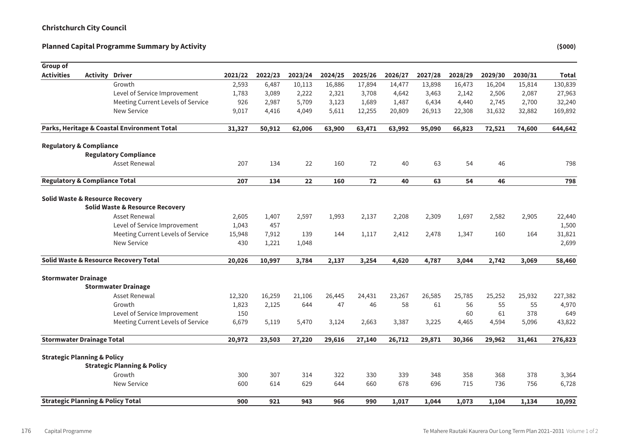| Group of                                     |          |                                                  |         |         |         |         |         |         |         |         |         |         |              |
|----------------------------------------------|----------|--------------------------------------------------|---------|---------|---------|---------|---------|---------|---------|---------|---------|---------|--------------|
| <b>Activities</b>                            | Activity | <b>Driver</b>                                    | 2021/22 | 2022/23 | 2023/24 | 2024/25 | 2025/26 | 2026/27 | 2027/28 | 2028/29 | 2029/30 | 2030/31 | <b>Total</b> |
|                                              |          | Growth                                           | 2,593   | 6,487   | 10,113  | 16,886  | 17,894  | 14,477  | 13,898  | 16,473  | 16,204  | 15,814  | 130,839      |
|                                              |          | Level of Service Improvement                     | 1,783   | 3,089   | 2,222   | 2,321   | 3,708   | 4,642   | 3,463   | 2,142   | 2,506   | 2,087   | 27,963       |
|                                              |          | Meeting Current Levels of Service                | 926     | 2,987   | 5,709   | 3,123   | 1,689   | 1,487   | 6,434   | 4,440   | 2,745   | 2,700   | 32,240       |
|                                              |          | <b>New Service</b>                               | 9,017   | 4,416   | 4,049   | 5,611   | 12,255  | 20,809  | 26,913  | 22,308  | 31,632  | 32,882  | 169,892      |
|                                              |          | Parks, Heritage & Coastal Environment Total      | 31,327  | 50,912  | 62,006  | 63,900  | 63,471  | 63,992  | 95,090  | 66,823  | 72,521  | 74,600  | 644,642      |
| <b>Regulatory &amp; Compliance</b>           |          |                                                  |         |         |         |         |         |         |         |         |         |         |              |
|                                              |          | <b>Regulatory Compliance</b>                     |         |         |         |         |         |         |         |         |         |         |              |
|                                              |          | Asset Renewal                                    | 207     | 134     | 22      | 160     | 72      | 40      | 63      | 54      | 46      |         | 798          |
| <b>Regulatory &amp; Compliance Total</b>     |          |                                                  | 207     | 134     | 22      | 160     | 72      | 40      | 63      | 54      | 46      |         | 798          |
| <b>Solid Waste &amp; Resource Recovery</b>   |          |                                                  |         |         |         |         |         |         |         |         |         |         |              |
|                                              |          | <b>Solid Waste &amp; Resource Recovery</b>       |         |         |         |         |         |         |         |         |         |         |              |
|                                              |          | Asset Renewal                                    | 2,605   | 1,407   | 2,597   | 1,993   | 2,137   | 2,208   | 2,309   | 1,697   | 2,582   | 2,905   | 22,440       |
|                                              |          | Level of Service Improvement                     | 1,043   | 457     |         |         |         |         |         |         |         |         | 1,500        |
|                                              |          | Meeting Current Levels of Service                | 15,948  | 7,912   | 139     | 144     | 1,117   | 2,412   | 2,478   | 1,347   | 160     | 164     | 31,821       |
|                                              |          | <b>New Service</b>                               | 430     | 1,221   | 1,048   |         |         |         |         |         |         |         | 2,699        |
|                                              |          | <b>Solid Waste &amp; Resource Recovery Total</b> | 20,026  | 10,997  | 3,784   | 2,137   | 3,254   | 4,620   | 4,787   | 3,044   | 2,742   | 3,069   | 58,460       |
| <b>Stormwater Drainage</b>                   |          |                                                  |         |         |         |         |         |         |         |         |         |         |              |
|                                              |          | <b>Stormwater Drainage</b>                       |         |         |         |         |         |         |         |         |         |         |              |
|                                              |          | Asset Renewal                                    | 12,320  | 16,259  | 21,106  | 26,445  | 24,431  | 23,267  | 26,585  | 25,785  | 25,252  | 25,932  | 227,382      |
|                                              |          | Growth                                           | 1,823   | 2,125   | 644     | 47      | 46      | 58      | 61      | 56      | 55      | 55      | 4,970        |
|                                              |          | Level of Service Improvement                     | 150     |         |         |         |         |         |         | 60      | 61      | 378     | 649          |
|                                              |          | Meeting Current Levels of Service                | 6,679   | 5,119   | 5,470   | 3,124   | 2,663   | 3,387   | 3,225   | 4,465   | 4,594   | 5,096   | 43,822       |
| <b>Stormwater Drainage Total</b>             |          |                                                  | 20,972  | 23,503  | 27,220  | 29,616  | 27,140  | 26,712  | 29,871  | 30,366  | 29,962  | 31,461  | 276,823      |
| <b>Strategic Planning &amp; Policy</b>       |          |                                                  |         |         |         |         |         |         |         |         |         |         |              |
|                                              |          | <b>Strategic Planning &amp; Policy</b>           |         |         |         |         |         |         |         |         |         |         |              |
|                                              |          | Growth                                           | 300     | 307     | 314     | 322     | 330     | 339     | 348     | 358     | 368     | 378     | 3,364        |
|                                              |          | New Service                                      | 600     | 614     | 629     | 644     | 660     | 678     | 696     | 715     | 736     | 756     | 6,728        |
| <b>Strategic Planning &amp; Policy Total</b> |          |                                                  | 900     | 921     | 943     | 966     | 990     | 1.017   | 1.044   | 1.073   | 1.104   | 1.134   | 10,092       |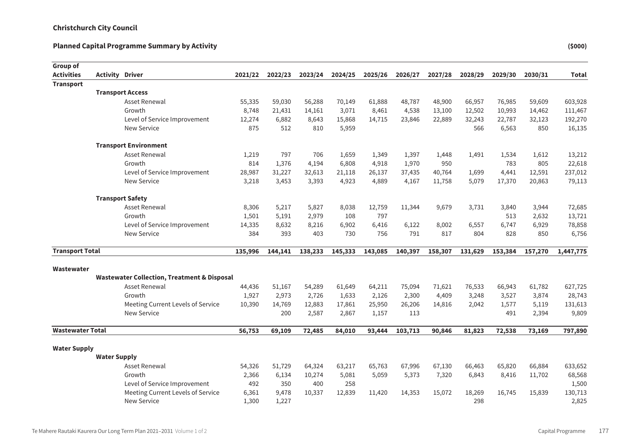| Group of                |                        |                                                        |         |         |         |         |         |         |                 |                |         |         |              |
|-------------------------|------------------------|--------------------------------------------------------|---------|---------|---------|---------|---------|---------|-----------------|----------------|---------|---------|--------------|
| <b>Activities</b>       | <b>Activity Driver</b> |                                                        | 2021/22 | 2022/23 | 2023/24 | 2024/25 | 2025/26 | 2026/27 | 2027/28         | 2028/29        | 2029/30 | 2030/31 | <b>Total</b> |
| <b>Transport</b>        |                        |                                                        |         |         |         |         |         |         |                 |                |         |         |              |
|                         |                        | <b>Transport Access</b>                                |         |         |         |         |         |         |                 |                |         |         |              |
|                         |                        | Asset Renewal                                          | 55,335  | 59,030  | 56,288  | 70,149  | 61,888  | 48,787  | 48,900          | 66,957         | 76,985  | 59,609  | 603,928      |
|                         |                        | Growth                                                 | 8,748   | 21,431  | 14,161  | 3,071   | 8,461   | 4,538   | 13,100          | 12,502         | 10,993  | 14,462  | 111,467      |
|                         |                        | Level of Service Improvement                           | 12,274  | 6,882   | 8,643   | 15,868  | 14,715  | 23,846  | 22,889          | 32,243         | 22,787  | 32,123  | 192,270      |
|                         |                        | New Service                                            | 875     | 512     | 810     | 5,959   |         |         |                 | 566            | 6,563   | 850     | 16,135       |
|                         |                        | <b>Transport Environment</b>                           |         |         |         |         |         |         |                 |                |         |         |              |
|                         |                        | <b>Asset Renewal</b>                                   | 1,219   | 797     | 706     | 1,659   | 1,349   | 1,397   | 1,448           | 1,491          | 1,534   | 1,612   | 13,212       |
|                         |                        | Growth                                                 | 814     | 1,376   | 4,194   | 6,808   | 4,918   | 1,970   | 950             |                | 783     | 805     | 22,618       |
|                         |                        | Level of Service Improvement                           | 28,987  | 31,227  | 32,613  | 21,118  | 26,137  | 37,435  | 40,764          | 1,699          | 4,441   | 12,591  | 237,012      |
|                         |                        | <b>New Service</b>                                     | 3,218   | 3,453   | 3,393   | 4,923   | 4,889   | 4,167   | 11,758          | 5,079          | 17,370  | 20,863  | 79,113       |
|                         |                        | <b>Transport Safety</b>                                |         |         |         |         |         |         |                 |                |         |         |              |
|                         |                        | Asset Renewal                                          | 8,306   | 5,217   | 5,827   | 8,038   | 12,759  | 11,344  | 9,679           | 3,731          | 3,840   | 3,944   | 72,685       |
|                         |                        | Growth                                                 | 1,501   | 5,191   | 2,979   | 108     | 797     |         |                 |                | 513     | 2,632   | 13,721       |
|                         |                        | Level of Service Improvement                           | 14,335  | 8,632   | 8,216   | 6,902   | 6,416   | 6,122   | 8,002           | 6,557          | 6,747   | 6,929   | 78,858       |
|                         |                        | <b>New Service</b>                                     | 384     | 393     | 403     | 730     | 756     | 791     | 817             | 804            | 828     | 850     | 6,756        |
| <b>Transport Total</b>  |                        |                                                        | 135,996 | 144,141 | 138,233 | 145,333 | 143,085 | 140,397 | 158,307         | 131,629        | 153,384 | 157,270 | 1,447,775    |
|                         |                        |                                                        |         |         |         |         |         |         |                 |                |         |         |              |
| Wastewater              |                        | <b>Wastewater Collection, Treatment &amp; Disposal</b> |         |         |         |         |         |         |                 |                |         |         |              |
|                         |                        | <b>Asset Renewal</b>                                   | 44,436  | 51,167  | 54,289  | 61,649  | 64,211  | 75,094  | 71,621          | 76,533         | 66,943  | 61,782  | 627,725      |
|                         |                        | Growth                                                 | 1,927   | 2,973   | 2,726   | 1,633   | 2,126   | 2,300   |                 |                | 3,527   | 3,874   | 28,743       |
|                         |                        | Meeting Current Levels of Service                      | 10,390  | 14,769  | 12,883  | 17,861  | 25,950  | 26,206  | 4,409<br>14,816 | 3,248<br>2,042 | 1,577   | 5,119   | 131,613      |
|                         |                        | <b>New Service</b>                                     |         | 200     |         | 2,867   |         | 113     |                 |                | 491     | 2,394   | 9,809        |
|                         |                        |                                                        |         |         | 2,587   |         | 1,157   |         |                 |                |         |         |              |
| <b>Wastewater Total</b> |                        |                                                        | 56,753  | 69,109  | 72,485  | 84,010  | 93,444  | 103,713 | 90,846          | 81,823         | 72,538  | 73,169  | 797,890      |
| <b>Water Supply</b>     |                        |                                                        |         |         |         |         |         |         |                 |                |         |         |              |
|                         | <b>Water Supply</b>    |                                                        |         |         |         |         |         |         |                 |                |         |         |              |
|                         |                        | <b>Asset Renewal</b>                                   | 54,326  | 51,729  | 64,324  | 63,217  | 65,763  | 67,996  | 67,130          | 66,463         | 65,820  | 66,884  | 633,652      |
|                         |                        | Growth                                                 | 2,366   | 6,134   | 10,274  | 5,081   | 5,059   | 5,373   | 7,320           | 6,843          | 8,416   | 11,702  | 68,568       |
|                         |                        | Level of Service Improvement                           | 492     | 350     | 400     | 258     |         |         |                 |                |         |         | 1,500        |
|                         |                        | Meeting Current Levels of Service                      | 6,361   | 9,478   | 10,337  | 12,839  | 11,420  | 14,353  | 15,072          | 18,269         | 16,745  | 15,839  | 130,713      |
|                         |                        | <b>New Service</b>                                     | 1,300   | 1.227   |         |         |         |         |                 | 298            |         |         | 2,825        |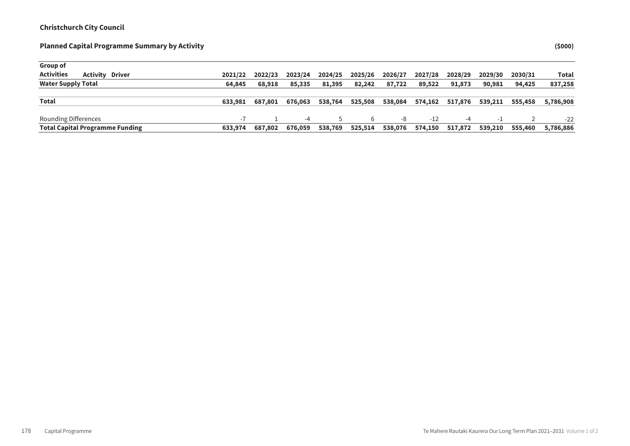Sum of Rounded

| Group of                                    |         |         |         |         |         |         |         |         |         |         |           |
|---------------------------------------------|---------|---------|---------|---------|---------|---------|---------|---------|---------|---------|-----------|
| <b>Activities</b><br><b>Activity Driver</b> | 2021/22 | 2022/23 | 2023/24 | 2024/25 | 2025/26 | 2026/27 | 2027/28 | 2028/29 | 2029/30 | 2030/31 | Total     |
| <b>Water Supply Total</b>                   | 64,845  | 68,918  | 85,335  | 81,395  | 82.242  | 87.722  | 89.522  | 91,873  | 90,981  | 94,425  | 837,258   |
| Total                                       | 633,981 | 687.801 | 676,063 | 538,764 | 525,508 | 538,084 | 574,162 | 517,876 | 539,211 | 555,458 | 5,786,908 |
| Rounding Differences                        |         |         | $-4$    | ь.      | 6       | -8      | $-12$   | -4      | - 1     |         | $-22$     |
| <b>Total Capital Programme Funding</b>      | 633,974 | 687.802 | 676,059 | 538,769 | 525,514 | 538,076 | 574,150 | 517,872 | 539,210 | 555,460 | 5,786,886 |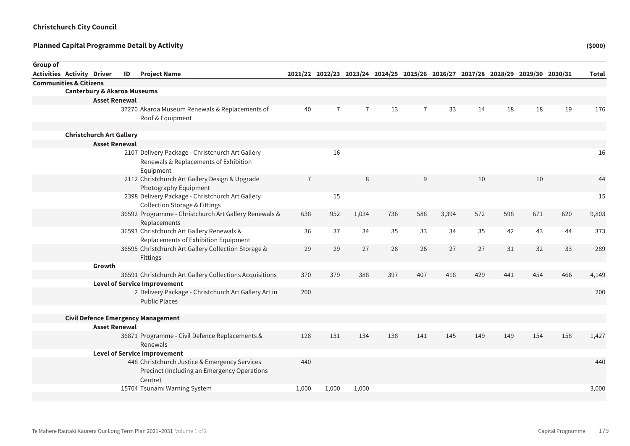| Group of |                                        |                      |    |                                                                                                |                |                |                |     |                |       |     |     |                                                                                 |     |              |
|----------|----------------------------------------|----------------------|----|------------------------------------------------------------------------------------------------|----------------|----------------|----------------|-----|----------------|-------|-----|-----|---------------------------------------------------------------------------------|-----|--------------|
|          | <b>Activities Activity Driver</b>      |                      | ID | <b>Project Name</b>                                                                            |                |                |                |     |                |       |     |     | 2021/22 2022/23 2023/24 2024/25 2025/26 2026/27 2027/28 2028/29 2029/30 2030/31 |     | <b>Total</b> |
|          | <b>Communities &amp; Citizens</b>      |                      |    |                                                                                                |                |                |                |     |                |       |     |     |                                                                                 |     |              |
|          | <b>Canterbury &amp; Akaroa Museums</b> |                      |    |                                                                                                |                |                |                |     |                |       |     |     |                                                                                 |     |              |
|          |                                        | <b>Asset Renewal</b> |    |                                                                                                |                |                |                |     |                |       |     |     |                                                                                 |     |              |
|          |                                        |                      |    | 37270 Akaroa Museum Renewals & Replacements of                                                 | 40             | $\overline{7}$ | $\overline{7}$ | 13  | $\overline{7}$ | 33    | 14  | 18  | 18                                                                              | 19  | 176          |
|          |                                        |                      |    | Roof & Equipment                                                                               |                |                |                |     |                |       |     |     |                                                                                 |     |              |
|          |                                        |                      |    |                                                                                                |                |                |                |     |                |       |     |     |                                                                                 |     |              |
|          | <b>Christchurch Art Gallery</b>        | <b>Asset Renewal</b> |    |                                                                                                |                |                |                |     |                |       |     |     |                                                                                 |     |              |
|          |                                        |                      |    | 2107 Delivery Package - Christchurch Art Gallery                                               |                | 16             |                |     |                |       |     |     |                                                                                 |     |              |
|          |                                        |                      |    | Renewals & Replacements of Exhibition                                                          |                |                |                |     |                |       |     |     |                                                                                 |     | 16           |
|          |                                        |                      |    | Equipment                                                                                      |                |                |                |     |                |       |     |     |                                                                                 |     |              |
|          |                                        |                      |    | 2112 Christchurch Art Gallery Design & Upgrade                                                 | $\overline{7}$ |                | 8              |     | 9              |       | 10  |     | 10                                                                              |     | 44           |
|          |                                        |                      |    | Photography Equipment                                                                          |                |                |                |     |                |       |     |     |                                                                                 |     |              |
|          |                                        |                      |    | 2398 Delivery Package - Christchurch Art Gallery                                               |                | 15             |                |     |                |       |     |     |                                                                                 |     | 15           |
|          |                                        |                      |    | <b>Collection Storage &amp; Fittings</b>                                                       |                |                |                |     |                |       |     |     |                                                                                 |     |              |
|          |                                        |                      |    | 36592 Programme - Christchurch Art Gallery Renewals &                                          | 638            | 952            | 1,034          | 736 | 588            | 3,394 | 572 | 598 | 671                                                                             | 620 | 9,803        |
|          |                                        |                      |    | Replacements                                                                                   |                |                |                |     |                |       |     |     |                                                                                 |     |              |
|          |                                        |                      |    | 36593 Christchurch Art Gallery Renewals &                                                      | 36             | 37             | 34             | 35  | 33             | 34    | 35  | 42  | 43                                                                              | 44  | 373          |
|          |                                        |                      |    | Replacements of Exhibition Equipment                                                           |                |                |                |     |                |       |     |     |                                                                                 |     |              |
|          |                                        |                      |    | 36595 Christchurch Art Gallery Collection Storage &                                            | 29             | 29             | 27             | 28  | 26             | 27    | 27  | 31  | 32                                                                              | 33  | 289          |
|          |                                        |                      |    | Fittings                                                                                       |                |                |                |     |                |       |     |     |                                                                                 |     |              |
|          |                                        | Growth               |    |                                                                                                | 370            |                |                |     | 407            | 418   | 429 | 441 | 454                                                                             |     |              |
|          |                                        |                      |    | 36591 Christchurch Art Gallery Collections Acquisitions<br><b>Level of Service Improvement</b> |                | 379            | 388            | 397 |                |       |     |     |                                                                                 | 466 | 4,149        |
|          |                                        |                      |    | 2 Delivery Package - Christchurch Art Gallery Art in                                           | 200            |                |                |     |                |       |     |     |                                                                                 |     | 200          |
|          |                                        |                      |    | <b>Public Places</b>                                                                           |                |                |                |     |                |       |     |     |                                                                                 |     |              |
|          |                                        |                      |    |                                                                                                |                |                |                |     |                |       |     |     |                                                                                 |     |              |
|          |                                        |                      |    | <b>Civil Defence Emergency Management</b>                                                      |                |                |                |     |                |       |     |     |                                                                                 |     |              |
|          |                                        | <b>Asset Renewal</b> |    |                                                                                                |                |                |                |     |                |       |     |     |                                                                                 |     |              |
|          |                                        |                      |    | 36871 Programme - Civil Defence Replacements &                                                 | 128            | 131            | 134            | 138 | 141            | 145   | 149 | 149 | 154                                                                             | 158 | 1,427        |
|          |                                        |                      |    | Renewals                                                                                       |                |                |                |     |                |       |     |     |                                                                                 |     |              |
|          |                                        |                      |    | <b>Level of Service Improvement</b>                                                            |                |                |                |     |                |       |     |     |                                                                                 |     |              |
|          |                                        |                      |    | 448 Christchurch Justice & Emergency Services                                                  | 440            |                |                |     |                |       |     |     |                                                                                 |     | 440          |
|          |                                        |                      |    | Precinct (Including an Emergency Operations                                                    |                |                |                |     |                |       |     |     |                                                                                 |     |              |
|          |                                        |                      |    | Centre)                                                                                        |                |                |                |     |                |       |     |     |                                                                                 |     |              |
|          |                                        |                      |    | 15704 Tsunami Warning System                                                                   | 1,000          | 1,000          | 1,000          |     |                |       |     |     |                                                                                 |     | 3,000        |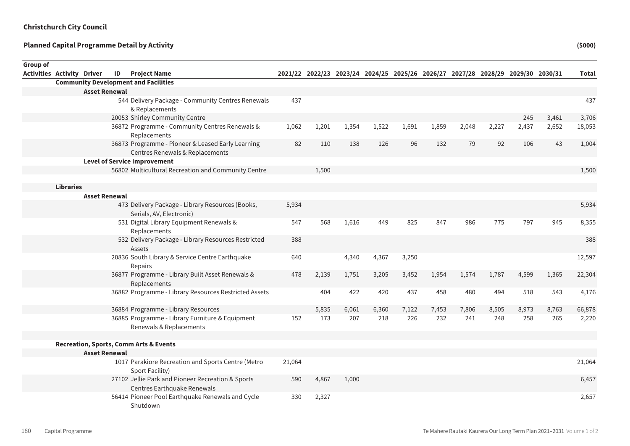| Group of                          |                  |                      |    |                                                                                      |        |       |       |       |                                                                                 |       |       |       |       |       |        |
|-----------------------------------|------------------|----------------------|----|--------------------------------------------------------------------------------------|--------|-------|-------|-------|---------------------------------------------------------------------------------|-------|-------|-------|-------|-------|--------|
| <b>Activities Activity Driver</b> |                  |                      | ID | <b>Project Name</b>                                                                  |        |       |       |       | 2021/22 2022/23 2023/24 2024/25 2025/26 2026/27 2027/28 2028/29 2029/30 2030/31 |       |       |       |       |       | Total  |
|                                   |                  |                      |    | <b>Community Development and Facilities</b>                                          |        |       |       |       |                                                                                 |       |       |       |       |       |        |
|                                   |                  | <b>Asset Renewal</b> |    |                                                                                      |        |       |       |       |                                                                                 |       |       |       |       |       |        |
|                                   |                  |                      |    | 544 Delivery Package - Community Centres Renewals<br>& Replacements                  | 437    |       |       |       |                                                                                 |       |       |       |       |       | 437    |
|                                   |                  |                      |    | 20053 Shirley Community Centre                                                       |        |       |       |       |                                                                                 |       |       |       | 245   | 3,461 | 3,706  |
|                                   |                  |                      |    | 36872 Programme - Community Centres Renewals &<br>Replacements                       | 1,062  | 1,201 | 1,354 | 1,522 | 1,691                                                                           | 1,859 | 2,048 | 2,227 | 2,437 | 2,652 | 18,053 |
|                                   |                  |                      |    | 36873 Programme - Pioneer & Leased Early Learning<br>Centres Renewals & Replacements | 82     | 110   | 138   | 126   | 96                                                                              | 132   | 79    | 92    | 106   | 43    | 1,004  |
|                                   |                  |                      |    | <b>Level of Service Improvement</b>                                                  |        |       |       |       |                                                                                 |       |       |       |       |       |        |
|                                   |                  |                      |    | 56802 Multicultural Recreation and Community Centre                                  |        | 1,500 |       |       |                                                                                 |       |       |       |       |       | 1,500  |
|                                   | <b>Libraries</b> |                      |    |                                                                                      |        |       |       |       |                                                                                 |       |       |       |       |       |        |
|                                   |                  | <b>Asset Renewal</b> |    |                                                                                      |        |       |       |       |                                                                                 |       |       |       |       |       |        |
|                                   |                  |                      |    | 473 Delivery Package - Library Resources (Books,<br>Serials, AV, Electronic)         | 5,934  |       |       |       |                                                                                 |       |       |       |       |       | 5,934  |
|                                   |                  |                      |    | 531 Digital Library Equipment Renewals &<br>Replacements                             | 547    | 568   | 1,616 | 449   | 825                                                                             | 847   | 986   | 775   | 797   | 945   | 8,355  |
|                                   |                  |                      |    | 532 Delivery Package - Library Resources Restricted<br>Assets                        | 388    |       |       |       |                                                                                 |       |       |       |       |       | 388    |
|                                   |                  |                      |    | 20836 South Library & Service Centre Earthquake<br>Repairs                           | 640    |       | 4,340 | 4,367 | 3,250                                                                           |       |       |       |       |       | 12,597 |
|                                   |                  |                      |    | 36877 Programme - Library Built Asset Renewals &<br>Replacements                     | 478    | 2,139 | 1,751 | 3,205 | 3,452                                                                           | 1,954 | 1,574 | 1,787 | 4,599 | 1,365 | 22,304 |
|                                   |                  |                      |    | 36882 Programme - Library Resources Restricted Assets                                |        | 404   | 422   | 420   | 437                                                                             | 458   | 480   | 494   | 518   | 543   | 4,176  |
|                                   |                  |                      |    | 36884 Programme - Library Resources                                                  |        | 5,835 | 6,061 | 6,360 | 7,122                                                                           | 7,453 | 7,806 | 8,505 | 8,973 | 8,763 | 66,878 |
|                                   |                  |                      |    | 36885 Programme - Library Furniture & Equipment<br>Renewals & Replacements           | 152    | 173   | 207   | 218   | 226                                                                             | 232   | 241   | 248   | 258   | 265   | 2,220  |
|                                   |                  |                      |    |                                                                                      |        |       |       |       |                                                                                 |       |       |       |       |       |        |
|                                   |                  |                      |    | <b>Recreation, Sports, Comm Arts &amp; Events</b>                                    |        |       |       |       |                                                                                 |       |       |       |       |       |        |
|                                   |                  | <b>Asset Renewal</b> |    |                                                                                      |        |       |       |       |                                                                                 |       |       |       |       |       |        |
|                                   |                  |                      |    | 1017 Parakiore Recreation and Sports Centre (Metro<br>Sport Facility)                | 21,064 |       |       |       |                                                                                 |       |       |       |       |       | 21,064 |
|                                   |                  |                      |    | 27102 Jellie Park and Pioneer Recreation & Sports<br>Centres Earthquake Renewals     | 590    | 4,867 | 1,000 |       |                                                                                 |       |       |       |       |       | 6,457  |
|                                   |                  |                      |    | 56414 Pioneer Pool Earthquake Renewals and Cycle<br>Shutdown                         | 330    | 2,327 |       |       |                                                                                 |       |       |       |       |       | 2,657  |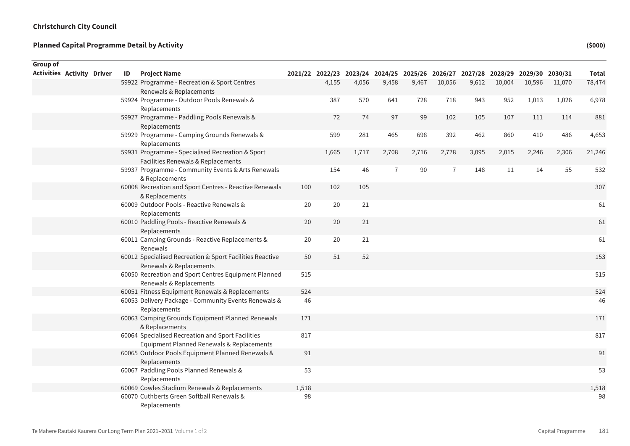Sum of Rounded

| Group of                   |  |    |                                                                                                |       |       |       |                |                                                                                 |                |       |        |        |        |              |
|----------------------------|--|----|------------------------------------------------------------------------------------------------|-------|-------|-------|----------------|---------------------------------------------------------------------------------|----------------|-------|--------|--------|--------|--------------|
| Activities Activity Driver |  | ID | <b>Project Name</b>                                                                            |       |       |       |                | 2021/22 2022/23 2023/24 2024/25 2025/26 2026/27 2027/28 2028/29 2029/30 2030/31 |                |       |        |        |        | <b>Total</b> |
|                            |  |    | 59922 Programme - Recreation & Sport Centres                                                   |       | 4,155 | 4,056 | 9,458          | 9,467                                                                           | 10,056         | 9,612 | 10,004 | 10,596 | 11,070 | 78,474       |
|                            |  |    | Renewals & Replacements                                                                        |       |       |       |                |                                                                                 |                |       |        |        |        |              |
|                            |  |    | 59924 Programme - Outdoor Pools Renewals &<br>Replacements                                     |       | 387   | 570   | 641            | 728                                                                             | 718            | 943   | 952    | 1,013  | 1,026  | 6,978        |
|                            |  |    | 59927 Programme - Paddling Pools Renewals &<br>Replacements                                    |       | 72    | 74    | 97             | 99                                                                              | 102            | 105   | 107    | 111    | 114    | 881          |
|                            |  |    | 59929 Programme - Camping Grounds Renewals &<br>Replacements                                   |       | 599   | 281   | 465            | 698                                                                             | 392            | 462   | 860    | 410    | 486    | 4,653        |
|                            |  |    | 59931 Programme - Specialised Recreation & Sport<br>Facilities Renewals & Replacements         |       | 1,665 | 1,717 | 2,708          | 2,716                                                                           | 2,778          | 3,095 | 2,015  | 2,246  | 2,306  | 21,246       |
|                            |  |    | 59937 Programme - Community Events & Arts Renewals<br>& Replacements                           |       | 154   | 46    | $\overline{7}$ | 90                                                                              | $\overline{7}$ | 148   | 11     | 14     | 55     | 532          |
|                            |  |    | 60008 Recreation and Sport Centres - Reactive Renewals<br>& Replacements                       | 100   | 102   | 105   |                |                                                                                 |                |       |        |        |        | 307          |
|                            |  |    | 60009 Outdoor Pools - Reactive Renewals &<br>Replacements                                      | 20    | 20    | 21    |                |                                                                                 |                |       |        |        |        | 61           |
|                            |  |    | 60010 Paddling Pools - Reactive Renewals &<br>Replacements                                     | 20    | 20    | 21    |                |                                                                                 |                |       |        |        |        | 61           |
|                            |  |    | 60011 Camping Grounds - Reactive Replacements &<br>Renewals                                    | 20    | 20    | 21    |                |                                                                                 |                |       |        |        |        | 61           |
|                            |  |    | 60012 Specialised Recreation & Sport Facilities Reactive<br>Renewals & Replacements            | 50    | 51    | 52    |                |                                                                                 |                |       |        |        |        | 153          |
|                            |  |    | 60050 Recreation and Sport Centres Equipment Planned<br>Renewals & Replacements                | 515   |       |       |                |                                                                                 |                |       |        |        |        | 515          |
|                            |  |    | 60051 Fitness Equipment Renewals & Replacements                                                | 524   |       |       |                |                                                                                 |                |       |        |        |        | 524          |
|                            |  |    | 60053 Delivery Package - Community Events Renewals &<br>Replacements                           | 46    |       |       |                |                                                                                 |                |       |        |        |        | 46           |
|                            |  |    | 60063 Camping Grounds Equipment Planned Renewals<br>& Replacements                             | 171   |       |       |                |                                                                                 |                |       |        |        |        | 171          |
|                            |  |    | 60064 Specialised Recreation and Sport Facilities<br>Equipment Planned Renewals & Replacements | 817   |       |       |                |                                                                                 |                |       |        |        |        | 817          |
|                            |  |    | 60065 Outdoor Pools Equipment Planned Renewals &<br>Replacements                               | 91    |       |       |                |                                                                                 |                |       |        |        |        | 91           |
|                            |  |    | 60067 Paddling Pools Planned Renewals &<br>Replacements                                        | 53    |       |       |                |                                                                                 |                |       |        |        |        | 53           |
|                            |  |    | 60069 Cowles Stadium Renewals & Replacements                                                   | 1,518 |       |       |                |                                                                                 |                |       |        |        |        | 1,518        |
|                            |  |    | 60070 Cuthberts Green Softball Renewals &<br>Replacements                                      | 98    |       |       |                |                                                                                 |                |       |        |        |        | 98           |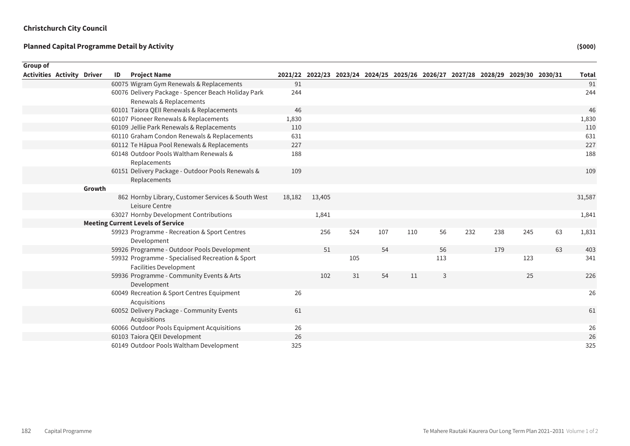| Group of                          |        |    |                                                                                   |        |        |     |     |     |     |     |     |     |                                                                                 |              |
|-----------------------------------|--------|----|-----------------------------------------------------------------------------------|--------|--------|-----|-----|-----|-----|-----|-----|-----|---------------------------------------------------------------------------------|--------------|
| <b>Activities Activity Driver</b> |        | ID | <b>Project Name</b>                                                               |        |        |     |     |     |     |     |     |     | 2021/22 2022/23 2023/24 2024/25 2025/26 2026/27 2027/28 2028/29 2029/30 2030/31 | <b>Total</b> |
|                                   |        |    | 60075 Wigram Gym Renewals & Replacements                                          | 91     |        |     |     |     |     |     |     |     |                                                                                 | 91           |
|                                   |        |    | 60076 Delivery Package - Spencer Beach Holiday Park                               | 244    |        |     |     |     |     |     |     |     |                                                                                 | 244          |
|                                   |        |    | Renewals & Replacements                                                           |        |        |     |     |     |     |     |     |     |                                                                                 |              |
|                                   |        |    | 60101 Taiora QEII Renewals & Replacements                                         | 46     |        |     |     |     |     |     |     |     |                                                                                 | 46           |
|                                   |        |    | 60107 Pioneer Renewals & Replacements                                             | 1,830  |        |     |     |     |     |     |     |     |                                                                                 | 1,830        |
|                                   |        |    | 60109 Jellie Park Renewals & Replacements                                         | 110    |        |     |     |     |     |     |     |     |                                                                                 | 110          |
|                                   |        |    | 60110 Graham Condon Renewals & Replacements                                       | 631    |        |     |     |     |     |     |     |     |                                                                                 | 631          |
|                                   |        |    | 60112 Te Hāpua Pool Renewals & Replacements                                       | 227    |        |     |     |     |     |     |     |     |                                                                                 | 227          |
|                                   |        |    | 60148 Outdoor Pools Waltham Renewals &<br>Replacements                            | 188    |        |     |     |     |     |     |     |     |                                                                                 | 188          |
|                                   |        |    | 60151 Delivery Package - Outdoor Pools Renewals &<br>Replacements                 | 109    |        |     |     |     |     |     |     |     |                                                                                 | 109          |
|                                   | Growth |    |                                                                                   |        |        |     |     |     |     |     |     |     |                                                                                 |              |
|                                   |        |    | 862 Hornby Library, Customer Services & South West<br>Leisure Centre              | 18,182 | 13,405 |     |     |     |     |     |     |     |                                                                                 | 31,587       |
|                                   |        |    | 63027 Hornby Development Contributions                                            |        | 1,841  |     |     |     |     |     |     |     |                                                                                 | 1,841        |
|                                   |        |    | <b>Meeting Current Levels of Service</b>                                          |        |        |     |     |     |     |     |     |     |                                                                                 |              |
|                                   |        |    | 59923 Programme - Recreation & Sport Centres<br>Development                       |        | 256    | 524 | 107 | 110 | 56  | 232 | 238 | 245 | 63                                                                              | 1,831        |
|                                   |        |    | 59926 Programme - Outdoor Pools Development                                       |        | 51     |     | 54  |     | 56  |     | 179 |     | 63                                                                              | 403          |
|                                   |        |    | 59932 Programme - Specialised Recreation & Sport<br><b>Facilities Development</b> |        |        | 105 |     |     | 113 |     |     | 123 |                                                                                 | 341          |
|                                   |        |    | 59936 Programme - Community Events & Arts<br>Development                          |        | 102    | 31  | 54  | 11  | 3   |     |     | 25  |                                                                                 | 226          |
|                                   |        |    | 60049 Recreation & Sport Centres Equipment<br>Acquisitions                        | 26     |        |     |     |     |     |     |     |     |                                                                                 | 26           |
|                                   |        |    | 60052 Delivery Package - Community Events<br>Acquisitions                         | 61     |        |     |     |     |     |     |     |     |                                                                                 | 61           |
|                                   |        |    | 60066 Outdoor Pools Equipment Acquisitions                                        | 26     |        |     |     |     |     |     |     |     |                                                                                 | 26           |
|                                   |        |    | 60103 Taiora QEII Development                                                     | 26     |        |     |     |     |     |     |     |     |                                                                                 | 26           |
|                                   |        |    | 60149 Outdoor Pools Waltham Development                                           | 325    |        |     |     |     |     |     |     |     |                                                                                 | 325          |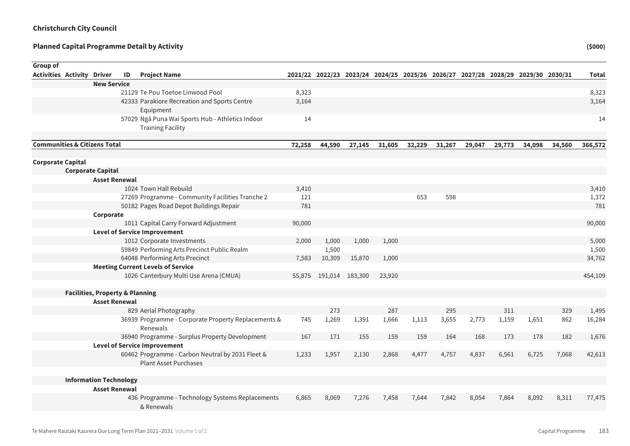| Group of                                |                                            |    |                                                     |        |        |                 |        |                                                                                 |        |        |        |        |        |         |
|-----------------------------------------|--------------------------------------------|----|-----------------------------------------------------|--------|--------|-----------------|--------|---------------------------------------------------------------------------------|--------|--------|--------|--------|--------|---------|
| <b>Activities Activity Driver</b>       |                                            | ID | <b>Project Name</b>                                 |        |        |                 |        | 2021/22 2022/23 2023/24 2024/25 2025/26 2026/27 2027/28 2028/29 2029/30 2030/31 |        |        |        |        |        | Total   |
|                                         | <b>New Service</b>                         |    |                                                     |        |        |                 |        |                                                                                 |        |        |        |        |        |         |
|                                         |                                            |    | 21129 Te Pou Toetoe Linwood Pool                    | 8,323  |        |                 |        |                                                                                 |        |        |        |        |        | 8,323   |
|                                         |                                            |    | 42333 Parakiore Recreation and Sports Centre        | 3,164  |        |                 |        |                                                                                 |        |        |        |        |        | 3,164   |
|                                         |                                            |    | Equipment                                           |        |        |                 |        |                                                                                 |        |        |        |        |        |         |
|                                         |                                            |    | 57029 Ngā Puna Wai Sports Hub - Athletics Indoor    | 14     |        |                 |        |                                                                                 |        |        |        |        |        | 14      |
|                                         |                                            |    | <b>Training Facility</b>                            |        |        |                 |        |                                                                                 |        |        |        |        |        |         |
|                                         |                                            |    |                                                     |        |        |                 |        |                                                                                 |        |        |        |        |        |         |
| <b>Communities &amp; Citizens Total</b> |                                            |    |                                                     | 72,258 | 44,590 | 27,145          | 31,605 | 32,229                                                                          | 31,267 | 29,047 | 29,773 | 34,098 | 34,560 | 366,572 |
| <b>Corporate Capital</b>                |                                            |    |                                                     |        |        |                 |        |                                                                                 |        |        |        |        |        |         |
|                                         | <b>Corporate Capital</b>                   |    |                                                     |        |        |                 |        |                                                                                 |        |        |        |        |        |         |
|                                         | <b>Asset Renewal</b>                       |    |                                                     |        |        |                 |        |                                                                                 |        |        |        |        |        |         |
|                                         |                                            |    | 1024 Town Hall Rebuild                              | 3,410  |        |                 |        |                                                                                 |        |        |        |        |        | 3,410   |
|                                         |                                            |    | 27269 Programme - Community Facilities Tranche 2    | 121    |        |                 |        | 653                                                                             | 598    |        |        |        |        | 1,372   |
|                                         |                                            |    | 50182 Pages Road Depot Buildings Repair             | 781    |        |                 |        |                                                                                 |        |        |        |        |        | 781     |
|                                         | Corporate                                  |    |                                                     |        |        |                 |        |                                                                                 |        |        |        |        |        |         |
|                                         |                                            |    | 1011 Capital Carry Forward Adjustment               | 90,000 |        |                 |        |                                                                                 |        |        |        |        |        | 90,000  |
|                                         |                                            |    | <b>Level of Service Improvement</b>                 |        |        |                 |        |                                                                                 |        |        |        |        |        |         |
|                                         |                                            |    | 1012 Corporate Investments                          | 2,000  | 1,000  | 1,000           | 1,000  |                                                                                 |        |        |        |        |        | 5,000   |
|                                         |                                            |    | 59849 Performing Arts Precinct Public Realm         |        | 1,500  |                 |        |                                                                                 |        |        |        |        |        | 1,500   |
|                                         |                                            |    | 64048 Performing Arts Precinct                      | 7,583  | 10,309 | 15,870          | 1,000  |                                                                                 |        |        |        |        |        | 34,762  |
|                                         |                                            |    | <b>Meeting Current Levels of Service</b>            |        |        |                 |        |                                                                                 |        |        |        |        |        |         |
|                                         |                                            |    | 1026 Canterbury Multi Use Arena (CMUA)              | 55,875 |        | 191,014 183,300 | 23,920 |                                                                                 |        |        |        |        |        | 454,109 |
|                                         | <b>Facilities, Property &amp; Planning</b> |    |                                                     |        |        |                 |        |                                                                                 |        |        |        |        |        |         |
|                                         | <b>Asset Renewal</b>                       |    |                                                     |        |        |                 |        |                                                                                 |        |        |        |        |        |         |
|                                         |                                            |    | 829 Aerial Photography                              |        | 273    |                 | 287    |                                                                                 | 295    |        | 311    |        | 329    | 1,495   |
|                                         |                                            |    | 36939 Programme - Corporate Property Replacements & | 745    | 1,269  | 1,391           | 1,666  | 1,113                                                                           | 3,655  | 2,773  | 1,159  | 1,651  | 862    | 16,284  |
|                                         |                                            |    | Renewals                                            |        |        |                 |        |                                                                                 |        |        |        |        |        |         |
|                                         |                                            |    | 36940 Programme - Surplus Property Development      | 167    | 171    | 155             | 159    | 159                                                                             | 164    | 168    | 173    | 178    | 182    | 1,676   |
|                                         |                                            |    | <b>Level of Service Improvement</b>                 |        |        |                 |        |                                                                                 |        |        |        |        |        |         |
|                                         |                                            |    | 60462 Programme - Carbon Neutral by 2031 Fleet &    | 1,233  | 1,957  | 2,130           | 2,868  | 4,477                                                                           | 4,757  | 4,837  | 6,561  | 6,725  | 7,068  | 42,613  |
|                                         |                                            |    | <b>Plant Asset Purchases</b>                        |        |        |                 |        |                                                                                 |        |        |        |        |        |         |
|                                         | <b>Information Technology</b>              |    |                                                     |        |        |                 |        |                                                                                 |        |        |        |        |        |         |
|                                         | <b>Asset Renewal</b>                       |    |                                                     |        |        |                 |        |                                                                                 |        |        |        |        |        |         |
|                                         |                                            |    | 436 Programme - Technology Systems Replacements     | 6,865  | 8,069  | 7,276           | 7,458  | 7,644                                                                           | 7,842  | 8,054  | 7,864  | 8,092  | 8,311  | 77,475  |
|                                         |                                            |    | & Renewals                                          |        |        |                 |        |                                                                                 |        |        |        |        |        |         |
|                                         |                                            |    |                                                     |        |        |                 |        |                                                                                 |        |        |        |        |        |         |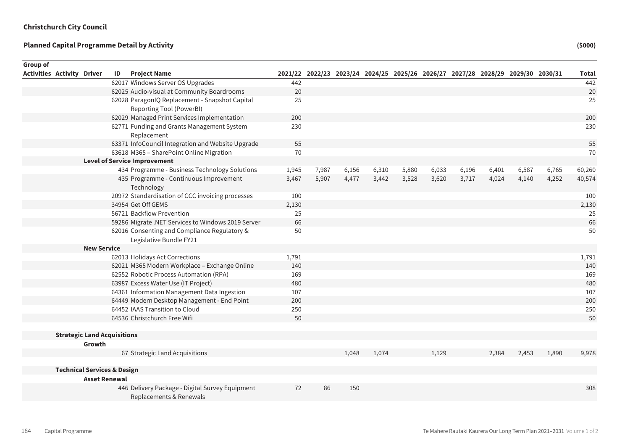| <b>Group of</b> |                                   |                                        |    |                                                      |       |       |                                                                                 |       |       |       |       |       |       |       |              |
|-----------------|-----------------------------------|----------------------------------------|----|------------------------------------------------------|-------|-------|---------------------------------------------------------------------------------|-------|-------|-------|-------|-------|-------|-------|--------------|
|                 | <b>Activities Activity Driver</b> |                                        | ID | <b>Project Name</b>                                  |       |       | 2021/22 2022/23 2023/24 2024/25 2025/26 2026/27 2027/28 2028/29 2029/30 2030/31 |       |       |       |       |       |       |       | <b>Total</b> |
|                 |                                   |                                        |    | 62017 Windows Server OS Upgrades                     | 442   |       |                                                                                 |       |       |       |       |       |       |       | 442          |
|                 |                                   |                                        |    | 62025 Audio-visual at Community Boardrooms           | 20    |       |                                                                                 |       |       |       |       |       |       |       | 20           |
|                 |                                   |                                        |    | 62028 ParagonIQ Replacement - Snapshot Capital       | 25    |       |                                                                                 |       |       |       |       |       |       |       | 25           |
|                 |                                   |                                        |    | Reporting Tool (PowerBI)                             |       |       |                                                                                 |       |       |       |       |       |       |       |              |
|                 |                                   |                                        |    | 62029 Managed Print Services Implementation          | 200   |       |                                                                                 |       |       |       |       |       |       |       | 200          |
|                 |                                   |                                        |    | 62771 Funding and Grants Management System           | 230   |       |                                                                                 |       |       |       |       |       |       |       | 230          |
|                 |                                   |                                        |    | Replacement                                          |       |       |                                                                                 |       |       |       |       |       |       |       |              |
|                 |                                   |                                        |    | 63371 InfoCouncil Integration and Website Upgrade    | 55    |       |                                                                                 |       |       |       |       |       |       |       | 55           |
|                 |                                   |                                        |    | 63618 M365 - SharePoint Online Migration             | 70    |       |                                                                                 |       |       |       |       |       |       |       | 70           |
|                 |                                   |                                        |    | <b>Level of Service Improvement</b>                  |       |       |                                                                                 |       |       |       |       |       |       |       |              |
|                 |                                   |                                        |    | 434 Programme - Business Technology Solutions        | 1,945 | 7,987 | 6,156                                                                           | 6,310 | 5,880 | 6,033 | 6,196 | 6,401 | 6,587 | 6,765 | 60,260       |
|                 |                                   |                                        |    | 435 Programme - Continuous Improvement<br>Technology | 3,467 | 5,907 | 4,477                                                                           | 3,442 | 3,528 | 3,620 | 3,717 | 4,024 | 4,140 | 4,252 | 40,574       |
|                 |                                   |                                        |    | 20972 Standardisation of CCC invoicing processes     | 100   |       |                                                                                 |       |       |       |       |       |       |       | 100          |
|                 |                                   |                                        |    | 34954 Get Off GEMS                                   | 2,130 |       |                                                                                 |       |       |       |       |       |       |       | 2,130        |
|                 |                                   |                                        |    | 56721 Backflow Prevention                            | 25    |       |                                                                                 |       |       |       |       |       |       |       | 25           |
|                 |                                   |                                        |    | 59286 Migrate .NET Services to Windows 2019 Server   | 66    |       |                                                                                 |       |       |       |       |       |       |       | 66           |
|                 |                                   |                                        |    | 62016 Consenting and Compliance Regulatory &         | 50    |       |                                                                                 |       |       |       |       |       |       |       | 50           |
|                 |                                   |                                        |    | Legislative Bundle FY21                              |       |       |                                                                                 |       |       |       |       |       |       |       |              |
|                 |                                   | <b>New Service</b>                     |    |                                                      |       |       |                                                                                 |       |       |       |       |       |       |       |              |
|                 |                                   |                                        |    | 62013 Holidays Act Corrections                       | 1,791 |       |                                                                                 |       |       |       |       |       |       |       | 1,791        |
|                 |                                   |                                        |    | 62021 M365 Modern Workplace - Exchange Online        | 140   |       |                                                                                 |       |       |       |       |       |       |       | 140          |
|                 |                                   |                                        |    | 62552 Robotic Process Automation (RPA)               | 169   |       |                                                                                 |       |       |       |       |       |       |       | 169          |
|                 |                                   |                                        |    | 63987 Excess Water Use (IT Project)                  | 480   |       |                                                                                 |       |       |       |       |       |       |       | 480          |
|                 |                                   |                                        |    | 64361 Information Management Data Ingestion          | 107   |       |                                                                                 |       |       |       |       |       |       |       | 107          |
|                 |                                   |                                        |    | 64449 Modern Desktop Management - End Point          | 200   |       |                                                                                 |       |       |       |       |       |       |       | 200          |
|                 |                                   |                                        |    | 64452 IAAS Transition to Cloud                       | 250   |       |                                                                                 |       |       |       |       |       |       |       | 250          |
|                 |                                   |                                        |    | 64536 Christchurch Free Wifi                         | 50    |       |                                                                                 |       |       |       |       |       |       |       | 50           |
|                 |                                   |                                        |    |                                                      |       |       |                                                                                 |       |       |       |       |       |       |       |              |
|                 |                                   | <b>Strategic Land Acquisitions</b>     |    |                                                      |       |       |                                                                                 |       |       |       |       |       |       |       |              |
|                 |                                   | Growth                                 |    |                                                      |       |       |                                                                                 |       |       |       |       |       |       |       |              |
|                 |                                   |                                        |    | 67 Strategic Land Acquisitions                       |       |       | 1,048                                                                           | 1,074 |       | 1,129 |       | 2,384 | 2,453 | 1,890 | 9,978        |
|                 |                                   | <b>Technical Services &amp; Design</b> |    |                                                      |       |       |                                                                                 |       |       |       |       |       |       |       |              |
|                 |                                   | <b>Asset Renewal</b>                   |    |                                                      |       |       |                                                                                 |       |       |       |       |       |       |       |              |
|                 |                                   |                                        |    | 446 Delivery Package - Digital Survey Equipment      | 72    | 86    | 150                                                                             |       |       |       |       |       |       |       | 308          |
|                 |                                   |                                        |    | Replacements & Renewals                              |       |       |                                                                                 |       |       |       |       |       |       |       |              |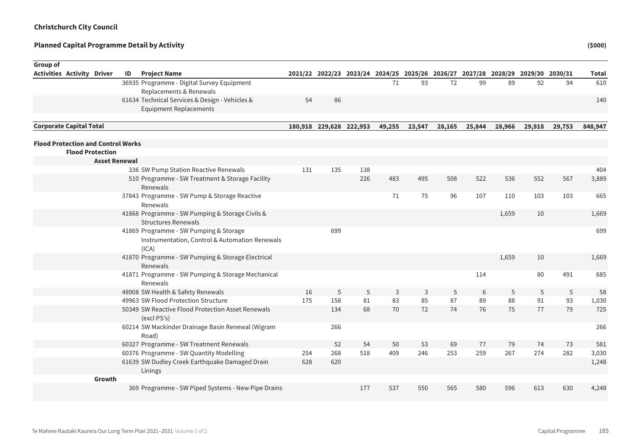| Group of                                  |                         |    |                                                                                                   |     |                         |     |        |                                                                                 |        |        |        |        |        |              |
|-------------------------------------------|-------------------------|----|---------------------------------------------------------------------------------------------------|-----|-------------------------|-----|--------|---------------------------------------------------------------------------------|--------|--------|--------|--------|--------|--------------|
| <b>Activities Activity Driver</b>         |                         | ID | <b>Project Name</b>                                                                               |     |                         |     |        | 2021/22 2022/23 2023/24 2024/25 2025/26 2026/27 2027/28 2028/29 2029/30 2030/31 |        |        |        |        |        | <b>Total</b> |
|                                           |                         |    | 36935 Programme - Digital Survey Equipment                                                        |     |                         |     | 71     | 93                                                                              | 72     | 99     | 89     | 92     | 94     | 610          |
|                                           |                         |    | Replacements & Renewals                                                                           |     |                         |     |        |                                                                                 |        |        |        |        |        |              |
|                                           |                         |    | 61634 Technical Services & Design - Vehicles &                                                    | 54  | 86                      |     |        |                                                                                 |        |        |        |        |        | 140          |
|                                           |                         |    | <b>Equipment Replacements</b>                                                                     |     |                         |     |        |                                                                                 |        |        |        |        |        |              |
| <b>Corporate Capital Total</b>            |                         |    |                                                                                                   |     | 180,918 229,628 222,953 |     | 49,255 | 23,547                                                                          | 28,165 | 25,844 | 28,966 | 29,918 | 29,753 | 848,947      |
| <b>Flood Protection and Control Works</b> |                         |    |                                                                                                   |     |                         |     |        |                                                                                 |        |        |        |        |        |              |
|                                           | <b>Flood Protection</b> |    |                                                                                                   |     |                         |     |        |                                                                                 |        |        |        |        |        |              |
|                                           | <b>Asset Renewal</b>    |    |                                                                                                   |     |                         |     |        |                                                                                 |        |        |        |        |        |              |
|                                           |                         |    | 336 SW Pump Station Reactive Renewals                                                             | 131 | 135                     | 138 |        |                                                                                 |        |        |        |        |        | 404          |
|                                           |                         |    | 510 Programme - SW Treatment & Storage Facility<br>Renewals                                       |     |                         | 226 | 483    | 495                                                                             | 508    | 522    | 536    | 552    | 567    | 3,889        |
|                                           |                         |    | 37843 Programme - SW Pump & Storage Reactive<br>Renewals                                          |     |                         |     | 71     | 75                                                                              | 96     | 107    | 110    | 103    | 103    | 665          |
|                                           |                         |    | 41868 Programme - SW Pumping & Storage Civils &<br><b>Structures Renewals</b>                     |     |                         |     |        |                                                                                 |        |        | 1,659  | 10     |        | 1,669        |
|                                           |                         |    | 41869 Programme - SW Pumping & Storage<br>Instrumentation, Control & Automation Renewals<br>(ICA) |     | 699                     |     |        |                                                                                 |        |        |        |        |        | 699          |
|                                           |                         |    | 41870 Programme - SW Pumping & Storage Electrical<br>Renewals                                     |     |                         |     |        |                                                                                 |        |        | 1,659  | 10     |        | 1,669        |
|                                           |                         |    | 41871 Programme - SW Pumping & Storage Mechanical<br>Renewals                                     |     |                         |     |        |                                                                                 |        | 114    |        | 80     | 491    | 685          |
|                                           |                         |    | 48908 SW Health & Safety Renewals                                                                 | 16  | 5                       | 5   | 3      | 3                                                                               | 5      | 6      | 5      | 5      | 5      | 58           |
|                                           |                         |    | 49963 SW Flood Protection Structure                                                               | 175 | 158                     | 81  | 83     | 85                                                                              | 87     | 89     | 88     | 91     | 93     | 1,030        |
|                                           |                         |    | 50349 SW Reactive Flood Protection Asset Renewals<br>(excl PS's)                                  |     | 134                     | 68  | 70     | 72                                                                              | 74     | 76     | 75     | 77     | 79     | 725          |
|                                           |                         |    | 60214 SW Mackinder Drainage Basin Renewal (Wigram<br>Road)                                        |     | 266                     |     |        |                                                                                 |        |        |        |        |        | 266          |
|                                           |                         |    | 60327 Programme - SW Treatment Renewals                                                           |     | 52                      | 54  | 50     | 53                                                                              | 69     | 77     | 79     | 74     | 73     | 581          |
|                                           |                         |    | 60376 Programme - SW Quantity Modelling                                                           | 254 | 268                     | 518 | 409    | 246                                                                             | 253    | 259    | 267    | 274    | 282    | 3,030        |
|                                           |                         |    | 61639 SW Dudley Creek Earthquake Damaged Drain<br>Linings                                         | 628 | 620                     |     |        |                                                                                 |        |        |        |        |        | 1,248        |
|                                           | Growth                  |    |                                                                                                   |     |                         |     |        |                                                                                 |        |        |        |        |        |              |
|                                           |                         |    | 369 Programme - SW Piped Systems - New Pipe Drains                                                |     |                         | 177 | 537    | 550                                                                             | 565    | 580    | 596    | 613    | 630    | 4,248        |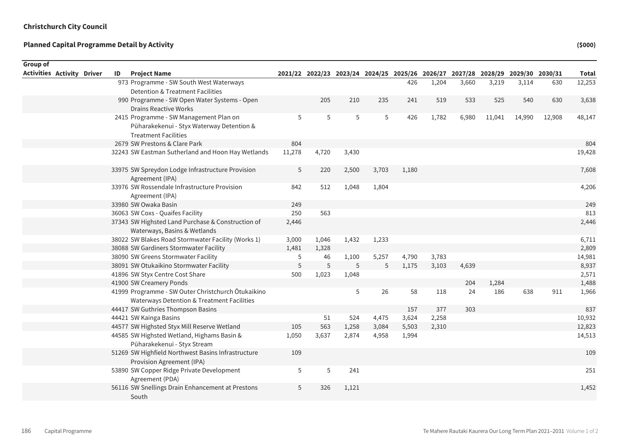Sum of Rounded

| Group of<br><b>Activities Activity Driver</b> | ID | <b>Project Name</b>                                                             |        |       |       | 2021/22 2022/23 2023/24 2024/25 2025/26 2026/27 2027/28 2028/29 2029/30 2030/31 |       |       |       |        |        |        | Total  |
|-----------------------------------------------|----|---------------------------------------------------------------------------------|--------|-------|-------|---------------------------------------------------------------------------------|-------|-------|-------|--------|--------|--------|--------|
|                                               |    | 973 Programme - SW South West Waterways                                         |        |       |       |                                                                                 | 426   | 1,204 | 3,660 | 3,219  | 3,114  | 630    | 12,253 |
|                                               |    | <b>Detention &amp; Treatment Facilities</b>                                     |        |       |       |                                                                                 |       |       |       |        |        |        |        |
|                                               |    | 990 Programme - SW Open Water Systems - Open                                    |        | 205   | 210   | 235                                                                             | 241   | 519   | 533   | 525    | 540    | 630    | 3,638  |
|                                               |    | <b>Drains Reactive Works</b>                                                    |        |       |       |                                                                                 |       |       |       |        |        |        |        |
|                                               |    | 2415 Programme - SW Management Plan on                                          | 5      | 5     | 5     | 5                                                                               | 426   | 1,782 | 6,980 | 11,041 | 14,990 | 12,908 | 48,147 |
|                                               |    | Pūharakekenui - Styx Waterway Detention &                                       |        |       |       |                                                                                 |       |       |       |        |        |        |        |
|                                               |    | <b>Treatment Facilities</b>                                                     |        |       |       |                                                                                 |       |       |       |        |        |        |        |
|                                               |    | 2679 SW Prestons & Clare Park                                                   | 804    |       |       |                                                                                 |       |       |       |        |        |        | 804    |
|                                               |    | 32243 SW Eastman Sutherland and Hoon Hay Wetlands                               | 11,278 | 4,720 | 3,430 |                                                                                 |       |       |       |        |        |        | 19,428 |
|                                               |    |                                                                                 |        |       |       |                                                                                 |       |       |       |        |        |        |        |
|                                               |    | 33975 SW Spreydon Lodge Infrastructure Provision                                | 5      | 220   | 2,500 | 3,703                                                                           | 1,180 |       |       |        |        |        | 7,608  |
|                                               |    | Agreement (IPA)                                                                 |        |       |       |                                                                                 |       |       |       |        |        |        |        |
|                                               |    | 33976 SW Rossendale Infrastructure Provision                                    | 842    | 512   | 1,048 | 1,804                                                                           |       |       |       |        |        |        | 4,206  |
|                                               |    | Agreement (IPA)                                                                 |        |       |       |                                                                                 |       |       |       |        |        |        |        |
|                                               |    | 33980 SW Owaka Basin                                                            | 249    |       |       |                                                                                 |       |       |       |        |        |        | 249    |
|                                               |    | 36063 SW Coxs - Quaifes Facility                                                | 250    | 563   |       |                                                                                 |       |       |       |        |        |        | 813    |
|                                               |    | 37343 SW Highsted Land Purchase & Construction of                               | 2,446  |       |       |                                                                                 |       |       |       |        |        |        | 2,446  |
|                                               |    | Waterways, Basins & Wetlands                                                    |        |       |       |                                                                                 |       |       |       |        |        |        |        |
|                                               |    | 38022 SW Blakes Road Stormwater Facility (Works 1)                              | 3,000  | 1,046 | 1,432 | 1,233                                                                           |       |       |       |        |        |        | 6,711  |
|                                               |    | 38088 SW Gardiners Stormwater Facility                                          | 1,481  | 1,328 |       |                                                                                 |       |       |       |        |        |        | 2,809  |
|                                               |    | 38090 SW Greens Stormwater Facility                                             | 5      | 46    | 1,100 | 5,257                                                                           | 4,790 | 3,783 |       |        |        |        | 14,981 |
|                                               |    | 38091 SW Otukaikino Stormwater Facility                                         | 5      | 5     | 5     | 5                                                                               | 1,175 | 3,103 | 4,639 |        |        |        | 8,937  |
|                                               |    | 41896 SW Styx Centre Cost Share                                                 | 500    | 1,023 | 1,048 |                                                                                 |       |       |       |        |        |        | 2,571  |
|                                               |    | 41900 SW Creamery Ponds                                                         |        |       |       |                                                                                 |       |       | 204   | 1,284  |        |        | 1,488  |
|                                               |    | 41999 Programme - SW Outer Christchurch Ōtukaikino                              |        |       | 5     | 26                                                                              | 58    | 118   | 24    | 186    | 638    | 911    | 1,966  |
|                                               |    | Waterways Detention & Treatment Facilities<br>44417 SW Guthries Thompson Basins |        |       |       |                                                                                 | 157   | 377   | 303   |        |        |        | 837    |
|                                               |    | 44421 SW Kainga Basins                                                          |        | 51    | 524   | 4,475                                                                           | 3,624 | 2,258 |       |        |        |        | 10,932 |
|                                               |    | 44577 SW Highsted Styx Mill Reserve Wetland                                     | 105    | 563   | 1,258 | 3,084                                                                           | 5,503 | 2,310 |       |        |        |        | 12,823 |
|                                               |    | 44585 SW Highsted Wetland, Highams Basin &                                      | 1,050  | 3,637 | 2,874 | 4,958                                                                           | 1,994 |       |       |        |        |        | 14,513 |
|                                               |    | Pūharakekenui - Styx Stream                                                     |        |       |       |                                                                                 |       |       |       |        |        |        |        |
|                                               |    | 51269 SW Highfield Northwest Basins Infrastructure                              | 109    |       |       |                                                                                 |       |       |       |        |        |        | 109    |
|                                               |    | Provision Agreement (IPA)                                                       |        |       |       |                                                                                 |       |       |       |        |        |        |        |
|                                               |    | 53890 SW Copper Ridge Private Development                                       | 5      | 5     | 241   |                                                                                 |       |       |       |        |        |        | 251    |
|                                               |    | Agreement (PDA)                                                                 |        |       |       |                                                                                 |       |       |       |        |        |        |        |
|                                               |    | 56116 SW Snellings Drain Enhancement at Prestons                                | 5      | 326   | 1,121 |                                                                                 |       |       |       |        |        |        | 1,452  |
|                                               |    | South                                                                           |        |       |       |                                                                                 |       |       |       |        |        |        |        |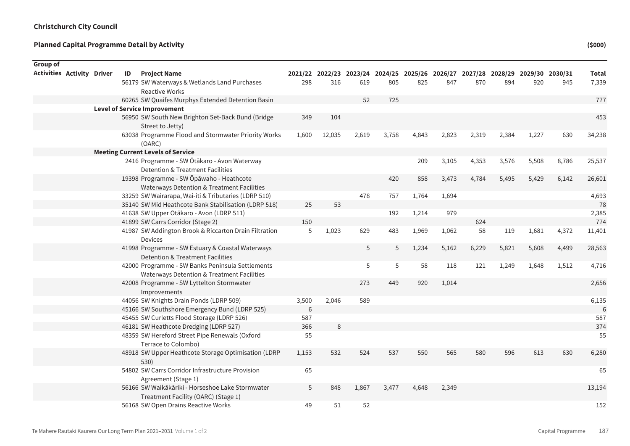Sum of Rounded

| Group of                          |  |    |                                                                                                |       |                                                                                 |       |       |       |       |       |       |       |       |              |
|-----------------------------------|--|----|------------------------------------------------------------------------------------------------|-------|---------------------------------------------------------------------------------|-------|-------|-------|-------|-------|-------|-------|-------|--------------|
| <b>Activities Activity Driver</b> |  | ID | <b>Project Name</b>                                                                            |       | 2021/22 2022/23 2023/24 2024/25 2025/26 2026/27 2027/28 2028/29 2029/30 2030/31 |       |       |       |       |       |       |       |       | <b>Total</b> |
|                                   |  |    | 56179 SW Waterways & Wetlands Land Purchases                                                   | 298   | 316                                                                             | 619   | 805   | 825   | 847   | 870   | 894   | 920   | 945   | 7,339        |
|                                   |  |    | <b>Reactive Works</b>                                                                          |       |                                                                                 |       |       |       |       |       |       |       |       |              |
|                                   |  |    | 60265 SW Quaifes Murphys Extended Detention Basin                                              |       |                                                                                 | 52    | 725   |       |       |       |       |       |       | 777          |
|                                   |  |    | <b>Level of Service Improvement</b>                                                            |       |                                                                                 |       |       |       |       |       |       |       |       |              |
|                                   |  |    | 56950 SW South New Brighton Set-Back Bund (Bridge                                              | 349   | 104                                                                             |       |       |       |       |       |       |       |       | 453          |
|                                   |  |    | Street to Jetty)                                                                               |       |                                                                                 |       |       |       |       |       |       |       |       |              |
|                                   |  |    | 63038 Programme Flood and Stormwater Priority Works<br>(OARC)                                  | 1,600 | 12,035                                                                          | 2,619 | 3,758 | 4,843 | 2,823 | 2,319 | 2,384 | 1,227 | 630   | 34,238       |
|                                   |  |    | <b>Meeting Current Levels of Service</b>                                                       |       |                                                                                 |       |       |       |       |       |       |       |       |              |
|                                   |  |    | 2416 Programme - SW Ōtākaro - Avon Waterway<br><b>Detention &amp; Treatment Facilities</b>     |       |                                                                                 |       |       | 209   | 3,105 | 4,353 | 3,576 | 5,508 | 8,786 | 25,537       |
|                                   |  |    | 19398 Programme - SW Ōpāwaho - Heathcote                                                       |       |                                                                                 |       | 420   | 858   | 3,473 | 4,784 | 5,495 | 5,429 | 6,142 | 26,601       |
|                                   |  |    | Waterways Detention & Treatment Facilities                                                     |       |                                                                                 |       |       |       |       |       |       |       |       |              |
|                                   |  |    | 33259 SW Wairarapa, Wai-iti & Tributaries (LDRP 510)                                           |       |                                                                                 | 478   | 757   | 1,764 | 1,694 |       |       |       |       | 4,693        |
|                                   |  |    | 35140 SW Mid Heathcote Bank Stabilisation (LDRP 518)                                           | 25    | 53                                                                              |       |       |       |       |       |       |       |       | 78           |
|                                   |  |    | 41638 SW Upper Ōtākaro - Avon (LDRP 511)                                                       |       |                                                                                 |       | 192   | 1,214 | 979   |       |       |       |       | 2,385        |
|                                   |  |    | 41899 SW Carrs Corridor (Stage 2)                                                              | 150   |                                                                                 |       |       |       |       | 624   |       |       |       | 774          |
|                                   |  |    | 41987 SW Addington Brook & Riccarton Drain Filtration<br><b>Devices</b>                        | 5     | 1,023                                                                           | 629   | 483   | 1,969 | 1,062 | 58    | 119   | 1,681 | 4,372 | 11,401       |
|                                   |  |    | 41998 Programme - SW Estuary & Coastal Waterways                                               |       |                                                                                 | 5     | 5     | 1,234 | 5,162 | 6,229 | 5,821 | 5,608 | 4,499 | 28,563       |
|                                   |  |    | Detention & Treatment Facilities                                                               |       |                                                                                 |       |       |       |       |       |       |       |       |              |
|                                   |  |    | 42000 Programme - SW Banks Peninsula Settlements<br>Waterways Detention & Treatment Facilities |       |                                                                                 | 5     | 5     | 58    | 118   | 121   | 1,249 | 1,648 | 1,512 | 4,716        |
|                                   |  |    | 42008 Programme - SW Lyttelton Stormwater<br>Improvements                                      |       |                                                                                 | 273   | 449   | 920   | 1,014 |       |       |       |       | 2,656        |
|                                   |  |    | 44056 SW Knights Drain Ponds (LDRP 509)                                                        | 3,500 | 2,046                                                                           | 589   |       |       |       |       |       |       |       | 6,135        |
|                                   |  |    | 45166 SW Southshore Emergency Bund (LDRP 525)                                                  | 6     |                                                                                 |       |       |       |       |       |       |       |       |              |
|                                   |  |    | 45455 SW Curletts Flood Storage (LDRP 526)                                                     | 587   |                                                                                 |       |       |       |       |       |       |       |       | 587          |
|                                   |  |    | 46181 SW Heathcote Dredging (LDRP 527)                                                         | 366   | 8                                                                               |       |       |       |       |       |       |       |       | 374          |
|                                   |  |    | 48359 SW Hereford Street Pipe Renewals (Oxford                                                 | 55    |                                                                                 |       |       |       |       |       |       |       |       | 55           |
|                                   |  |    | Terrace to Colombo)                                                                            |       |                                                                                 |       |       |       |       |       |       |       |       |              |
|                                   |  |    | 48918 SW Upper Heathcote Storage Optimisation (LDRP<br>530)                                    | 1,153 | 532                                                                             | 524   | 537   | 550   | 565   | 580   | 596   | 613   | 630   | 6,280        |
|                                   |  |    | 54802 SW Carrs Corridor Infrastructure Provision<br>Agreement (Stage 1)                        | 65    |                                                                                 |       |       |       |       |       |       |       |       | 65           |
|                                   |  |    | 56166 SW Waikākāriki - Horseshoe Lake Stormwater                                               | 5     | 848                                                                             | 1,867 | 3,477 | 4,648 | 2,349 |       |       |       |       | 13,194       |
|                                   |  |    | Treatment Facility (OARC) (Stage 1)                                                            |       |                                                                                 |       |       |       |       |       |       |       |       |              |
|                                   |  |    | 56168 SW Open Drains Reactive Works                                                            | 49    | 51                                                                              | 52    |       |       |       |       |       |       |       | 152          |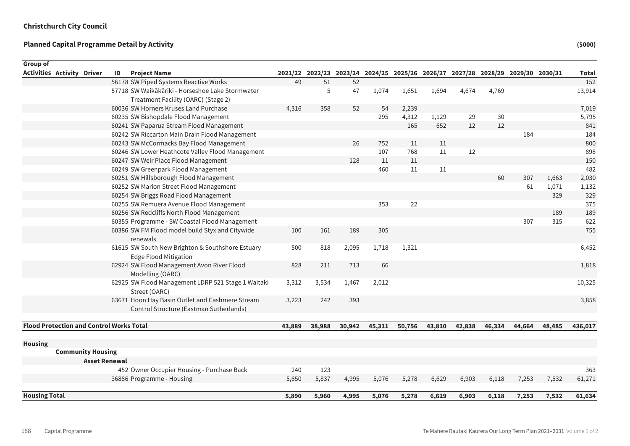| <b>Group of</b><br><b>Activities Activity Driver</b> | ID<br><b>Project Name</b>                                                        |        |        |        | 2021/22 2022/23 2023/24 2024/25 2025/26 2026/27 2027/28 2028/29 2029/30 2030/31 |        |        |        |        |        |        | <b>Total</b> |
|------------------------------------------------------|----------------------------------------------------------------------------------|--------|--------|--------|---------------------------------------------------------------------------------|--------|--------|--------|--------|--------|--------|--------------|
|                                                      | 56178 SW Piped Systems Reactive Works                                            | 49     | 51     | 52     |                                                                                 |        |        |        |        |        |        | 152          |
|                                                      | 57718 SW Waikākāriki - Horseshoe Lake Stormwater                                 |        | 5      | 47     | 1,074                                                                           | 1,651  | 1,694  | 4,674  | 4,769  |        |        | 13,914       |
|                                                      | Treatment Facility (OARC) (Stage 2)                                              |        |        |        |                                                                                 |        |        |        |        |        |        |              |
|                                                      | 60036 SW Horners Kruses Land Purchase                                            | 4,316  | 358    | 52     | 54                                                                              | 2,239  |        |        |        |        |        | 7,019        |
|                                                      | 60235 SW Bishopdale Flood Management                                             |        |        |        | 295                                                                             | 4,312  | 1,129  | 29     | 30     |        |        | 5,795        |
|                                                      | 60241 SW Paparua Stream Flood Management                                         |        |        |        |                                                                                 | 165    | 652    | 12     | 12     |        |        | 841          |
|                                                      | 60242 SW Riccarton Main Drain Flood Management                                   |        |        |        |                                                                                 |        |        |        |        | 184    |        | 184          |
|                                                      | 60243 SW McCormacks Bay Flood Management                                         |        |        | 26     | 752                                                                             | 11     | 11     |        |        |        |        | 800          |
|                                                      | 60246 SW Lower Heathcote Valley Flood Management                                 |        |        |        | 107                                                                             | 768    | 11     | 12     |        |        |        | 898          |
|                                                      | 60247 SW Weir Place Flood Management                                             |        |        | 128    | 11                                                                              | 11     |        |        |        |        |        | 150          |
|                                                      | 60249 SW Greenpark Flood Management                                              |        |        |        | 460                                                                             | 11     | 11     |        |        |        |        | 482          |
|                                                      | 60251 SW Hillsborough Flood Management                                           |        |        |        |                                                                                 |        |        |        | 60     | 307    | 1,663  | 2,030        |
|                                                      | 60252 SW Marion Street Flood Management                                          |        |        |        |                                                                                 |        |        |        |        | 61     | 1,071  | 1,132        |
|                                                      | 60254 SW Briggs Road Flood Management                                            |        |        |        |                                                                                 |        |        |        |        |        | 329    | 329          |
|                                                      | 60255 SW Remuera Avenue Flood Management                                         |        |        |        | 353                                                                             | 22     |        |        |        |        |        | 375          |
|                                                      | 60256 SW Redcliffs North Flood Management                                        |        |        |        |                                                                                 |        |        |        |        |        | 189    | 189          |
|                                                      | 60355 Programme - SW Coastal Flood Management                                    |        |        |        |                                                                                 |        |        |        |        | 307    | 315    | 622          |
|                                                      | 60386 SW FM Flood model build Styx and Citywide<br>renewals                      | 100    | 161    | 189    | 305                                                                             |        |        |        |        |        |        | 755          |
|                                                      | 61615 SW South New Brighton & Southshore Estuary<br><b>Edge Flood Mitigation</b> | 500    | 818    | 2,095  | 1,718                                                                           | 1,321  |        |        |        |        |        | 6,452        |
|                                                      | 62924 SW Flood Management Avon River Flood<br>Modelling (OARC)                   | 828    | 211    | 713    | 66                                                                              |        |        |        |        |        |        | 1,818        |
|                                                      | 62925 SW Flood Management LDRP 521 Stage 1 Waitaki<br>Street (OARC)              | 3,312  | 3,534  | 1,467  | 2,012                                                                           |        |        |        |        |        |        | 10,325       |
|                                                      | 63671 Hoon Hay Basin Outlet and Cashmere Stream                                  | 3,223  | 242    | 393    |                                                                                 |        |        |        |        |        |        | 3,858        |
|                                                      | Control Structure (Eastman Sutherlands)                                          |        |        |        |                                                                                 |        |        |        |        |        |        |              |
|                                                      |                                                                                  |        |        |        |                                                                                 |        |        |        |        |        |        |              |
| <b>Flood Protection and Control Works Total</b>      |                                                                                  | 43,889 | 38,988 | 30,942 | 45,311                                                                          | 50,756 | 43,810 | 42,838 | 46,334 | 44,664 | 48,485 | 436,017      |
| <b>Housing</b>                                       |                                                                                  |        |        |        |                                                                                 |        |        |        |        |        |        |              |
| <b>Community Housing</b>                             |                                                                                  |        |        |        |                                                                                 |        |        |        |        |        |        |              |
|                                                      | <b>Asset Renewal</b>                                                             |        |        |        |                                                                                 |        |        |        |        |        |        |              |
|                                                      | 452 Owner Occupier Housing - Purchase Back                                       | 240    | 123    |        |                                                                                 |        |        |        |        |        |        | 363          |
|                                                      | 36886 Programme - Housing                                                        | 5,650  | 5,837  | 4,995  | 5,076                                                                           | 5,278  | 6,629  | 6,903  | 6,118  | 7,253  | 7,532  | 61,271       |
| <b>Housing Total</b>                                 |                                                                                  | 5,890  | 5,960  | 4.995  | 5,076                                                                           | 5,278  | 6,629  | 6,903  | 6,118  | 7,253  | 7.532  | 61,634       |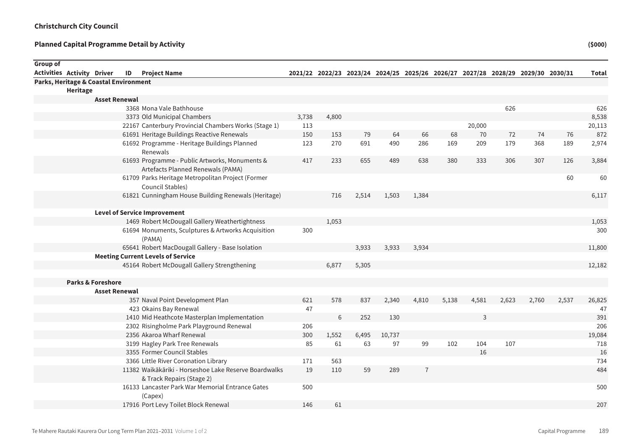| <b>Group of</b>                       |          |                              |                                                                                     |       |       |       |        |                |       |        |       |                                                                                 |       |              |
|---------------------------------------|----------|------------------------------|-------------------------------------------------------------------------------------|-------|-------|-------|--------|----------------|-------|--------|-------|---------------------------------------------------------------------------------|-------|--------------|
| <b>Activities Activity Driver</b>     |          |                              | <b>ID</b> Project Name                                                              |       |       |       |        |                |       |        |       | 2021/22 2022/23 2023/24 2024/25 2025/26 2026/27 2027/28 2028/29 2029/30 2030/31 |       | <b>Total</b> |
| Parks, Heritage & Coastal Environment |          |                              |                                                                                     |       |       |       |        |                |       |        |       |                                                                                 |       |              |
|                                       | Heritage |                              |                                                                                     |       |       |       |        |                |       |        |       |                                                                                 |       |              |
|                                       |          | <b>Asset Renewal</b>         |                                                                                     |       |       |       |        |                |       |        |       |                                                                                 |       |              |
|                                       |          |                              | 3368 Mona Vale Bathhouse                                                            |       |       |       |        |                |       |        | 626   |                                                                                 |       | 626          |
|                                       |          |                              | 3373 Old Municipal Chambers                                                         | 3,738 | 4,800 |       |        |                |       |        |       |                                                                                 |       | 8,538        |
|                                       |          |                              | 22167 Canterbury Provincial Chambers Works (Stage 1)                                | 113   |       |       |        |                |       | 20,000 |       |                                                                                 |       | 20,113       |
|                                       |          |                              | 61691 Heritage Buildings Reactive Renewals                                          | 150   | 153   | 79    | 64     | 66             | 68    | 70     | 72    | 74                                                                              | 76    | 872          |
|                                       |          |                              | 61692 Programme - Heritage Buildings Planned<br>Renewals                            | 123   | 270   | 691   | 490    | 286            | 169   | 209    | 179   | 368                                                                             | 189   | 2,974        |
|                                       |          |                              | 61693 Programme - Public Artworks, Monuments &<br>Artefacts Planned Renewals (PAMA) | 417   | 233   | 655   | 489    | 638            | 380   | 333    | 306   | 307                                                                             | 126   | 3,884        |
|                                       |          |                              | 61709 Parks Heritage Metropolitan Project (Former<br>Council Stables)               |       |       |       |        |                |       |        |       |                                                                                 | 60    | 60           |
|                                       |          |                              | 61821 Cunningham House Building Renewals (Heritage)                                 |       | 716   | 2,514 | 1,503  | 1,384          |       |        |       |                                                                                 |       | 6,117        |
|                                       |          |                              | <b>Level of Service Improvement</b>                                                 |       |       |       |        |                |       |        |       |                                                                                 |       |              |
|                                       |          |                              | 1469 Robert McDougall Gallery Weathertightness                                      |       | 1,053 |       |        |                |       |        |       |                                                                                 |       | 1,053        |
|                                       |          |                              | 61694 Monuments, Sculptures & Artworks Acquisition<br>(PAMA)                        | 300   |       |       |        |                |       |        |       |                                                                                 |       | 300          |
|                                       |          |                              | 65641 Robert MacDougall Gallery - Base Isolation                                    |       |       | 3,933 | 3,933  | 3,934          |       |        |       |                                                                                 |       | 11,800       |
|                                       |          |                              | <b>Meeting Current Levels of Service</b>                                            |       |       |       |        |                |       |        |       |                                                                                 |       |              |
|                                       |          |                              | 45164 Robert McDougall Gallery Strengthening                                        |       | 6,877 | 5,305 |        |                |       |        |       |                                                                                 |       | 12,182       |
|                                       |          | <b>Parks &amp; Foreshore</b> |                                                                                     |       |       |       |        |                |       |        |       |                                                                                 |       |              |
|                                       |          | <b>Asset Renewal</b>         |                                                                                     |       |       |       |        |                |       |        |       |                                                                                 |       |              |
|                                       |          |                              | 357 Naval Point Development Plan                                                    | 621   | 578   | 837   | 2,340  | 4,810          | 5,138 | 4,581  | 2,623 | 2,760                                                                           | 2,537 | 26,825       |
|                                       |          |                              | 423 Okains Bay Renewal                                                              | 47    |       |       |        |                |       |        |       |                                                                                 |       | 47           |
|                                       |          |                              | 1410 Mid Heathcote Masterplan Implementation                                        |       | 6     | 252   | 130    |                |       | 3      |       |                                                                                 |       | 391          |
|                                       |          |                              | 2302 Risingholme Park Playground Renewal                                            | 206   |       |       |        |                |       |        |       |                                                                                 |       | 206          |
|                                       |          |                              | 2356 Akaroa Wharf Renewal                                                           | 300   | 1,552 | 6,495 | 10,737 |                |       |        |       |                                                                                 |       | 19,084       |
|                                       |          |                              | 3199 Hagley Park Tree Renewals                                                      | 85    | 61    | 63    | 97     | 99             | 102   | 104    | 107   |                                                                                 |       | 718          |
|                                       |          |                              | 3355 Former Council Stables                                                         |       |       |       |        |                |       | 16     |       |                                                                                 |       | 16           |
|                                       |          |                              | 3366 Little River Coronation Library                                                | 171   | 563   |       |        |                |       |        |       |                                                                                 |       | 734          |
|                                       |          |                              | 11382 Waikākāriki - Horseshoe Lake Reserve Boardwalks<br>& Track Repairs (Stage 2)  | 19    | 110   | 59    | 289    | $\overline{7}$ |       |        |       |                                                                                 |       | 484          |
|                                       |          |                              | 16133 Lancaster Park War Memorial Entrance Gates<br>(Capex)                         | 500   |       |       |        |                |       |        |       |                                                                                 |       | 500          |
|                                       |          |                              | 17916 Port Levy Toilet Block Renewal                                                | 146   | 61    |       |        |                |       |        |       |                                                                                 |       | 207          |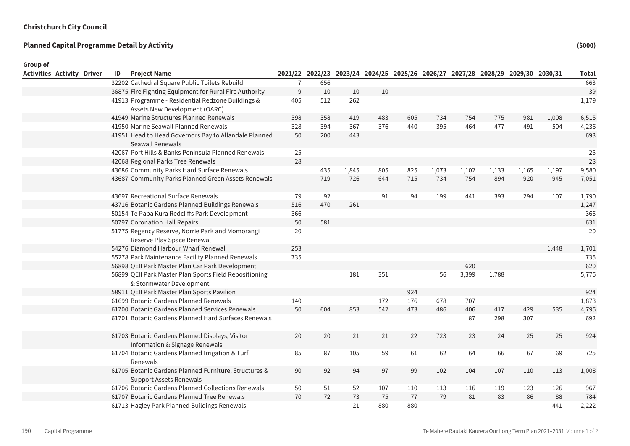| Group of                          |    |                                                                                         |                |                                                                                 |       |     |     |       |       |       |       |       |       |
|-----------------------------------|----|-----------------------------------------------------------------------------------------|----------------|---------------------------------------------------------------------------------|-------|-----|-----|-------|-------|-------|-------|-------|-------|
| <b>Activities Activity Driver</b> | ID | <b>Project Name</b>                                                                     |                | 2021/22 2022/23 2023/24 2024/25 2025/26 2026/27 2027/28 2028/29 2029/30 2030/31 |       |     |     |       |       |       |       |       | Total |
|                                   |    | 32202 Cathedral Square Public Toilets Rebuild                                           | $\overline{7}$ | 656                                                                             |       |     |     |       |       |       |       |       | 663   |
|                                   |    | 36875 Fire Fighting Equipment for Rural Fire Authority                                  | 9              | 10                                                                              | 10    | 10  |     |       |       |       |       |       | 39    |
|                                   |    | 41913 Programme - Residential Redzone Buildings &                                       | 405            | 512                                                                             | 262   |     |     |       |       |       |       |       | 1,179 |
|                                   |    | Assets New Development (OARC)                                                           |                |                                                                                 |       |     |     |       |       |       |       |       |       |
|                                   |    | 41949 Marine Structures Planned Renewals                                                | 398            | 358                                                                             | 419   | 483 | 605 | 734   | 754   | 775   | 981   | 1,008 | 6,515 |
|                                   |    | 41950 Marine Seawall Planned Renewals                                                   | 328            | 394                                                                             | 367   | 376 | 440 | 395   | 464   | 477   | 491   | 504   | 4,236 |
|                                   |    | 41951 Head to Head Governors Bay to Allandale Planned<br>Seawall Renewals               | 50             | 200                                                                             | 443   |     |     |       |       |       |       |       | 693   |
|                                   |    | 42067 Port Hills & Banks Peninsula Planned Renewals                                     | 25             |                                                                                 |       |     |     |       |       |       |       |       | 25    |
|                                   |    | 42068 Regional Parks Tree Renewals                                                      | 28             |                                                                                 |       |     |     |       |       |       |       |       | 28    |
|                                   |    | 43686 Community Parks Hard Surface Renewals                                             |                | 435                                                                             | 1,845 | 805 | 825 | 1,073 | 1,102 | 1,133 | 1,165 | 1,197 | 9,580 |
|                                   |    | 43687 Community Parks Planned Green Assets Renewals                                     |                | 719                                                                             | 726   | 644 | 715 | 734   | 754   | 894   | 920   | 945   | 7,051 |
|                                   |    | 43697 Recreational Surface Renewals                                                     | 79             | 92                                                                              |       | 91  | 94  | 199   | 441   | 393   | 294   | 107   | 1,790 |
|                                   |    | 43716 Botanic Gardens Planned Buildings Renewals                                        | 516            | 470                                                                             | 261   |     |     |       |       |       |       |       | 1,247 |
|                                   |    | 50154 Te Papa Kura Redcliffs Park Development                                           | 366            |                                                                                 |       |     |     |       |       |       |       |       | 366   |
|                                   |    | 50797 Coronation Hall Repairs                                                           | 50             | 581                                                                             |       |     |     |       |       |       |       |       | 631   |
|                                   |    | 51775 Regency Reserve, Norrie Park and Momorangi<br>Reserve Play Space Renewal          | 20             |                                                                                 |       |     |     |       |       |       |       |       | 20    |
|                                   |    | 54276 Diamond Harbour Wharf Renewal                                                     | 253            |                                                                                 |       |     |     |       |       |       |       | 1,448 | 1,701 |
|                                   |    | 55278 Park Maintenance Facility Planned Renewals                                        | 735            |                                                                                 |       |     |     |       |       |       |       |       | 735   |
|                                   |    | 56898 QEII Park Master Plan Car Park Development                                        |                |                                                                                 |       |     |     |       | 620   |       |       |       | 620   |
|                                   |    | 56899 QEII Park Master Plan Sports Field Repositioning<br>& Stormwater Development      |                |                                                                                 | 181   | 351 |     | 56    | 3,399 | 1,788 |       |       | 5,775 |
|                                   |    | 58911 QEII Park Master Plan Sports Pavilion                                             |                |                                                                                 |       |     | 924 |       |       |       |       |       | 924   |
|                                   |    | 61699 Botanic Gardens Planned Renewals                                                  | 140            |                                                                                 |       | 172 | 176 | 678   | 707   |       |       |       | 1,873 |
|                                   |    | 61700 Botanic Gardens Planned Services Renewals                                         | 50             | 604                                                                             | 853   | 542 | 473 | 486   | 406   | 417   | 429   | 535   | 4,795 |
|                                   |    | 61701 Botanic Gardens Planned Hard Surfaces Renewals                                    |                |                                                                                 |       |     |     |       | 87    | 298   | 307   |       | 692   |
|                                   |    | 61703 Botanic Gardens Planned Displays, Visitor<br>Information & Signage Renewals       | 20             | 20                                                                              | 21    | 21  | 22  | 723   | 23    | 24    | 25    | 25    | 924   |
|                                   |    | 61704 Botanic Gardens Planned Irrigation & Turf<br>Renewals                             | 85             | 87                                                                              | 105   | 59  | 61  | 62    | 64    | 66    | 67    | 69    | 725   |
|                                   |    | 61705 Botanic Gardens Planned Furniture, Structures &<br><b>Support Assets Renewals</b> | 90             | 92                                                                              | 94    | 97  | 99  | 102   | 104   | 107   | 110   | 113   | 1,008 |
|                                   |    | 61706 Botanic Gardens Planned Collections Renewals                                      | 50             | 51                                                                              | 52    | 107 | 110 | 113   | 116   | 119   | 123   | 126   | 967   |
|                                   |    | 61707 Botanic Gardens Planned Tree Renewals                                             | 70             | 72                                                                              | 73    | 75  | 77  | 79    | 81    | 83    | 86    | 88    | 784   |
|                                   |    | 61713 Hagley Park Planned Buildings Renewals                                            |                |                                                                                 | 21    | 880 | 880 |       |       |       |       | 441   | 2,222 |
|                                   |    |                                                                                         |                |                                                                                 |       |     |     |       |       |       |       |       |       |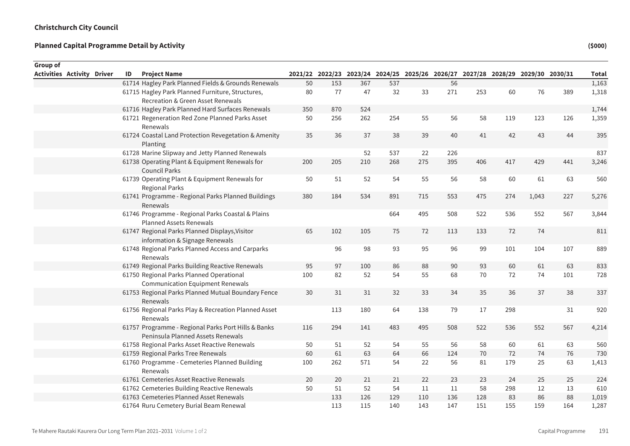Sum of Rounded

| Group of                          |  |    |                                                                                          |     |                                                                                 |     |     |     |     |     |     |       |     |              |
|-----------------------------------|--|----|------------------------------------------------------------------------------------------|-----|---------------------------------------------------------------------------------|-----|-----|-----|-----|-----|-----|-------|-----|--------------|
| <b>Activities Activity Driver</b> |  | ID | <b>Project Name</b>                                                                      |     | 2021/22 2022/23 2023/24 2024/25 2025/26 2026/27 2027/28 2028/29 2029/30 2030/31 |     |     |     |     |     |     |       |     | <b>Total</b> |
|                                   |  |    | 61714 Hagley Park Planned Fields & Grounds Renewals                                      | 50  | 153                                                                             | 367 | 537 |     | 56  |     |     |       |     | 1,163        |
|                                   |  |    | 61715 Hagley Park Planned Furniture, Structures,                                         | 80  | 77                                                                              | 47  | 32  | 33  | 271 | 253 | 60  | 76    | 389 | 1,318        |
|                                   |  |    | Recreation & Green Asset Renewals                                                        |     |                                                                                 |     |     |     |     |     |     |       |     |              |
|                                   |  |    | 61716 Hagley Park Planned Hard Surfaces Renewals                                         | 350 | 870                                                                             | 524 |     |     |     |     |     |       |     | 1,744        |
|                                   |  |    | 61721 Regeneration Red Zone Planned Parks Asset<br>Renewals                              | 50  | 256                                                                             | 262 | 254 | 55  | 56  | 58  | 119 | 123   | 126 | 1,359        |
|                                   |  |    | 61724 Coastal Land Protection Revegetation & Amenity<br>Planting                         | 35  | 36                                                                              | 37  | 38  | 39  | 40  | 41  | 42  | 43    | 44  | 395          |
|                                   |  |    | 61728 Marine Slipway and Jetty Planned Renewals                                          |     |                                                                                 | 52  | 537 | 22  | 226 |     |     |       |     | 837          |
|                                   |  |    | 61738 Operating Plant & Equipment Renewals for<br><b>Council Parks</b>                   | 200 | 205                                                                             | 210 | 268 | 275 | 395 | 406 | 417 | 429   | 441 | 3,246        |
|                                   |  |    | 61739 Operating Plant & Equipment Renewals for<br><b>Regional Parks</b>                  | 50  | 51                                                                              | 52  | 54  | 55  | 56  | 58  | 60  | 61    | 63  | 560          |
|                                   |  |    | 61741 Programme - Regional Parks Planned Buildings<br>Renewals                           | 380 | 184                                                                             | 534 | 891 | 715 | 553 | 475 | 274 | 1,043 | 227 | 5,276        |
|                                   |  |    | 61746 Programme - Regional Parks Coastal & Plains<br><b>Planned Assets Renewals</b>      |     |                                                                                 |     | 664 | 495 | 508 | 522 | 536 | 552   | 567 | 3,844        |
|                                   |  |    | 61747 Regional Parks Planned Displays, Visitor<br>information & Signage Renewals         | 65  | 102                                                                             | 105 | 75  | 72  | 113 | 133 | 72  | 74    |     | 811          |
|                                   |  |    | 61748 Regional Parks Planned Access and Carparks<br>Renewals                             |     | 96                                                                              | 98  | 93  | 95  | 96  | 99  | 101 | 104   | 107 | 889          |
|                                   |  |    | 61749 Regional Parks Building Reactive Renewals                                          | 95  | 97                                                                              | 100 | 86  | 88  | 90  | 93  | 60  | 61    | 63  | 833          |
|                                   |  |    | 61750 Regional Parks Planned Operational<br><b>Communication Equipment Renewals</b>      | 100 | 82                                                                              | 52  | 54  | 55  | 68  | 70  | 72  | 74    | 101 | 728          |
|                                   |  |    | 61753 Regional Parks Planned Mutual Boundary Fence<br><b>Renewals</b>                    | 30  | 31                                                                              | 31  | 32  | 33  | 34  | 35  | 36  | 37    | 38  | 337          |
|                                   |  |    | 61756 Regional Parks Play & Recreation Planned Asset<br>Renewals                         |     | 113                                                                             | 180 | 64  | 138 | 79  | 17  | 298 |       | 31  | 920          |
|                                   |  |    | 61757 Programme - Regional Parks Port Hills & Banks<br>Peninsula Planned Assets Renewals | 116 | 294                                                                             | 141 | 483 | 495 | 508 | 522 | 536 | 552   | 567 | 4,214        |
|                                   |  |    | 61758 Regional Parks Asset Reactive Renewals                                             | 50  | 51                                                                              | 52  | 54  | 55  | 56  | 58  | 60  | 61    | 63  | 560          |
|                                   |  |    | 61759 Regional Parks Tree Renewals                                                       | 60  | 61                                                                              | 63  | 64  | 66  | 124 | 70  | 72  | 74    | 76  | 730          |
|                                   |  |    | 61760 Programme - Cemeteries Planned Building<br>Renewals                                | 100 | 262                                                                             | 571 | 54  | 22  | 56  | 81  | 179 | 25    | 63  | 1,413        |
|                                   |  |    | 61761 Cemeteries Asset Reactive Renewals                                                 | 20  | 20                                                                              | 21  | 21  | 22  | 23  | 23  | 24  | 25    | 25  | 224          |
|                                   |  |    | 61762 Cemeteries Building Reactive Renewals                                              | 50  | 51                                                                              | 52  | 54  | 11  | 11  | 58  | 298 | 12    | 13  | 610          |
|                                   |  |    | 61763 Cemeteries Planned Asset Renewals                                                  |     | 133                                                                             | 126 | 129 | 110 | 136 | 128 | 83  | 86    | 88  | 1,019        |
|                                   |  |    | 61764 Ruru Cemetery Burial Beam Renewal                                                  |     | 113                                                                             | 115 | 140 | 143 | 147 | 151 | 155 | 159   | 164 | 1,287        |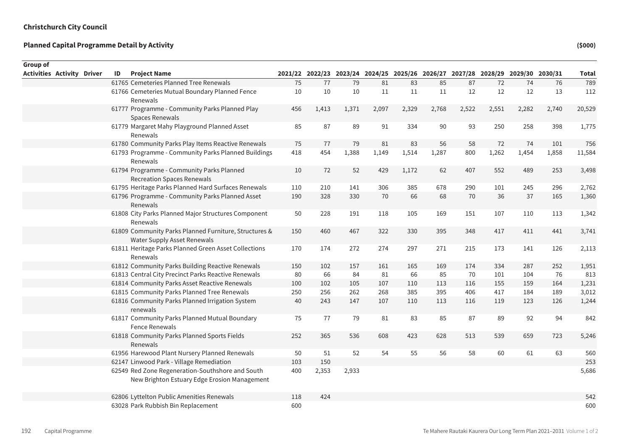| Group of                          |    |                                                                                                  |     |                                                                                 |       |       |       |       |       |       |       |       |        |
|-----------------------------------|----|--------------------------------------------------------------------------------------------------|-----|---------------------------------------------------------------------------------|-------|-------|-------|-------|-------|-------|-------|-------|--------|
| <b>Activities Activity Driver</b> | ID | <b>Project Name</b>                                                                              |     | 2021/22 2022/23 2023/24 2024/25 2025/26 2026/27 2027/28 2028/29 2029/30 2030/31 |       |       |       |       |       |       |       |       | Total  |
|                                   |    | 61765 Cemeteries Planned Tree Renewals                                                           | 75  | 77                                                                              | 79    | 81    | 83    | 85    | 87    | 72    | 74    | 76    | 789    |
|                                   |    | 61766 Cemeteries Mutual Boundary Planned Fence                                                   | 10  | 10                                                                              | 10    | 11    | 11    | 11    | 12    | 12    | 12    | 13    | 112    |
|                                   |    | Renewals                                                                                         |     |                                                                                 |       |       |       |       |       |       |       |       |        |
|                                   |    | 61777 Programme - Community Parks Planned Play                                                   | 456 | 1,413                                                                           | 1,371 | 2,097 | 2,329 | 2,768 | 2,522 | 2,551 | 2,282 | 2,740 | 20,529 |
|                                   |    | Spaces Renewals                                                                                  |     |                                                                                 |       |       |       |       |       |       |       |       |        |
|                                   |    | 61779 Margaret Mahy Playground Planned Asset<br>Renewals                                         | 85  | 87                                                                              | 89    | 91    | 334   | 90    | 93    | 250   | 258   | 398   | 1,775  |
|                                   |    | 61780 Community Parks Play Items Reactive Renewals                                               | 75  | 77                                                                              | 79    | 81    | 83    | 56    | 58    | 72    | 74    | 101   | 756    |
|                                   |    | 61793 Programme - Community Parks Planned Buildings<br>Renewals                                  | 418 | 454                                                                             | 1,388 | 1,149 | 1,514 | 1,287 | 800   | 1,262 | 1,454 | 1,858 | 11,584 |
|                                   |    | 61794 Programme - Community Parks Planned                                                        | 10  | 72                                                                              | 52    | 429   | 1,172 | 62    | 407   | 552   | 489   | 253   | 3,498  |
|                                   |    | <b>Recreation Spaces Renewals</b>                                                                |     |                                                                                 |       |       |       |       |       |       |       |       |        |
|                                   |    | 61795 Heritage Parks Planned Hard Surfaces Renewals                                              | 110 | 210                                                                             | 141   | 306   | 385   | 678   | 290   | 101   | 245   | 296   | 2,762  |
|                                   |    | 61796 Programme - Community Parks Planned Asset<br>Renewals                                      | 190 | 328                                                                             | 330   | 70    | 66    | 68    | 70    | 36    | 37    | 165   | 1,360  |
|                                   |    | 61808 City Parks Planned Major Structures Component<br>Renewals                                  | 50  | 228                                                                             | 191   | 118   | 105   | 169   | 151   | 107   | 110   | 113   | 1,342  |
|                                   |    | 61809 Community Parks Planned Furniture, Structures &<br>Water Supply Asset Renewals             | 150 | 460                                                                             | 467   | 322   | 330   | 395   | 348   | 417   | 411   | 441   | 3,741  |
|                                   |    | 61811 Heritage Parks Planned Green Asset Collections<br>Renewals                                 | 170 | 174                                                                             | 272   | 274   | 297   | 271   | 215   | 173   | 141   | 126   | 2,113  |
|                                   |    | 61812 Community Parks Building Reactive Renewals                                                 | 150 | 102                                                                             | 157   | 161   | 165   | 169   | 174   | 334   | 287   | 252   | 1,951  |
|                                   |    | 61813 Central City Precinct Parks Reactive Renewals                                              | 80  | 66                                                                              | 84    | 81    | 66    | 85    | 70    | 101   | 104   | 76    | 813    |
|                                   |    | 61814 Community Parks Asset Reactive Renewals                                                    | 100 | 102                                                                             | 105   | 107   | 110   | 113   | 116   | 155   | 159   | 164   | 1,231  |
|                                   |    | 61815 Community Parks Planned Tree Renewals                                                      | 250 | 256                                                                             | 262   | 268   | 385   | 395   | 406   | 417   | 184   | 189   | 3,012  |
|                                   |    | 61816 Community Parks Planned Irrigation System<br>renewals                                      | 40  | 243                                                                             | 147   | 107   | 110   | 113   | 116   | 119   | 123   | 126   | 1,244  |
|                                   |    | 61817 Community Parks Planned Mutual Boundary<br><b>Fence Renewals</b>                           | 75  | 77                                                                              | 79    | 81    | 83    | 85    | 87    | 89    | 92    | 94    | 842    |
|                                   |    | 61818 Community Parks Planned Sports Fields<br>Renewals                                          | 252 | 365                                                                             | 536   | 608   | 423   | 628   | 513   | 539   | 659   | 723   | 5,246  |
|                                   |    | 61956 Harewood Plant Nursery Planned Renewals                                                    | 50  | 51                                                                              | 52    | 54    | 55    | 56    | 58    | 60    | 61    | 63    | 560    |
|                                   |    | 62147 Linwood Park - Village Remediation                                                         | 103 | 150                                                                             |       |       |       |       |       |       |       |       | 253    |
|                                   |    | 62549 Red Zone Regeneration-Southshore and South<br>New Brighton Estuary Edge Erosion Management | 400 | 2,353                                                                           | 2,933 |       |       |       |       |       |       |       | 5,686  |
|                                   |    | 62806 Lyttelton Public Amenities Renewals                                                        | 118 | 424                                                                             |       |       |       |       |       |       |       |       | 542    |
|                                   |    | 63028 Park Rubbish Bin Replacement                                                               | 600 |                                                                                 |       |       |       |       |       |       |       |       | 600    |
|                                   |    |                                                                                                  |     |                                                                                 |       |       |       |       |       |       |       |       |        |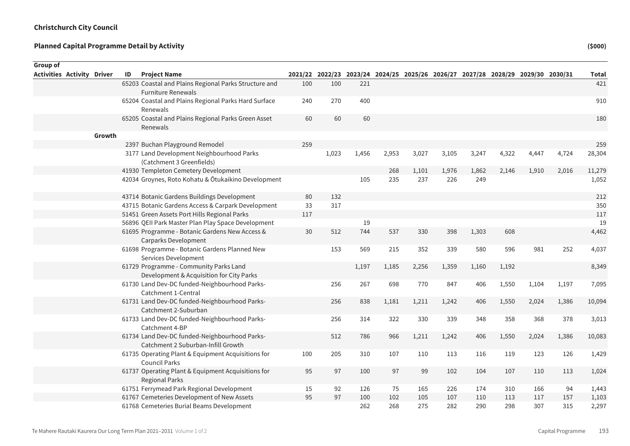| Group of                          |        |    |                                                                                     |     |       |       |       |                                                                                 |       |       |       |       |       |              |
|-----------------------------------|--------|----|-------------------------------------------------------------------------------------|-----|-------|-------|-------|---------------------------------------------------------------------------------|-------|-------|-------|-------|-------|--------------|
| <b>Activities Activity Driver</b> |        | ID | <b>Project Name</b>                                                                 |     |       |       |       | 2021/22 2022/23 2023/24 2024/25 2025/26 2026/27 2027/28 2028/29 2029/30 2030/31 |       |       |       |       |       | <b>Total</b> |
|                                   |        |    | 65203 Coastal and Plains Regional Parks Structure and<br><b>Furniture Renewals</b>  | 100 | 100   | 221   |       |                                                                                 |       |       |       |       |       | 421          |
|                                   |        |    | 65204 Coastal and Plains Regional Parks Hard Surface<br>Renewals                    | 240 | 270   | 400   |       |                                                                                 |       |       |       |       |       | 910          |
|                                   |        |    | 65205 Coastal and Plains Regional Parks Green Asset<br>Renewals                     | 60  | 60    | 60    |       |                                                                                 |       |       |       |       |       | 180          |
|                                   | Growth |    |                                                                                     |     |       |       |       |                                                                                 |       |       |       |       |       |              |
|                                   |        |    | 2397 Buchan Playground Remodel                                                      | 259 |       |       |       |                                                                                 |       |       |       |       |       | 259          |
|                                   |        |    | 3177 Land Development Neighbourhood Parks<br>(Catchment 3 Greenfields)              |     | 1,023 | 1,456 | 2,953 | 3,027                                                                           | 3,105 | 3,247 | 4,322 | 4,447 | 4,724 | 28,304       |
|                                   |        |    | 41930 Templeton Cemetery Development                                                |     |       |       | 268   | 1,101                                                                           | 1,976 | 1,862 | 2,146 | 1,910 | 2,016 | 11,279       |
|                                   |        |    | 42034 Groynes, Roto Kohatu & Ōtukaikino Development                                 |     |       | 105   | 235   | 237                                                                             | 226   | 249   |       |       |       | 1,052        |
|                                   |        |    | 43714 Botanic Gardens Buildings Development                                         | 80  | 132   |       |       |                                                                                 |       |       |       |       |       | 212          |
|                                   |        |    | 43715 Botanic Gardens Access & Carpark Development                                  | 33  | 317   |       |       |                                                                                 |       |       |       |       |       | 350          |
|                                   |        |    | 51451 Green Assets Port Hills Regional Parks                                        | 117 |       |       |       |                                                                                 |       |       |       |       |       | 117          |
|                                   |        |    | 56896 QEII Park Master Plan Play Space Development                                  |     |       | 19    |       |                                                                                 |       |       |       |       |       | 19           |
|                                   |        |    | 61695 Programme - Botanic Gardens New Access &<br>Carparks Development              | 30  | 512   | 744   | 537   | 330                                                                             | 398   | 1,303 | 608   |       |       | 4,462        |
|                                   |        |    | 61698 Programme - Botanic Gardens Planned New<br>Services Development               |     | 153   | 569   | 215   | 352                                                                             | 339   | 580   | 596   | 981   | 252   | 4,037        |
|                                   |        |    | 61729 Programme - Community Parks Land<br>Development & Acquisition for City Parks  |     |       | 1,197 | 1,185 | 2,256                                                                           | 1,359 | 1,160 | 1,192 |       |       | 8,349        |
|                                   |        |    | 61730 Land Dev-DC funded-Neighbourhood Parks-<br>Catchment 1-Central                |     | 256   | 267   | 698   | 770                                                                             | 847   | 406   | 1,550 | 1,104 | 1,197 | 7,095        |
|                                   |        |    | 61731 Land Dev-DC funded-Neighbourhood Parks-<br>Catchment 2-Suburban               |     | 256   | 838   | 1,181 | 1,211                                                                           | 1,242 | 406   | 1,550 | 2,024 | 1,386 | 10,094       |
|                                   |        |    | 61733 Land Dev-DC funded-Neighbourhood Parks-<br>Catchment 4-BP                     |     | 256   | 314   | 322   | 330                                                                             | 339   | 348   | 358   | 368   | 378   | 3,013        |
|                                   |        |    | 61734 Land Dev-DC funded-Neighbourhood Parks-<br>Catchment 2 Suburban-Infill Growth |     | 512   | 786   | 966   | 1,211                                                                           | 1,242 | 406   | 1,550 | 2,024 | 1,386 | 10,083       |
|                                   |        |    | 61735 Operating Plant & Equipment Acquisitions for<br><b>Council Parks</b>          | 100 | 205   | 310   | 107   | 110                                                                             | 113   | 116   | 119   | 123   | 126   | 1,429        |
|                                   |        |    | 61737 Operating Plant & Equipment Acquisitions for<br><b>Regional Parks</b>         | 95  | 97    | 100   | 97    | 99                                                                              | 102   | 104   | 107   | 110   | 113   | 1,024        |
|                                   |        |    | 61751 Ferrymead Park Regional Development                                           | 15  | 92    | 126   | 75    | 165                                                                             | 226   | 174   | 310   | 166   | 94    | 1,443        |
|                                   |        |    | 61767 Cemeteries Development of New Assets                                          | 95  | 97    | 100   | 102   | 105                                                                             | 107   | 110   | 113   | 117   | 157   | 1,103        |
|                                   |        |    | 61768 Cemeteries Burial Beams Development                                           |     |       | 262   | 268   | 275                                                                             | 282   | 290   | 298   | 307   | 315   | 2,297        |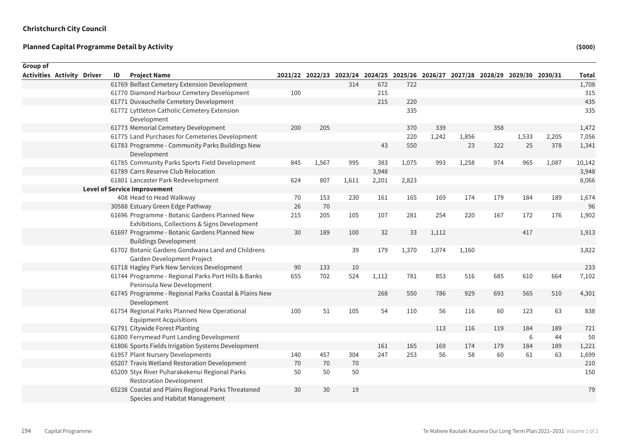| Group of                          |    |                                                                                               |     |       |       |       |                                                                                 |       |       |     |       |       |              |
|-----------------------------------|----|-----------------------------------------------------------------------------------------------|-----|-------|-------|-------|---------------------------------------------------------------------------------|-------|-------|-----|-------|-------|--------------|
| <b>Activities Activity Driver</b> | ID | <b>Project Name</b>                                                                           |     |       |       |       | 2021/22 2022/23 2023/24 2024/25 2025/26 2026/27 2027/28 2028/29 2029/30 2030/31 |       |       |     |       |       | <b>Total</b> |
|                                   |    | 61769 Belfast Cemetery Extension Development                                                  |     |       | 314   | 672   | 722                                                                             |       |       |     |       |       | 1,708        |
|                                   |    | 61770 Diamond Harbour Cemetery Development                                                    | 100 |       |       | 215   |                                                                                 |       |       |     |       |       | 315          |
|                                   |    | 61771 Duvauchelle Cemetery Development                                                        |     |       |       | 215   | 220                                                                             |       |       |     |       |       | 435          |
|                                   |    | 61772 Lyttleton Catholic Cemetery Extension                                                   |     |       |       |       | 335                                                                             |       |       |     |       |       | 335          |
|                                   |    | Development                                                                                   |     |       |       |       |                                                                                 |       |       |     |       |       |              |
|                                   |    | 61773 Memorial Cemetery Development                                                           | 200 | 205   |       |       | 370                                                                             | 339   |       | 358 |       |       | 1,472        |
|                                   |    | 61775 Land Purchases for Cemeteries Development                                               |     |       |       |       | 220                                                                             | 1,242 | 1,856 |     | 1,533 | 2,205 | 7,056        |
|                                   |    | 61783 Programme - Community Parks Buildings New<br>Development                                |     |       |       | 43    | 550                                                                             |       | 23    | 322 | 25    | 378   | 1,341        |
|                                   |    | 61785 Community Parks Sports Field Development                                                | 845 | 1,567 | 995   | 383   | 1,075                                                                           | 993   | 1,258 | 974 | 965   | 1,087 | 10,142       |
|                                   |    | 61789 Carrs Reserve Club Relocation                                                           |     |       |       | 3,948 |                                                                                 |       |       |     |       |       | 3,948        |
|                                   |    | 61801 Lancaster Park Redevelopment                                                            | 624 | 807   | 1,611 | 2,201 | 2,823                                                                           |       |       |     |       |       | 8,066        |
|                                   |    | <b>Level of Service Improvement</b>                                                           |     |       |       |       |                                                                                 |       |       |     |       |       |              |
|                                   |    | 408 Head to Head Walkway                                                                      | 70  | 153   | 230   | 161   | 165                                                                             | 169   | 174   | 179 | 184   | 189   | 1,674        |
|                                   |    | 30588 Estuary Green Edge Pathway                                                              | 26  | 70    |       |       |                                                                                 |       |       |     |       |       | 96           |
|                                   |    | 61696 Programme - Botanic Gardens Planned New<br>Exhibitions, Collections & Signs Development | 215 | 205   | 105   | 107   | 281                                                                             | 254   | 220   | 167 | 172   | 176   | 1,902        |
|                                   |    | 61697 Programme - Botanic Gardens Planned New<br><b>Buildings Development</b>                 | 30  | 189   | 100   | 32    | 33                                                                              | 1,112 |       |     | 417   |       | 1,913        |
|                                   |    | 61702 Botanic Gardens Gondwana Land and Childrens<br>Garden Development Project               |     |       | 39    | 179   | 1,370                                                                           | 1,074 | 1,160 |     |       |       | 3,822        |
|                                   |    | 61718 Hagley Park New Services Development                                                    | 90  | 133   | 10    |       |                                                                                 |       |       |     |       |       | 233          |
|                                   |    | 61744 Programme - Regional Parks Port Hills & Banks<br>Peninsula New Development              | 655 | 702   | 524   | 1,112 | 781                                                                             | 853   | 516   | 685 | 610   | 664   | 7,102        |
|                                   |    | 61745 Programme - Regional Parks Coastal & Plains New<br>Development                          |     |       |       | 268   | 550                                                                             | 786   | 929   | 693 | 565   | 510   | 4,301        |
|                                   |    | 61754 Regional Parks Planned New Operational<br><b>Equipment Acquisitions</b>                 | 100 | 51    | 105   | 54    | 110                                                                             | 56    | 116   | 60  | 123   | 63    | 838          |
|                                   |    | 61791 Citywide Forest Planting                                                                |     |       |       |       |                                                                                 | 113   | 116   | 119 | 184   | 189   | 721          |
|                                   |    | 61800 Ferrymead Punt Landing Development                                                      |     |       |       |       |                                                                                 |       |       |     | 6     | 44    | 50           |
|                                   |    | 61806 Sports Fields Irrigation Systems Development                                            |     |       |       | 161   | 165                                                                             | 169   | 174   | 179 | 184   | 189   | 1,221        |
|                                   |    | 61957 Plant Nursery Developments                                                              | 140 | 457   | 304   | 247   | 253                                                                             | 56    | 58    | 60  | 61    | 63    | 1,699        |
|                                   |    | 65207 Travis Wetland Restoration Development                                                  | 70  | 70    | 70    |       |                                                                                 |       |       |     |       |       | 210          |
|                                   |    | 65209 Styx River Puharakekenui Regional Parks<br><b>Restoration Development</b>               | 50  | 50    | 50    |       |                                                                                 |       |       |     |       |       | 150          |
|                                   |    | 65238 Coastal and Plains Regional Parks Threatened<br>Species and Habitat Management          | 30  | 30    | 19    |       |                                                                                 |       |       |     |       |       | 79           |
|                                   |    |                                                                                               |     |       |       |       |                                                                                 |       |       |     |       |       |              |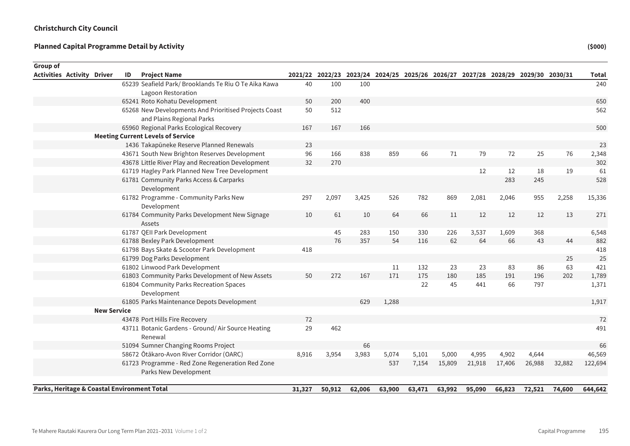| 65239 Seafield Park/ Brooklands Te Riu O Te Aika Kawa<br>40<br>100<br>100<br>Lagoon Restoration<br>65241 Roto Kohatu Development<br>200<br>400<br>50<br>65268 New Developments And Prioritised Projects Coast<br>512<br>50<br>and Plains Regional Parks<br>65960 Regional Parks Ecological Recovery<br>167<br>167<br>166<br><b>Meeting Current Levels of Service</b><br>1436 Takapūneke Reserve Planned Renewals<br>23<br>43671 South New Brighton Reserves Development<br>96<br>166<br>838<br>859<br>66<br>71<br>79<br>72<br>25<br>76<br>43678 Little River Play and Recreation Development<br>32<br>270<br>61719 Hagley Park Planned New Tree Development<br>12<br>19<br>12<br>18<br>61781 Community Parks Access & Carparks<br>283<br>245<br>Development<br>61782 Programme - Community Parks New<br>955<br>297<br>2,097<br>3,425<br>526<br>782<br>869<br>2,081<br>2,046<br>2,258<br>Development<br>12<br>61784 Community Parks Development New Signage<br>61<br>11<br>12<br>12<br>13<br>10<br>10<br>64<br>66<br>Assets<br>61787 QEII Park Development<br>45<br>226<br>3,537<br>1,609<br>368<br>283<br>150<br>330<br>76<br>61788 Bexley Park Development<br>62<br>64<br>66<br>43<br>357<br>54<br>116<br>44<br>61798 Bays Skate & Scooter Park Development<br>418<br>61799 Dog Parks Development<br>25<br>61802 Linwood Park Development<br>63<br>132<br>23<br>23<br>83<br>86<br>11<br>175<br>202<br>61803 Community Parks Development of New Assets<br>50<br>272<br>167<br>171<br>180<br>185<br>191<br>196<br>61804 Community Parks Recreation Spaces<br>45<br>441<br>66<br>797<br>22<br>Development<br>61805 Parks Maintenance Depots Development<br>629<br>1,288<br><b>New Service</b><br>43478 Port Hills Fire Recovery<br>72 | Total   | 2021/22 2022/23 2023/24 2024/25 2025/26 2026/27 2027/28 2028/29 2029/30 2030/31 |  |  |  |     |    | <b>Project Name</b><br>ID                         | Group of<br><b>Activities Activity Driver</b> |
|-------------------------------------------------------------------------------------------------------------------------------------------------------------------------------------------------------------------------------------------------------------------------------------------------------------------------------------------------------------------------------------------------------------------------------------------------------------------------------------------------------------------------------------------------------------------------------------------------------------------------------------------------------------------------------------------------------------------------------------------------------------------------------------------------------------------------------------------------------------------------------------------------------------------------------------------------------------------------------------------------------------------------------------------------------------------------------------------------------------------------------------------------------------------------------------------------------------------------------------------------------------------------------------------------------------------------------------------------------------------------------------------------------------------------------------------------------------------------------------------------------------------------------------------------------------------------------------------------------------------------------------------------------------------------------------------------------------------------------------|---------|---------------------------------------------------------------------------------|--|--|--|-----|----|---------------------------------------------------|-----------------------------------------------|
|                                                                                                                                                                                                                                                                                                                                                                                                                                                                                                                                                                                                                                                                                                                                                                                                                                                                                                                                                                                                                                                                                                                                                                                                                                                                                                                                                                                                                                                                                                                                                                                                                                                                                                                                     | 240     |                                                                                 |  |  |  |     |    |                                                   |                                               |
|                                                                                                                                                                                                                                                                                                                                                                                                                                                                                                                                                                                                                                                                                                                                                                                                                                                                                                                                                                                                                                                                                                                                                                                                                                                                                                                                                                                                                                                                                                                                                                                                                                                                                                                                     |         |                                                                                 |  |  |  |     |    |                                                   |                                               |
|                                                                                                                                                                                                                                                                                                                                                                                                                                                                                                                                                                                                                                                                                                                                                                                                                                                                                                                                                                                                                                                                                                                                                                                                                                                                                                                                                                                                                                                                                                                                                                                                                                                                                                                                     | 650     |                                                                                 |  |  |  |     |    |                                                   |                                               |
|                                                                                                                                                                                                                                                                                                                                                                                                                                                                                                                                                                                                                                                                                                                                                                                                                                                                                                                                                                                                                                                                                                                                                                                                                                                                                                                                                                                                                                                                                                                                                                                                                                                                                                                                     | 562     |                                                                                 |  |  |  |     |    |                                                   |                                               |
|                                                                                                                                                                                                                                                                                                                                                                                                                                                                                                                                                                                                                                                                                                                                                                                                                                                                                                                                                                                                                                                                                                                                                                                                                                                                                                                                                                                                                                                                                                                                                                                                                                                                                                                                     |         |                                                                                 |  |  |  |     |    |                                                   |                                               |
|                                                                                                                                                                                                                                                                                                                                                                                                                                                                                                                                                                                                                                                                                                                                                                                                                                                                                                                                                                                                                                                                                                                                                                                                                                                                                                                                                                                                                                                                                                                                                                                                                                                                                                                                     | 500     |                                                                                 |  |  |  |     |    |                                                   |                                               |
|                                                                                                                                                                                                                                                                                                                                                                                                                                                                                                                                                                                                                                                                                                                                                                                                                                                                                                                                                                                                                                                                                                                                                                                                                                                                                                                                                                                                                                                                                                                                                                                                                                                                                                                                     |         |                                                                                 |  |  |  |     |    |                                                   |                                               |
|                                                                                                                                                                                                                                                                                                                                                                                                                                                                                                                                                                                                                                                                                                                                                                                                                                                                                                                                                                                                                                                                                                                                                                                                                                                                                                                                                                                                                                                                                                                                                                                                                                                                                                                                     | 23      |                                                                                 |  |  |  |     |    |                                                   |                                               |
|                                                                                                                                                                                                                                                                                                                                                                                                                                                                                                                                                                                                                                                                                                                                                                                                                                                                                                                                                                                                                                                                                                                                                                                                                                                                                                                                                                                                                                                                                                                                                                                                                                                                                                                                     | 2,348   |                                                                                 |  |  |  |     |    |                                                   |                                               |
|                                                                                                                                                                                                                                                                                                                                                                                                                                                                                                                                                                                                                                                                                                                                                                                                                                                                                                                                                                                                                                                                                                                                                                                                                                                                                                                                                                                                                                                                                                                                                                                                                                                                                                                                     | 302     |                                                                                 |  |  |  |     |    |                                                   |                                               |
|                                                                                                                                                                                                                                                                                                                                                                                                                                                                                                                                                                                                                                                                                                                                                                                                                                                                                                                                                                                                                                                                                                                                                                                                                                                                                                                                                                                                                                                                                                                                                                                                                                                                                                                                     | 61      |                                                                                 |  |  |  |     |    |                                                   |                                               |
|                                                                                                                                                                                                                                                                                                                                                                                                                                                                                                                                                                                                                                                                                                                                                                                                                                                                                                                                                                                                                                                                                                                                                                                                                                                                                                                                                                                                                                                                                                                                                                                                                                                                                                                                     | 528     |                                                                                 |  |  |  |     |    |                                                   |                                               |
|                                                                                                                                                                                                                                                                                                                                                                                                                                                                                                                                                                                                                                                                                                                                                                                                                                                                                                                                                                                                                                                                                                                                                                                                                                                                                                                                                                                                                                                                                                                                                                                                                                                                                                                                     |         |                                                                                 |  |  |  |     |    |                                                   |                                               |
|                                                                                                                                                                                                                                                                                                                                                                                                                                                                                                                                                                                                                                                                                                                                                                                                                                                                                                                                                                                                                                                                                                                                                                                                                                                                                                                                                                                                                                                                                                                                                                                                                                                                                                                                     | 15,336  |                                                                                 |  |  |  |     |    |                                                   |                                               |
|                                                                                                                                                                                                                                                                                                                                                                                                                                                                                                                                                                                                                                                                                                                                                                                                                                                                                                                                                                                                                                                                                                                                                                                                                                                                                                                                                                                                                                                                                                                                                                                                                                                                                                                                     | 271     |                                                                                 |  |  |  |     |    |                                                   |                                               |
|                                                                                                                                                                                                                                                                                                                                                                                                                                                                                                                                                                                                                                                                                                                                                                                                                                                                                                                                                                                                                                                                                                                                                                                                                                                                                                                                                                                                                                                                                                                                                                                                                                                                                                                                     | 6,548   |                                                                                 |  |  |  |     |    |                                                   |                                               |
|                                                                                                                                                                                                                                                                                                                                                                                                                                                                                                                                                                                                                                                                                                                                                                                                                                                                                                                                                                                                                                                                                                                                                                                                                                                                                                                                                                                                                                                                                                                                                                                                                                                                                                                                     | 882     |                                                                                 |  |  |  |     |    |                                                   |                                               |
|                                                                                                                                                                                                                                                                                                                                                                                                                                                                                                                                                                                                                                                                                                                                                                                                                                                                                                                                                                                                                                                                                                                                                                                                                                                                                                                                                                                                                                                                                                                                                                                                                                                                                                                                     | 418     |                                                                                 |  |  |  |     |    |                                                   |                                               |
|                                                                                                                                                                                                                                                                                                                                                                                                                                                                                                                                                                                                                                                                                                                                                                                                                                                                                                                                                                                                                                                                                                                                                                                                                                                                                                                                                                                                                                                                                                                                                                                                                                                                                                                                     | 25      |                                                                                 |  |  |  |     |    |                                                   |                                               |
|                                                                                                                                                                                                                                                                                                                                                                                                                                                                                                                                                                                                                                                                                                                                                                                                                                                                                                                                                                                                                                                                                                                                                                                                                                                                                                                                                                                                                                                                                                                                                                                                                                                                                                                                     | 421     |                                                                                 |  |  |  |     |    |                                                   |                                               |
|                                                                                                                                                                                                                                                                                                                                                                                                                                                                                                                                                                                                                                                                                                                                                                                                                                                                                                                                                                                                                                                                                                                                                                                                                                                                                                                                                                                                                                                                                                                                                                                                                                                                                                                                     | 1,789   |                                                                                 |  |  |  |     |    |                                                   |                                               |
|                                                                                                                                                                                                                                                                                                                                                                                                                                                                                                                                                                                                                                                                                                                                                                                                                                                                                                                                                                                                                                                                                                                                                                                                                                                                                                                                                                                                                                                                                                                                                                                                                                                                                                                                     | 1,371   |                                                                                 |  |  |  |     |    |                                                   |                                               |
|                                                                                                                                                                                                                                                                                                                                                                                                                                                                                                                                                                                                                                                                                                                                                                                                                                                                                                                                                                                                                                                                                                                                                                                                                                                                                                                                                                                                                                                                                                                                                                                                                                                                                                                                     | 1,917   |                                                                                 |  |  |  |     |    |                                                   |                                               |
|                                                                                                                                                                                                                                                                                                                                                                                                                                                                                                                                                                                                                                                                                                                                                                                                                                                                                                                                                                                                                                                                                                                                                                                                                                                                                                                                                                                                                                                                                                                                                                                                                                                                                                                                     |         |                                                                                 |  |  |  |     |    |                                                   |                                               |
|                                                                                                                                                                                                                                                                                                                                                                                                                                                                                                                                                                                                                                                                                                                                                                                                                                                                                                                                                                                                                                                                                                                                                                                                                                                                                                                                                                                                                                                                                                                                                                                                                                                                                                                                     | 72      |                                                                                 |  |  |  |     |    |                                                   |                                               |
| Renewal                                                                                                                                                                                                                                                                                                                                                                                                                                                                                                                                                                                                                                                                                                                                                                                                                                                                                                                                                                                                                                                                                                                                                                                                                                                                                                                                                                                                                                                                                                                                                                                                                                                                                                                             | 491     |                                                                                 |  |  |  | 462 | 29 | 43711 Botanic Gardens - Ground/Air Source Heating |                                               |
| 51094 Sumner Changing Rooms Project<br>66                                                                                                                                                                                                                                                                                                                                                                                                                                                                                                                                                                                                                                                                                                                                                                                                                                                                                                                                                                                                                                                                                                                                                                                                                                                                                                                                                                                                                                                                                                                                                                                                                                                                                           | 66      |                                                                                 |  |  |  |     |    |                                                   |                                               |
| 58672 Ōtākaro-Avon River Corridor (OARC)<br>3,954<br>3,983<br>5,074<br>5,101<br>5,000<br>4,995<br>4,902<br>8,916<br>4,644                                                                                                                                                                                                                                                                                                                                                                                                                                                                                                                                                                                                                                                                                                                                                                                                                                                                                                                                                                                                                                                                                                                                                                                                                                                                                                                                                                                                                                                                                                                                                                                                           | 46,569  |                                                                                 |  |  |  |     |    |                                                   |                                               |
| 61723 Programme - Red Zone Regeneration Red Zone<br>537<br>7,154<br>15,809<br>21,918<br>17,406<br>26,988<br>32,882<br>Parks New Development                                                                                                                                                                                                                                                                                                                                                                                                                                                                                                                                                                                                                                                                                                                                                                                                                                                                                                                                                                                                                                                                                                                                                                                                                                                                                                                                                                                                                                                                                                                                                                                         | 122,694 |                                                                                 |  |  |  |     |    |                                                   |                                               |
| Parks, Heritage & Coastal Environment Total<br>31,327<br>63,900<br>63,471<br>63,992<br>95,090<br>72,521<br>50,912<br>62,006<br>66,823<br>74,600                                                                                                                                                                                                                                                                                                                                                                                                                                                                                                                                                                                                                                                                                                                                                                                                                                                                                                                                                                                                                                                                                                                                                                                                                                                                                                                                                                                                                                                                                                                                                                                     | 644,642 |                                                                                 |  |  |  |     |    |                                                   |                                               |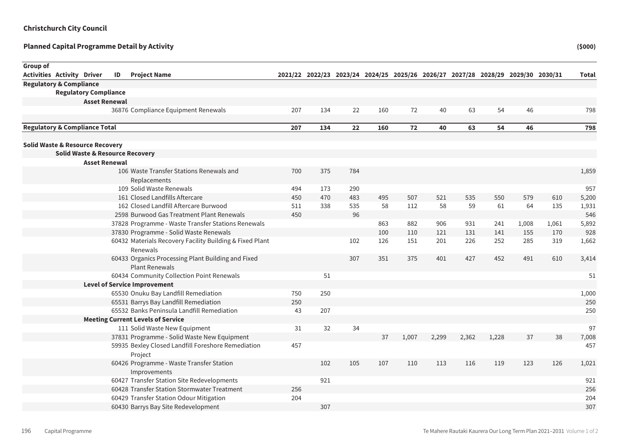| Group of |                                            |                                            |    |                                                                             |     |            |            |                                                                                 |       |       |       |       |       |       |       |
|----------|--------------------------------------------|--------------------------------------------|----|-----------------------------------------------------------------------------|-----|------------|------------|---------------------------------------------------------------------------------|-------|-------|-------|-------|-------|-------|-------|
|          | <b>Activities Activity Driver</b>          |                                            | ID | <b>Project Name</b>                                                         |     |            |            | 2021/22 2022/23 2023/24 2024/25 2025/26 2026/27 2027/28 2028/29 2029/30 2030/31 |       |       |       |       |       |       | Total |
|          | <b>Regulatory &amp; Compliance</b>         |                                            |    |                                                                             |     |            |            |                                                                                 |       |       |       |       |       |       |       |
|          |                                            | <b>Regulatory Compliance</b>               |    |                                                                             |     |            |            |                                                                                 |       |       |       |       |       |       |       |
|          |                                            | <b>Asset Renewal</b>                       |    |                                                                             |     |            |            |                                                                                 |       |       |       |       |       |       |       |
|          |                                            |                                            |    | 36876 Compliance Equipment Renewals                                         | 207 | 134        | 22         | 160                                                                             | 72    | 40    | 63    | 54    | 46    |       | 798   |
|          | <b>Regulatory &amp; Compliance Total</b>   |                                            |    |                                                                             | 207 | 134        | 22         | 160                                                                             | 72    | 40    | 63    | 54    | 46    |       | 798   |
|          |                                            |                                            |    |                                                                             |     |            |            |                                                                                 |       |       |       |       |       |       |       |
|          | <b>Solid Waste &amp; Resource Recovery</b> |                                            |    |                                                                             |     |            |            |                                                                                 |       |       |       |       |       |       |       |
|          |                                            | <b>Solid Waste &amp; Resource Recovery</b> |    |                                                                             |     |            |            |                                                                                 |       |       |       |       |       |       |       |
|          |                                            | <b>Asset Renewal</b>                       |    |                                                                             |     | 375        | 784        |                                                                                 |       |       |       |       |       |       |       |
|          |                                            |                                            |    | 106 Waste Transfer Stations Renewals and                                    | 700 |            |            |                                                                                 |       |       |       |       |       |       | 1,859 |
|          |                                            |                                            |    | Replacements<br>109 Solid Waste Renewals                                    | 494 |            | 290        |                                                                                 |       |       |       |       |       |       | 957   |
|          |                                            |                                            |    | 161 Closed Landfills Aftercare                                              | 450 | 173<br>470 |            | 495                                                                             | 507   | 521   | 535   | 550   | 579   | 610   | 5,200 |
|          |                                            |                                            |    | 162 Closed Landfill Aftercare Burwood                                       | 511 | 338        | 483<br>535 | 58                                                                              | 112   | 58    | 59    | 61    | 64    | 135   | 1,931 |
|          |                                            |                                            |    | 2598 Burwood Gas Treatment Plant Renewals                                   | 450 |            | 96         |                                                                                 |       |       |       |       |       |       | 546   |
|          |                                            |                                            |    | 37828 Programme - Waste Transfer Stations Renewals                          |     |            |            | 863                                                                             | 882   | 906   | 931   | 241   | 1,008 | 1,061 | 5,892 |
|          |                                            |                                            |    | 37830 Programme - Solid Waste Renewals                                      |     |            |            | 100                                                                             | 110   | 121   | 131   | 141   | 155   | 170   | 928   |
|          |                                            |                                            |    | 60432 Materials Recovery Facility Building & Fixed Plant<br>Renewals        |     |            | 102        | 126                                                                             | 151   | 201   | 226   | 252   | 285   | 319   | 1,662 |
|          |                                            |                                            |    | 60433 Organics Processing Plant Building and Fixed<br><b>Plant Renewals</b> |     |            | 307        | 351                                                                             | 375   | 401   | 427   | 452   | 491   | 610   | 3,414 |
|          |                                            |                                            |    | 60434 Community Collection Point Renewals                                   |     | 51         |            |                                                                                 |       |       |       |       |       |       | 51    |
|          |                                            |                                            |    | <b>Level of Service Improvement</b>                                         |     |            |            |                                                                                 |       |       |       |       |       |       |       |
|          |                                            |                                            |    | 65530 Onuku Bay Landfill Remediation                                        | 750 | 250        |            |                                                                                 |       |       |       |       |       |       | 1,000 |
|          |                                            |                                            |    | 65531 Barrys Bay Landfill Remediation                                       | 250 |            |            |                                                                                 |       |       |       |       |       |       | 250   |
|          |                                            |                                            |    | 65532 Banks Peninsula Landfill Remediation                                  | 43  | 207        |            |                                                                                 |       |       |       |       |       |       | 250   |
|          |                                            |                                            |    | <b>Meeting Current Levels of Service</b>                                    |     |            |            |                                                                                 |       |       |       |       |       |       |       |
|          |                                            |                                            |    | 111 Solid Waste New Equipment                                               | 31  | 32         | 34         |                                                                                 |       |       |       |       |       |       | 97    |
|          |                                            |                                            |    | 37831 Programme - Solid Waste New Equipment                                 |     |            |            | 37                                                                              | 1,007 | 2,299 | 2,362 | 1,228 | 37    | 38    | 7,008 |
|          |                                            |                                            |    | 59935 Bexley Closed Landfill Foreshore Remediation<br>Project               | 457 |            |            |                                                                                 |       |       |       |       |       |       | 457   |
|          |                                            |                                            |    | 60426 Programme - Waste Transfer Station<br>Improvements                    |     | 102        | 105        | 107                                                                             | 110   | 113   | 116   | 119   | 123   | 126   | 1,021 |
|          |                                            |                                            |    | 60427 Transfer Station Site Redevelopments                                  |     | 921        |            |                                                                                 |       |       |       |       |       |       | 921   |
|          |                                            |                                            |    | 60428 Transfer Station Stormwater Treatment                                 | 256 |            |            |                                                                                 |       |       |       |       |       |       | 256   |
|          |                                            |                                            |    | 60429 Transfer Station Odour Mitigation                                     | 204 |            |            |                                                                                 |       |       |       |       |       |       | 204   |
|          |                                            |                                            |    | 60430 Barrys Bay Site Redevelopment                                         |     | 307        |            |                                                                                 |       |       |       |       |       |       | 307   |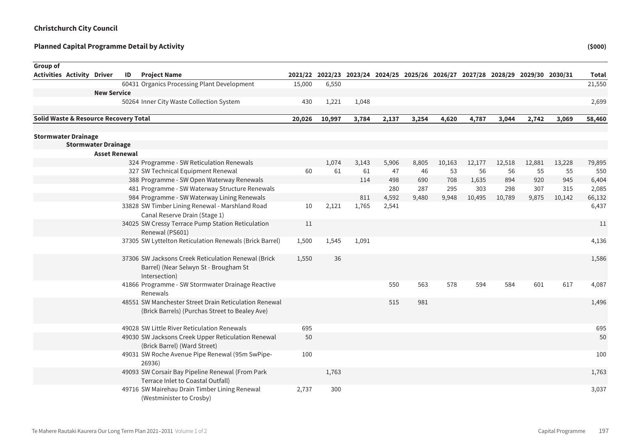| Group of                              |                            |    |                                                                                                               |        |        |       |       |                                                                                 |        |        |        |        |        |              |
|---------------------------------------|----------------------------|----|---------------------------------------------------------------------------------------------------------------|--------|--------|-------|-------|---------------------------------------------------------------------------------|--------|--------|--------|--------|--------|--------------|
| <b>Activities Activity Driver</b>     |                            | ID | <b>Project Name</b>                                                                                           |        |        |       |       | 2021/22 2022/23 2023/24 2024/25 2025/26 2026/27 2027/28 2028/29 2029/30 2030/31 |        |        |        |        |        | <b>Total</b> |
|                                       |                            |    | 60431 Organics Processing Plant Development                                                                   | 15,000 | 6,550  |       |       |                                                                                 |        |        |        |        |        | 21,550       |
|                                       | <b>New Service</b>         |    |                                                                                                               |        |        |       |       |                                                                                 |        |        |        |        |        |              |
|                                       |                            |    | 50264 Inner City Waste Collection System                                                                      | 430    | 1,221  | 1,048 |       |                                                                                 |        |        |        |        |        | 2,699        |
| Solid Waste & Resource Recovery Total |                            |    |                                                                                                               | 20,026 | 10,997 | 3,784 | 2,137 | 3,254                                                                           | 4,620  | 4,787  | 3,044  | 2,742  | 3,069  | 58,460       |
|                                       |                            |    |                                                                                                               |        |        |       |       |                                                                                 |        |        |        |        |        |              |
| <b>Stormwater Drainage</b>            |                            |    |                                                                                                               |        |        |       |       |                                                                                 |        |        |        |        |        |              |
|                                       | <b>Stormwater Drainage</b> |    |                                                                                                               |        |        |       |       |                                                                                 |        |        |        |        |        |              |
|                                       | <b>Asset Renewal</b>       |    |                                                                                                               |        |        |       |       |                                                                                 |        |        |        |        |        |              |
|                                       |                            |    | 324 Programme - SW Reticulation Renewals                                                                      |        | 1,074  | 3,143 | 5,906 | 8,805                                                                           | 10,163 | 12,177 | 12,518 | 12,881 | 13,228 | 79,895       |
|                                       |                            |    | 327 SW Technical Equipment Renewal                                                                            | 60     | 61     | 61    | 47    | 46                                                                              | 53     | 56     | 56     | 55     | 55     | 550          |
|                                       |                            |    | 388 Programme - SW Open Waterway Renewals                                                                     |        |        | 114   | 498   | 690                                                                             | 708    | 1,635  | 894    | 920    | 945    | 6,404        |
|                                       |                            |    | 481 Programme - SW Waterway Structure Renewals                                                                |        |        |       | 280   | 287                                                                             | 295    | 303    | 298    | 307    | 315    | 2,085        |
|                                       |                            |    | 984 Programme - SW Waterway Lining Renewals                                                                   |        |        | 811   | 4,592 | 9,480                                                                           | 9,948  | 10,495 | 10,789 | 9,875  | 10,142 | 66,132       |
|                                       |                            |    | 33828 SW Timber Lining Renewal - Marshland Road<br>Canal Reserve Drain (Stage 1)                              | 10     | 2,121  | 1,765 | 2,541 |                                                                                 |        |        |        |        |        | 6,437        |
|                                       |                            |    | 34025 SW Cressy Terrace Pump Station Reticulation<br>Renewal (PS601)                                          | 11     |        |       |       |                                                                                 |        |        |        |        |        | 11           |
|                                       |                            |    | 37305 SW Lyttelton Reticulation Renewals (Brick Barrel)                                                       | 1,500  | 1,545  | 1,091 |       |                                                                                 |        |        |        |        |        | 4,136        |
|                                       |                            |    | 37306 SW Jacksons Creek Reticulation Renewal (Brick<br>Barrel) (Near Selwyn St - Brougham St<br>Intersection) | 1,550  | 36     |       |       |                                                                                 |        |        |        |        |        | 1,586        |
|                                       |                            |    | 41866 Programme - SW Stormwater Drainage Reactive<br>Renewals                                                 |        |        |       | 550   | 563                                                                             | 578    | 594    | 584    | 601    | 617    | 4,087        |
|                                       |                            |    | 48551 SW Manchester Street Drain Reticulation Renewal<br>(Brick Barrels) (Purchas Street to Bealey Ave)       |        |        |       | 515   | 981                                                                             |        |        |        |        |        | 1,496        |
|                                       |                            |    | 49028 SW Little River Reticulation Renewals                                                                   | 695    |        |       |       |                                                                                 |        |        |        |        |        | 695          |
|                                       |                            |    | 49030 SW Jacksons Creek Upper Reticulation Renewal<br>(Brick Barrel) (Ward Street)                            | 50     |        |       |       |                                                                                 |        |        |        |        |        | 50           |
|                                       |                            |    | 49031 SW Roche Avenue Pipe Renewal (95m SwPipe-<br>26936)                                                     | 100    |        |       |       |                                                                                 |        |        |        |        |        | 100          |
|                                       |                            |    | 49093 SW Corsair Bay Pipeline Renewal (From Park<br>Terrace Inlet to Coastal Outfall)                         |        | 1,763  |       |       |                                                                                 |        |        |        |        |        | 1,763        |
|                                       |                            |    | 49716 SW Mairehau Drain Timber Lining Renewal<br>(Westminister to Crosby)                                     | 2,737  | 300    |       |       |                                                                                 |        |        |        |        |        | 3,037        |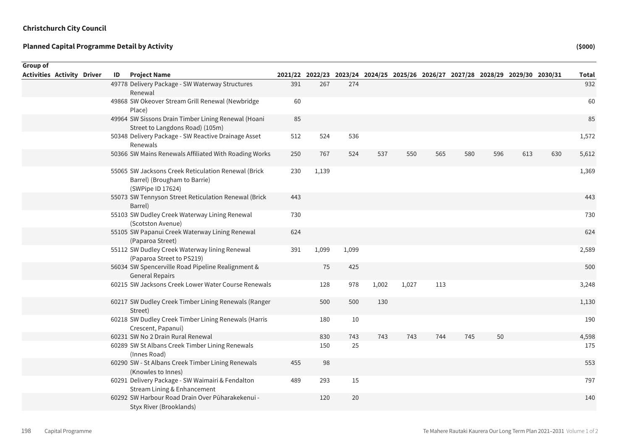| Group of                          |  |    |                                                                                                          |     |       |       |       |                                                                                 |     |     |     |     |     |              |
|-----------------------------------|--|----|----------------------------------------------------------------------------------------------------------|-----|-------|-------|-------|---------------------------------------------------------------------------------|-----|-----|-----|-----|-----|--------------|
| <b>Activities Activity Driver</b> |  | ID | <b>Project Name</b>                                                                                      |     |       |       |       | 2021/22 2022/23 2023/24 2024/25 2025/26 2026/27 2027/28 2028/29 2029/30 2030/31 |     |     |     |     |     | <b>Total</b> |
|                                   |  |    | 49778 Delivery Package - SW Waterway Structures<br>Renewal                                               | 391 | 267   | 274   |       |                                                                                 |     |     |     |     |     | 932          |
|                                   |  |    | 49868 SW Okeover Stream Grill Renewal (Newbridge<br>Place)                                               | 60  |       |       |       |                                                                                 |     |     |     |     |     | 60           |
|                                   |  |    | 49964 SW Sissons Drain Timber Lining Renewal (Hoani<br>Street to Langdons Road) (105m)                   | 85  |       |       |       |                                                                                 |     |     |     |     |     | 85           |
|                                   |  |    | 50348 Delivery Package - SW Reactive Drainage Asset<br>Renewals                                          | 512 | 524   | 536   |       |                                                                                 |     |     |     |     |     | 1,572        |
|                                   |  |    | 50366 SW Mains Renewals Affiliated With Roading Works                                                    | 250 | 767   | 524   | 537   | 550                                                                             | 565 | 580 | 596 | 613 | 630 | 5,612        |
|                                   |  |    | 55065 SW Jacksons Creek Reticulation Renewal (Brick<br>Barrel) (Brougham to Barrie)<br>(SWPipe ID 17624) | 230 | 1,139 |       |       |                                                                                 |     |     |     |     |     | 1,369        |
|                                   |  |    | 55073 SW Tennyson Street Reticulation Renewal (Brick<br>Barrel)                                          | 443 |       |       |       |                                                                                 |     |     |     |     |     | 443          |
|                                   |  |    | 55103 SW Dudley Creek Waterway Lining Renewal<br>(Scotston Avenue)                                       | 730 |       |       |       |                                                                                 |     |     |     |     |     | 730          |
|                                   |  |    | 55105 SW Papanui Creek Waterway Lining Renewal<br>(Paparoa Street)                                       | 624 |       |       |       |                                                                                 |     |     |     |     |     | 624          |
|                                   |  |    | 55112 SW Dudley Creek Waterway lining Renewal<br>(Paparoa Street to PS219)                               | 391 | 1,099 | 1,099 |       |                                                                                 |     |     |     |     |     | 2,589        |
|                                   |  |    | 56034 SW Spencerville Road Pipeline Realignment &<br><b>General Repairs</b>                              |     | 75    | 425   |       |                                                                                 |     |     |     |     |     | 500          |
|                                   |  |    | 60215 SW Jacksons Creek Lower Water Course Renewals                                                      |     | 128   | 978   | 1,002 | 1,027                                                                           | 113 |     |     |     |     | 3,248        |
|                                   |  |    | 60217 SW Dudley Creek Timber Lining Renewals (Ranger<br>Street)                                          |     | 500   | 500   | 130   |                                                                                 |     |     |     |     |     | 1,130        |
|                                   |  |    | 60218 SW Dudley Creek Timber Lining Renewals (Harris<br>Crescent, Papanui)                               |     | 180   | 10    |       |                                                                                 |     |     |     |     |     | 190          |
|                                   |  |    | 60231 SW No 2 Drain Rural Renewal                                                                        |     | 830   | 743   | 743   | 743                                                                             | 744 | 745 | 50  |     |     | 4,598        |
|                                   |  |    | 60289 SW St Albans Creek Timber Lining Renewals<br>(Innes Road)                                          |     | 150   | 25    |       |                                                                                 |     |     |     |     |     | 175          |
|                                   |  |    | 60290 SW - St Albans Creek Timber Lining Renewals<br>(Knowles to Innes)                                  | 455 | 98    |       |       |                                                                                 |     |     |     |     |     | 553          |
|                                   |  |    | 60291 Delivery Package - SW Waimairi & Fendalton<br>Stream Lining & Enhancement                          | 489 | 293   | 15    |       |                                                                                 |     |     |     |     |     | 797          |
|                                   |  |    | 60292 SW Harbour Road Drain Over Pūharakekenui -<br>Styx River (Brooklands)                              |     | 120   | 20    |       |                                                                                 |     |     |     |     |     | 140          |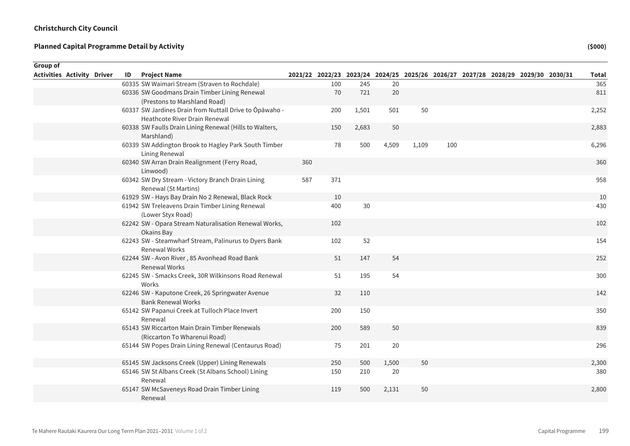| Group of                          |    |                                                                               |     |     |       |       |       |     |                                                                                 |  |              |
|-----------------------------------|----|-------------------------------------------------------------------------------|-----|-----|-------|-------|-------|-----|---------------------------------------------------------------------------------|--|--------------|
| <b>Activities Activity Driver</b> | ID | <b>Project Name</b>                                                           |     |     |       |       |       |     | 2021/22 2022/23 2023/24 2024/25 2025/26 2026/27 2027/28 2028/29 2029/30 2030/31 |  | <b>Total</b> |
|                                   |    | 60335 SW Waimari Stream (Straven to Rochdale)                                 |     | 100 | 245   | 20    |       |     |                                                                                 |  | 365          |
|                                   |    | 60336 SW Goodmans Drain Timber Lining Renewal                                 |     | 70  | 721   | 20    |       |     |                                                                                 |  | 811          |
|                                   |    | (Prestons to Marshland Road)                                                  |     |     |       |       |       |     |                                                                                 |  |              |
|                                   |    | 60337 SW Jardines Drain from Nuttall Drive to Ōpāwaho -                       |     | 200 | 1,501 | 501   | 50    |     |                                                                                 |  | 2,252        |
|                                   |    | <b>Heathcote River Drain Renewal</b>                                          |     |     |       |       |       |     |                                                                                 |  |              |
|                                   |    | 60338 SW Faulls Drain Lining Renewal (Hills to Walters,<br>Marshland)         |     | 150 | 2,683 | 50    |       |     |                                                                                 |  | 2,883        |
|                                   |    | 60339 SW Addington Brook to Hagley Park South Timber<br>Lining Renewal        |     | 78  | 500   | 4,509 | 1,109 | 100 |                                                                                 |  | 6,296        |
|                                   |    | 60340 SW Arran Drain Realignment (Ferry Road,<br>Linwood)                     | 360 |     |       |       |       |     |                                                                                 |  | 360          |
|                                   |    | 60342 SW Dry Stream - Victory Branch Drain Lining<br>Renewal (St Martins)     | 587 | 371 |       |       |       |     |                                                                                 |  | 958          |
|                                   |    | 61929 SW - Hays Bay Drain No 2 Renewal, Black Rock                            |     | 10  |       |       |       |     |                                                                                 |  | 10           |
|                                   |    | 61942 SW Treleavens Drain Timber Lining Renewal<br>(Lower Styx Road)          |     | 400 | 30    |       |       |     |                                                                                 |  | 430          |
|                                   |    | 62242 SW - Opara Stream Naturalisation Renewal Works,<br>Okains Bay           |     | 102 |       |       |       |     |                                                                                 |  | 102          |
|                                   |    | 62243 SW - Steamwharf Stream, Palinurus to Dyers Bank<br>Renewal Works        |     | 102 | 52    |       |       |     |                                                                                 |  | 154          |
|                                   |    | 62244 SW - Avon River, 85 Avonhead Road Bank<br><b>Renewal Works</b>          |     | 51  | 147   | 54    |       |     |                                                                                 |  | 252          |
|                                   |    | 62245 SW - Smacks Creek, 30R Wilkinsons Road Renewal<br>Works                 |     | 51  | 195   | 54    |       |     |                                                                                 |  | 300          |
|                                   |    | 62246 SW - Kaputone Creek, 26 Springwater Avenue<br><b>Bank Renewal Works</b> |     | 32  | 110   |       |       |     |                                                                                 |  | 142          |
|                                   |    | 65142 SW Papanui Creek at Tulloch Place Invert<br>Renewal                     |     | 200 | 150   |       |       |     |                                                                                 |  | 350          |
|                                   |    | 65143 SW Riccarton Main Drain Timber Renewals<br>(Riccarton To Wharenui Road) |     | 200 | 589   | 50    |       |     |                                                                                 |  | 839          |
|                                   |    | 65144 SW Popes Drain Lining Renewal (Centaurus Road)                          |     | 75  | 201   | 20    |       |     |                                                                                 |  | 296          |
|                                   |    | 65145 SW Jacksons Creek (Upper) Lining Renewals                               |     | 250 | 500   | 1,500 | 50    |     |                                                                                 |  | 2,300        |
|                                   |    | 65146 SW St Albans Creek (St Albans School) Lining<br>Renewal                 |     | 150 | 210   | 20    |       |     |                                                                                 |  | 380          |
|                                   |    | 65147 SW McSaveneys Road Drain Timber Lining<br>Renewal                       |     | 119 | 500   | 2,131 | 50    |     |                                                                                 |  | 2,800        |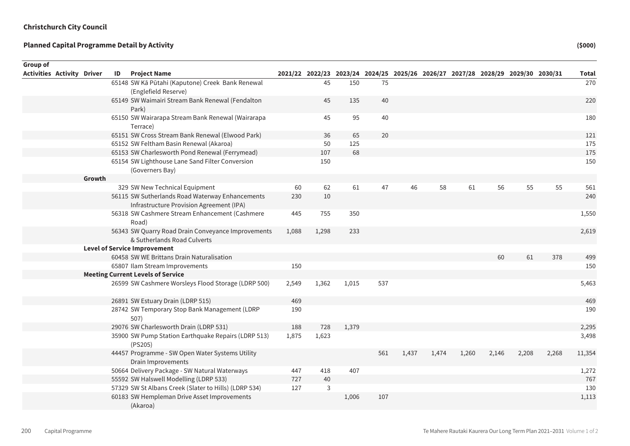| Group of                          |        |    |                                                                                             |       |       |       |     |       |       |       |       |                                                                                 |       |              |
|-----------------------------------|--------|----|---------------------------------------------------------------------------------------------|-------|-------|-------|-----|-------|-------|-------|-------|---------------------------------------------------------------------------------|-------|--------------|
| <b>Activities Activity Driver</b> |        | ID | <b>Project Name</b>                                                                         |       |       |       |     |       |       |       |       | 2021/22 2022/23 2023/24 2024/25 2025/26 2026/27 2027/28 2028/29 2029/30 2030/31 |       | <b>Total</b> |
|                                   |        |    | 65148 SW Kā Pūtahi (Kaputone) Creek Bank Renewal                                            |       | 45    | 150   | 75  |       |       |       |       |                                                                                 |       | 270          |
|                                   |        |    | (Englefield Reserve)                                                                        |       |       |       |     |       |       |       |       |                                                                                 |       |              |
|                                   |        |    | 65149 SW Waimairi Stream Bank Renewal (Fendalton<br>Park)                                   |       | 45    | 135   | 40  |       |       |       |       |                                                                                 |       | 220          |
|                                   |        |    | 65150 SW Wairarapa Stream Bank Renewal (Wairarapa<br>Terrace)                               |       | 45    | 95    | 40  |       |       |       |       |                                                                                 |       | 180          |
|                                   |        |    | 65151 SW Cross Stream Bank Renewal (Elwood Park)                                            |       | 36    | 65    | 20  |       |       |       |       |                                                                                 |       | 121          |
|                                   |        |    | 65152 SW Feltham Basin Renewal (Akaroa)                                                     |       | 50    | 125   |     |       |       |       |       |                                                                                 |       | 175          |
|                                   |        |    | 65153 SW Charlesworth Pond Renewal (Ferrymead)                                              |       | 107   | 68    |     |       |       |       |       |                                                                                 |       | 175          |
|                                   |        |    | 65154 SW Lighthouse Lane Sand Filter Conversion<br>(Governers Bay)                          |       | 150   |       |     |       |       |       |       |                                                                                 |       | 150          |
|                                   | Growth |    |                                                                                             |       |       |       |     |       |       |       |       |                                                                                 |       |              |
|                                   |        |    | 329 SW New Technical Equipment                                                              | 60    | 62    | 61    | 47  | 46    | 58    | 61    | 56    | 55                                                                              | 55    | 561          |
|                                   |        |    | 56115 SW Sutherlands Road Waterway Enhancements<br>Infrastructure Provision Agreement (IPA) | 230   | 10    |       |     |       |       |       |       |                                                                                 |       | 240          |
|                                   |        |    | 56318 SW Cashmere Stream Enhancement (Cashmere<br>Road)                                     | 445   | 755   | 350   |     |       |       |       |       |                                                                                 |       | 1,550        |
|                                   |        |    | 56343 SW Quarry Road Drain Conveyance Improvements<br>& Sutherlands Road Culverts           | 1,088 | 1,298 | 233   |     |       |       |       |       |                                                                                 |       | 2,619        |
|                                   |        |    | <b>Level of Service Improvement</b>                                                         |       |       |       |     |       |       |       |       |                                                                                 |       |              |
|                                   |        |    | 60458 SW WE Brittans Drain Naturalisation                                                   |       |       |       |     |       |       |       | 60    | 61                                                                              | 378   | 499          |
|                                   |        |    | 65807 Ilam Stream Improvements                                                              | 150   |       |       |     |       |       |       |       |                                                                                 |       | 150          |
|                                   |        |    | <b>Meeting Current Levels of Service</b>                                                    |       |       |       |     |       |       |       |       |                                                                                 |       |              |
|                                   |        |    | 26599 SW Cashmere Worsleys Flood Storage (LDRP 500)                                         | 2,549 | 1,362 | 1,015 | 537 |       |       |       |       |                                                                                 |       | 5,463        |
|                                   |        |    | 26891 SW Estuary Drain (LDRP 515)                                                           | 469   |       |       |     |       |       |       |       |                                                                                 |       | 469          |
|                                   |        |    | 28742 SW Temporary Stop Bank Management (LDRP<br>507)                                       | 190   |       |       |     |       |       |       |       |                                                                                 |       | 190          |
|                                   |        |    | 29076 SW Charlesworth Drain (LDRP 531)                                                      | 188   | 728   | 1,379 |     |       |       |       |       |                                                                                 |       | 2,295        |
|                                   |        |    | 35900 SW Pump Station Earthquake Repairs (LDRP 513)<br>(PS205)                              | 1,875 | 1,623 |       |     |       |       |       |       |                                                                                 |       | 3,498        |
|                                   |        |    | 44457 Programme - SW Open Water Systems Utility<br>Drain Improvements                       |       |       |       | 561 | 1,437 | 1,474 | 1,260 | 2,146 | 2,208                                                                           | 2,268 | 11,354       |
|                                   |        |    | 50664 Delivery Package - SW Natural Waterways                                               | 447   | 418   | 407   |     |       |       |       |       |                                                                                 |       | 1,272        |
|                                   |        |    | 55592 SW Halswell Modelling (LDRP 533)                                                      | 727   | 40    |       |     |       |       |       |       |                                                                                 |       | 767          |
|                                   |        |    | 57329 SW St Albans Creek (Slater to Hills) (LDRP 534)                                       | 127   | 3     |       |     |       |       |       |       |                                                                                 |       | 130          |
|                                   |        |    | 60183 SW Hempleman Drive Asset Improvements<br>(Akaroa)                                     |       |       | 1,006 | 107 |       |       |       |       |                                                                                 |       | 1,113        |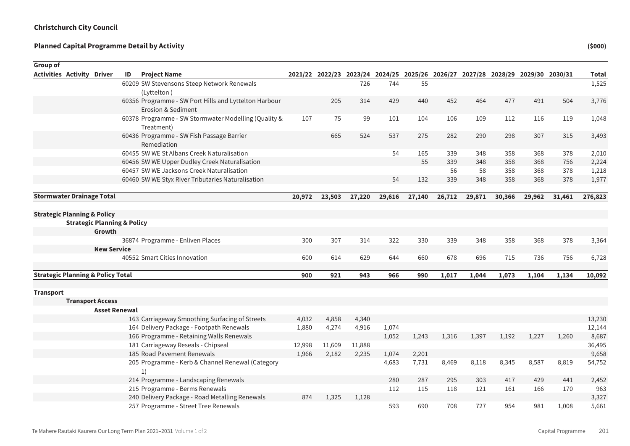| Group of                                     |                                        |    |                                                                    |        |                                                                                 |        |        |        |        |        |        |        |        |              |
|----------------------------------------------|----------------------------------------|----|--------------------------------------------------------------------|--------|---------------------------------------------------------------------------------|--------|--------|--------|--------|--------|--------|--------|--------|--------------|
| <b>Activities Activity Driver</b>            |                                        | ID | <b>Project Name</b>                                                |        | 2021/22 2022/23 2023/24 2024/25 2025/26 2026/27 2027/28 2028/29 2029/30 2030/31 |        |        |        |        |        |        |        |        | <b>Total</b> |
|                                              |                                        |    | 60209 SW Stevensons Steep Network Renewals                         |        |                                                                                 | 726    | 744    | 55     |        |        |        |        |        | 1,525        |
|                                              |                                        |    | (Lyttelton)                                                        |        |                                                                                 |        |        |        |        |        |        |        |        |              |
|                                              |                                        |    | 60356 Programme - SW Port Hills and Lyttelton Harbour              |        | 205                                                                             | 314    | 429    | 440    | 452    | 464    | 477    | 491    | 504    | 3,776        |
|                                              |                                        |    | Erosion & Sediment                                                 |        |                                                                                 |        |        |        |        |        |        |        |        |              |
|                                              |                                        |    | 60378 Programme - SW Stormwater Modelling (Quality &<br>Treatment) | 107    | 75                                                                              | 99     | 101    | 104    | 106    | 109    | 112    | 116    | 119    | 1,048        |
|                                              |                                        |    | 60436 Programme - SW Fish Passage Barrier<br>Remediation           |        | 665                                                                             | 524    | 537    | 275    | 282    | 290    | 298    | 307    | 315    | 3,493        |
|                                              |                                        |    | 60455 SW WE St Albans Creek Naturalisation                         |        |                                                                                 |        | 54     | 165    | 339    | 348    | 358    | 368    | 378    | 2,010        |
|                                              |                                        |    | 60456 SW WE Upper Dudley Creek Naturalisation                      |        |                                                                                 |        |        | 55     | 339    | 348    | 358    | 368    | 756    | 2,224        |
|                                              |                                        |    | 60457 SW WE Jacksons Creek Naturalisation                          |        |                                                                                 |        |        |        | 56     | 58     | 358    | 368    | 378    | 1,218        |
|                                              |                                        |    | 60460 SW WE Styx River Tributaries Naturalisation                  |        |                                                                                 |        | 54     | 132    | 339    | 348    | 358    | 368    | 378    | 1,977        |
| <b>Stormwater Drainage Total</b>             |                                        |    |                                                                    | 20,972 | 23,503                                                                          | 27,220 | 29,616 | 27,140 | 26,712 | 29,871 | 30,366 | 29,962 | 31,461 | 276,823      |
|                                              |                                        |    |                                                                    |        |                                                                                 |        |        |        |        |        |        |        |        |              |
| <b>Strategic Planning &amp; Policy</b>       |                                        |    |                                                                    |        |                                                                                 |        |        |        |        |        |        |        |        |              |
|                                              | <b>Strategic Planning &amp; Policy</b> |    |                                                                    |        |                                                                                 |        |        |        |        |        |        |        |        |              |
|                                              | Growth                                 |    |                                                                    |        |                                                                                 |        |        |        |        |        |        |        |        |              |
|                                              |                                        |    | 36874 Programme - Enliven Places                                   | 300    | 307                                                                             | 314    | 322    | 330    | 339    | 348    | 358    | 368    | 378    | 3,364        |
|                                              | <b>New Service</b>                     |    |                                                                    |        |                                                                                 |        |        |        |        |        |        |        |        |              |
|                                              |                                        |    | 40552 Smart Cities Innovation                                      | 600    | 614                                                                             | 629    | 644    | 660    | 678    | 696    | 715    | 736    | 756    | 6,728        |
| <b>Strategic Planning &amp; Policy Total</b> |                                        |    |                                                                    | 900    | 921                                                                             | 943    | 966    | 990    | 1,017  | 1,044  | 1,073  | 1,104  | 1,134  | 10,092       |
|                                              |                                        |    |                                                                    |        |                                                                                 |        |        |        |        |        |        |        |        |              |
| <b>Transport</b>                             |                                        |    |                                                                    |        |                                                                                 |        |        |        |        |        |        |        |        |              |
|                                              | <b>Transport Access</b>                |    |                                                                    |        |                                                                                 |        |        |        |        |        |        |        |        |              |
|                                              | <b>Asset Renewal</b>                   |    |                                                                    |        |                                                                                 |        |        |        |        |        |        |        |        |              |
|                                              |                                        |    | 163 Carriageway Smoothing Surfacing of Streets                     | 4,032  | 4,858                                                                           | 4,340  |        |        |        |        |        |        |        | 13,230       |
|                                              |                                        |    | 164 Delivery Package - Footpath Renewals                           | 1,880  | 4,274                                                                           | 4,916  | 1,074  |        |        |        |        |        |        | 12,144       |
|                                              |                                        |    | 166 Programme - Retaining Walls Renewals                           |        |                                                                                 |        | 1,052  | 1,243  | 1,316  | 1,397  | 1,192  | 1,227  | 1,260  | 8,687        |
|                                              |                                        |    | 181 Carriageway Reseals - Chipseal                                 | 12,998 | 11,609                                                                          | 11,888 |        |        |        |        |        |        |        | 36,495       |
|                                              |                                        |    | 185 Road Pavement Renewals                                         | 1,966  | 2,182                                                                           | 2,235  | 1,074  | 2,201  |        |        |        |        |        | 9,658        |
|                                              |                                        |    | 205 Programme - Kerb & Channel Renewal (Category<br>1)             |        |                                                                                 |        | 4,683  | 7,731  | 8,469  | 8,118  | 8,345  | 8,587  | 8,819  | 54,752       |
|                                              |                                        |    | 214 Programme - Landscaping Renewals                               |        |                                                                                 |        | 280    | 287    | 295    | 303    | 417    | 429    | 441    | 2,452        |
|                                              |                                        |    | 215 Programme - Berms Renewals                                     |        |                                                                                 |        | 112    | 115    | 118    | 121    | 161    | 166    | 170    | 963          |
|                                              |                                        |    | 240 Delivery Package - Road Metalling Renewals                     | 874    | 1,325                                                                           | 1,128  |        |        |        |        |        |        |        | 3,327        |
|                                              |                                        |    | 257 Programme - Street Tree Renewals                               |        |                                                                                 |        | 593    | 690    | 708    | 727    | 954    | 981    | 1,008  | 5,661        |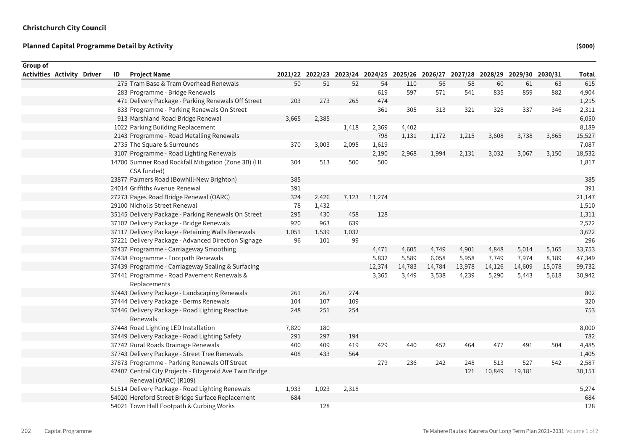| Group of                          |    |                                                                                   |       |       |       |        |                                                                                 |        |        |        |        |        |              |
|-----------------------------------|----|-----------------------------------------------------------------------------------|-------|-------|-------|--------|---------------------------------------------------------------------------------|--------|--------|--------|--------|--------|--------------|
| <b>Activities Activity Driver</b> | ID | <b>Project Name</b>                                                               |       |       |       |        | 2021/22 2022/23 2023/24 2024/25 2025/26 2026/27 2027/28 2028/29 2029/30 2030/31 |        |        |        |        |        | <b>Total</b> |
|                                   |    | 275 Tram Base & Tram Overhead Renewals                                            | 50    | 51    | 52    | 54     | 110                                                                             | 56     | 58     | 60     | 61     | 63     | 615          |
|                                   |    | 283 Programme - Bridge Renewals                                                   |       |       |       | 619    | 597                                                                             | 571    | 541    | 835    | 859    | 882    | 4,904        |
|                                   |    | 471 Delivery Package - Parking Renewals Off Street                                | 203   | 273   | 265   | 474    |                                                                                 |        |        |        |        |        | 1,215        |
|                                   |    | 833 Programme - Parking Renewals On Street                                        |       |       |       | 361    | 305                                                                             | 313    | 321    | 328    | 337    | 346    | 2,311        |
|                                   |    | 913 Marshland Road Bridge Renewal                                                 | 3,665 | 2,385 |       |        |                                                                                 |        |        |        |        |        | 6,050        |
|                                   |    | 1022 Parking Building Replacement                                                 |       |       | 1,418 | 2,369  | 4,402                                                                           |        |        |        |        |        | 8,189        |
|                                   |    | 2143 Programme - Road Metalling Renewals                                          |       |       |       | 798    | 1,131                                                                           | 1,172  | 1,215  | 3,608  | 3,738  | 3,865  | 15,527       |
|                                   |    | 2735 The Square & Surrounds                                                       | 370   | 3,003 | 2,095 | 1,619  |                                                                                 |        |        |        |        |        | 7,087        |
|                                   |    | 3107 Programme - Road Lighting Renewals                                           |       |       |       | 2,190  | 2,968                                                                           | 1,994  | 2,131  | 3,032  | 3,067  | 3,150  | 18,532       |
|                                   |    | 14700 Sumner Road Rockfall Mitigation (Zone 3B) (HI<br>CSA funded)                | 304   | 513   | 500   | 500    |                                                                                 |        |        |        |        |        | 1,817        |
|                                   |    | 23877 Palmers Road (Bowhill-New Brighton)                                         | 385   |       |       |        |                                                                                 |        |        |        |        |        | 385          |
|                                   |    | 24014 Griffiths Avenue Renewal                                                    | 391   |       |       |        |                                                                                 |        |        |        |        |        | 391          |
|                                   |    | 27273 Pages Road Bridge Renewal (OARC)                                            | 324   | 2,426 | 7,123 | 11,274 |                                                                                 |        |        |        |        |        | 21,147       |
|                                   |    | 29100 Nicholls Street Renewal                                                     | 78    | 1,432 |       |        |                                                                                 |        |        |        |        |        | 1,510        |
|                                   |    | 35145 Delivery Package - Parking Renewals On Street                               | 295   | 430   | 458   | 128    |                                                                                 |        |        |        |        |        | 1,311        |
|                                   |    | 37102 Delivery Package - Bridge Renewals                                          | 920   | 963   | 639   |        |                                                                                 |        |        |        |        |        | 2,522        |
|                                   |    | 37117 Delivery Package - Retaining Walls Renewals                                 | 1,051 | 1,539 | 1,032 |        |                                                                                 |        |        |        |        |        | 3,622        |
|                                   |    | 37221 Delivery Package - Advanced Direction Signage                               | 96    | 101   | 99    |        |                                                                                 |        |        |        |        |        | 296          |
|                                   |    | 37437 Programme - Carriageway Smoothing                                           |       |       |       | 4,471  | 4,605                                                                           | 4,749  | 4,901  | 4,848  | 5,014  | 5,165  | 33,753       |
|                                   |    | 37438 Programme - Footpath Renewals                                               |       |       |       | 5,832  | 5,589                                                                           | 6,058  | 5,958  | 7,749  | 7,974  | 8,189  | 47,349       |
|                                   |    | 37439 Programme - Carriageway Sealing & Surfacing                                 |       |       |       | 12,374 | 14,783                                                                          | 14,784 | 13,978 | 14,126 | 14,609 | 15,078 | 99,732       |
|                                   |    | 37441 Programme - Road Pavement Renewals &<br>Replacements                        |       |       |       | 3,365  | 3,449                                                                           | 3,538  | 4,239  | 5,290  | 5,443  | 5,618  | 30,942       |
|                                   |    | 37443 Delivery Package - Landscaping Renewals                                     | 261   | 267   | 274   |        |                                                                                 |        |        |        |        |        | 802          |
|                                   |    | 37444 Delivery Package - Berms Renewals                                           | 104   | 107   | 109   |        |                                                                                 |        |        |        |        |        | 320          |
|                                   |    | 37446 Delivery Package - Road Lighting Reactive<br>Renewals                       | 248   | 251   | 254   |        |                                                                                 |        |        |        |        |        | 753          |
|                                   |    | 37448 Road Lighting LED Installation                                              | 7,820 | 180   |       |        |                                                                                 |        |        |        |        |        | 8,000        |
|                                   |    | 37449 Delivery Package - Road Lighting Safety                                     | 291   | 297   | 194   |        |                                                                                 |        |        |        |        |        | 782          |
|                                   |    | 37742 Rural Roads Drainage Renewals                                               | 400   | 409   | 419   | 429    | 440                                                                             | 452    | 464    | 477    | 491    | 504    | 4,485        |
|                                   |    | 37743 Delivery Package - Street Tree Renewals                                     | 408   | 433   | 564   |        |                                                                                 |        |        |        |        |        | 1,405        |
|                                   |    | 37873 Programme - Parking Renewals Off Street                                     |       |       |       | 279    | 236                                                                             | 242    | 248    | 513    | 527    | 542    | 2,587        |
|                                   |    | 42407 Central City Projects - Fitzgerald Ave Twin Bridge<br>Renewal (OARC) (R109) |       |       |       |        |                                                                                 |        | 121    | 10,849 | 19,181 |        | 30,151       |
|                                   |    | 51514 Delivery Package - Road Lighting Renewals                                   | 1,933 | 1,023 | 2,318 |        |                                                                                 |        |        |        |        |        | 5,274        |
|                                   |    | 54020 Hereford Street Bridge Surface Replacement                                  | 684   |       |       |        |                                                                                 |        |        |        |        |        | 684          |
|                                   |    | 54021 Town Hall Footpath & Curbing Works                                          |       | 128   |       |        |                                                                                 |        |        |        |        |        | 128          |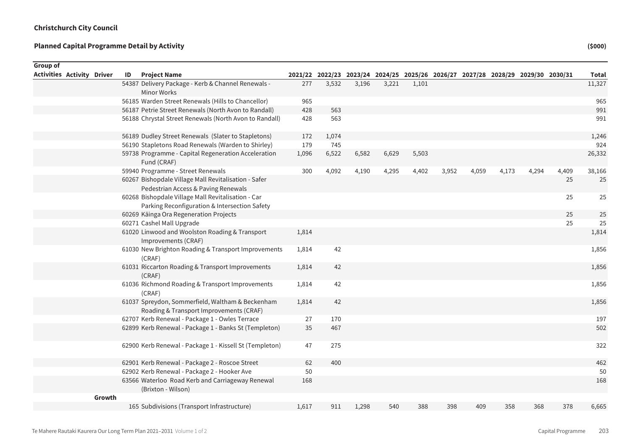| Group of                          |        |    |                                                                                                     |       |       |       |       |                                                                                 |       |       |       |       |       |              |
|-----------------------------------|--------|----|-----------------------------------------------------------------------------------------------------|-------|-------|-------|-------|---------------------------------------------------------------------------------|-------|-------|-------|-------|-------|--------------|
| <b>Activities Activity Driver</b> |        | ID | <b>Project Name</b>                                                                                 |       |       |       |       | 2021/22 2022/23 2023/24 2024/25 2025/26 2026/27 2027/28 2028/29 2029/30 2030/31 |       |       |       |       |       | <b>Total</b> |
|                                   |        |    | 54387 Delivery Package - Kerb & Channel Renewals -<br>Minor Works                                   | 277   | 3,532 | 3,196 | 3,221 | 1,101                                                                           |       |       |       |       |       | 11,327       |
|                                   |        |    | 56185 Warden Street Renewals (Hills to Chancellor)                                                  | 965   |       |       |       |                                                                                 |       |       |       |       |       | 965          |
|                                   |        |    | 56187 Petrie Street Renewals (North Avon to Randall)                                                | 428   | 563   |       |       |                                                                                 |       |       |       |       |       | 991          |
|                                   |        |    | 56188 Chrystal Street Renewals (North Avon to Randall)                                              | 428   | 563   |       |       |                                                                                 |       |       |       |       |       | 991          |
|                                   |        |    | 56189 Dudley Street Renewals (Slater to Stapletons)                                                 | 172   | 1,074 |       |       |                                                                                 |       |       |       |       |       | 1,246        |
|                                   |        |    | 56190 Stapletons Road Renewals (Warden to Shirley)                                                  | 179   | 745   |       |       |                                                                                 |       |       |       |       |       | 924          |
|                                   |        |    | 59738 Programme - Capital Regeneration Acceleration<br>Fund (CRAF)                                  | 1,096 | 6,522 | 6,582 | 6,629 | 5,503                                                                           |       |       |       |       |       | 26,332       |
|                                   |        |    | 59940 Programme - Street Renewals                                                                   | 300   | 4,092 | 4,190 | 4,295 | 4,402                                                                           | 3,952 | 4,059 | 4,173 | 4,294 | 4,409 | 38,166       |
|                                   |        |    | 60267 Bishopdale Village Mall Revitalisation - Safer<br>Pedestrian Access & Paving Renewals         |       |       |       |       |                                                                                 |       |       |       |       | 25    | 25           |
|                                   |        |    | 60268 Bishopdale Village Mall Revitalisation - Car<br>Parking Reconfiguration & Intersection Safety |       |       |       |       |                                                                                 |       |       |       |       | 25    | 25           |
|                                   |        |    | 60269 Käinga Ora Regeneration Projects                                                              |       |       |       |       |                                                                                 |       |       |       |       | 25    | 25           |
|                                   |        |    | 60271 Cashel Mall Upgrade                                                                           |       |       |       |       |                                                                                 |       |       |       |       | 25    | 25           |
|                                   |        |    | 61020 Linwood and Woolston Roading & Transport<br>Improvements (CRAF)                               | 1,814 |       |       |       |                                                                                 |       |       |       |       |       | 1,814        |
|                                   |        |    | 61030 New Brighton Roading & Transport Improvements<br>(CRAF)                                       | 1,814 | 42    |       |       |                                                                                 |       |       |       |       |       | 1,856        |
|                                   |        |    | 61031 Riccarton Roading & Transport Improvements<br>(CRAF)                                          | 1,814 | 42    |       |       |                                                                                 |       |       |       |       |       | 1,856        |
|                                   |        |    | 61036 Richmond Roading & Transport Improvements<br>(CRAF)                                           | 1,814 | 42    |       |       |                                                                                 |       |       |       |       |       | 1,856        |
|                                   |        |    | 61037 Spreydon, Sommerfield, Waltham & Beckenham<br>Roading & Transport Improvements (CRAF)         | 1,814 | 42    |       |       |                                                                                 |       |       |       |       |       | 1,856        |
|                                   |        |    | 62707 Kerb Renewal - Package 1 - Owles Terrace                                                      | 27    | 170   |       |       |                                                                                 |       |       |       |       |       | 197          |
|                                   |        |    | 62899 Kerb Renewal - Package 1 - Banks St (Templeton)                                               | 35    | 467   |       |       |                                                                                 |       |       |       |       |       | 502          |
|                                   |        |    | 62900 Kerb Renewal - Package 1 - Kissell St (Templeton)                                             | 47    | 275   |       |       |                                                                                 |       |       |       |       |       | 322          |
|                                   |        |    | 62901 Kerb Renewal - Package 2 - Roscoe Street                                                      | 62    | 400   |       |       |                                                                                 |       |       |       |       |       | 462          |
|                                   |        |    | 62902 Kerb Renewal - Package 2 - Hooker Ave                                                         | 50    |       |       |       |                                                                                 |       |       |       |       |       | 50           |
|                                   |        |    | 63566 Waterloo Road Kerb and Carriageway Renewal<br>(Brixton - Wilson)                              | 168   |       |       |       |                                                                                 |       |       |       |       |       | 168          |
|                                   | Growth |    |                                                                                                     |       |       |       |       |                                                                                 |       |       |       |       |       |              |
|                                   |        |    | 165 Subdivisions (Transport Infrastructure)                                                         | 1,617 | 911   | 1,298 | 540   | 388                                                                             | 398   | 409   | 358   | 368   | 378   | 6,665        |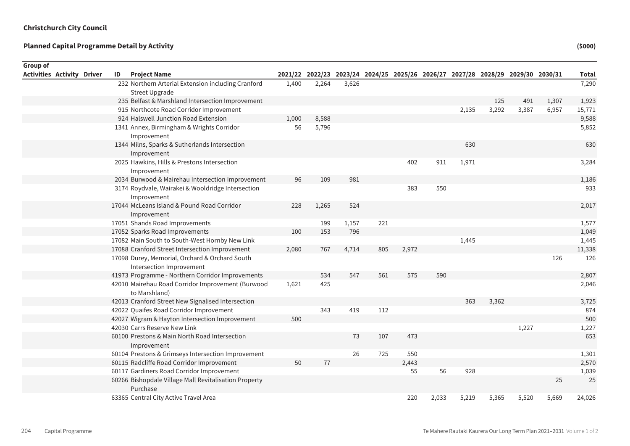| <b>Group of</b> |                                   |    |                                                                             |       |       |       |     |       |       |       |                                                                                 |       |       |              |
|-----------------|-----------------------------------|----|-----------------------------------------------------------------------------|-------|-------|-------|-----|-------|-------|-------|---------------------------------------------------------------------------------|-------|-------|--------------|
|                 | <b>Activities Activity Driver</b> | ID | <b>Project Name</b>                                                         |       |       |       |     |       |       |       | 2021/22 2022/23 2023/24 2024/25 2025/26 2026/27 2027/28 2028/29 2029/30 2030/31 |       |       | <b>Total</b> |
|                 |                                   |    | 232 Northern Arterial Extension including Cranford<br><b>Street Upgrade</b> | 1,400 | 2,264 | 3,626 |     |       |       |       |                                                                                 |       |       | 7,290        |
|                 |                                   |    | 235 Belfast & Marshland Intersection Improvement                            |       |       |       |     |       |       |       | 125                                                                             | 491   | 1,307 | 1,923        |
|                 |                                   |    | 915 Northcote Road Corridor Improvement                                     |       |       |       |     |       |       | 2,135 | 3,292                                                                           | 3,387 | 6,957 | 15,771       |
|                 |                                   |    | 924 Halswell Junction Road Extension                                        | 1,000 | 8,588 |       |     |       |       |       |                                                                                 |       |       | 9,588        |
|                 |                                   |    | 1341 Annex, Birmingham & Wrights Corridor<br>Improvement                    | 56    | 5,796 |       |     |       |       |       |                                                                                 |       |       | 5,852        |
|                 |                                   |    | 1344 Milns, Sparks & Sutherlands Intersection<br>Improvement                |       |       |       |     |       |       | 630   |                                                                                 |       |       | 630          |
|                 |                                   |    | 2025 Hawkins, Hills & Prestons Intersection<br>Improvement                  |       |       |       |     | 402   | 911   | 1,971 |                                                                                 |       |       | 3,284        |
|                 |                                   |    | 2034 Burwood & Mairehau Intersection Improvement                            | 96    | 109   | 981   |     |       |       |       |                                                                                 |       |       | 1,186        |
|                 |                                   |    | 3174 Roydvale, Wairakei & Wooldridge Intersection<br>Improvement            |       |       |       |     | 383   | 550   |       |                                                                                 |       |       | 933          |
|                 |                                   |    | 17044 McLeans Island & Pound Road Corridor<br>Improvement                   | 228   | 1,265 | 524   |     |       |       |       |                                                                                 |       |       | 2,017        |
|                 |                                   |    | 17051 Shands Road Improvements                                              |       | 199   | 1,157 | 221 |       |       |       |                                                                                 |       |       | 1,577        |
|                 |                                   |    | 17052 Sparks Road Improvements                                              | 100   | 153   | 796   |     |       |       |       |                                                                                 |       |       | 1,049        |
|                 |                                   |    | 17082 Main South to South-West Hornby New Link                              |       |       |       |     |       |       | 1,445 |                                                                                 |       |       | 1,445        |
|                 |                                   |    | 17088 Cranford Street Intersection Improvement                              | 2,080 | 767   | 4,714 | 805 | 2,972 |       |       |                                                                                 |       |       | 11,338       |
|                 |                                   |    | 17098 Durey, Memorial, Orchard & Orchard South<br>Intersection Improvement  |       |       |       |     |       |       |       |                                                                                 |       | 126   | 126          |
|                 |                                   |    | 41973 Programme - Northern Corridor Improvements                            |       | 534   | 547   | 561 | 575   | 590   |       |                                                                                 |       |       | 2,807        |
|                 |                                   |    | 42010 Mairehau Road Corridor Improvement (Burwood<br>to Marshland)          | 1,621 | 425   |       |     |       |       |       |                                                                                 |       |       | 2,046        |
|                 |                                   |    | 42013 Cranford Street New Signalised Intersection                           |       |       |       |     |       |       | 363   | 3,362                                                                           |       |       | 3,725        |
|                 |                                   |    | 42022 Quaifes Road Corridor Improvement                                     |       | 343   | 419   | 112 |       |       |       |                                                                                 |       |       | 874          |
|                 |                                   |    | 42027 Wigram & Hayton Intersection Improvement                              | 500   |       |       |     |       |       |       |                                                                                 |       |       | 500          |
|                 |                                   |    | 42030 Carrs Reserve New Link                                                |       |       |       |     |       |       |       |                                                                                 | 1,227 |       | 1,227        |
|                 |                                   |    | 60100 Prestons & Main North Road Intersection<br>Improvement                |       |       | 73    | 107 | 473   |       |       |                                                                                 |       |       | 653          |
|                 |                                   |    | 60104 Prestons & Grimseys Intersection Improvement                          |       |       | 26    | 725 | 550   |       |       |                                                                                 |       |       | 1,301        |
|                 |                                   |    | 60115 Radcliffe Road Corridor Improvement                                   | 50    | 77    |       |     | 2,443 |       |       |                                                                                 |       |       | 2,570        |
|                 |                                   |    | 60117 Gardiners Road Corridor Improvement                                   |       |       |       |     | 55    | 56    | 928   |                                                                                 |       |       | 1,039        |
|                 |                                   |    | 60266 Bishopdale Village Mall Revitalisation Property<br>Purchase           |       |       |       |     |       |       |       |                                                                                 |       | 25    | 25           |
|                 |                                   |    | 63365 Central City Active Travel Area                                       |       |       |       |     | 220   | 2,033 | 5,219 | 5,365                                                                           | 5,520 | 5,669 | 24,026       |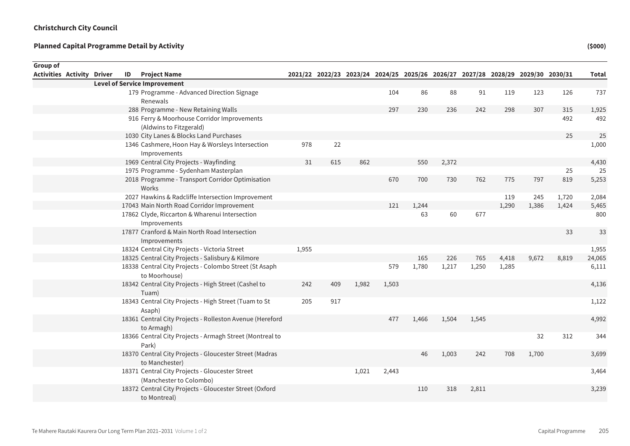| Group of                          |  |    |                                                                            |       |     |       |                                                                                 |       |       |       |       |       |       |              |
|-----------------------------------|--|----|----------------------------------------------------------------------------|-------|-----|-------|---------------------------------------------------------------------------------|-------|-------|-------|-------|-------|-------|--------------|
| <b>Activities Activity Driver</b> |  | ID | <b>Project Name</b>                                                        |       |     |       | 2021/22 2022/23 2023/24 2024/25 2025/26 2026/27 2027/28 2028/29 2029/30 2030/31 |       |       |       |       |       |       | <b>Total</b> |
|                                   |  |    | <b>Level of Service Improvement</b>                                        |       |     |       |                                                                                 |       |       |       |       |       |       |              |
|                                   |  |    | 179 Programme - Advanced Direction Signage<br>Renewals                     |       |     |       | 104                                                                             | 86    | 88    | 91    | 119   | 123   | 126   | 737          |
|                                   |  |    | 288 Programme - New Retaining Walls                                        |       |     |       | 297                                                                             | 230   | 236   | 242   | 298   | 307   | 315   | 1,925        |
|                                   |  |    | 916 Ferry & Moorhouse Corridor Improvements<br>(Aldwins to Fitzgerald)     |       |     |       |                                                                                 |       |       |       |       |       | 492   | 492          |
|                                   |  |    | 1030 City Lanes & Blocks Land Purchases                                    |       |     |       |                                                                                 |       |       |       |       |       | 25    | 25           |
|                                   |  |    | 1346 Cashmere, Hoon Hay & Worsleys Intersection<br>Improvements            | 978   | 22  |       |                                                                                 |       |       |       |       |       |       | 1,000        |
|                                   |  |    | 1969 Central City Projects - Wayfinding                                    | 31    | 615 | 862   |                                                                                 | 550   | 2,372 |       |       |       |       | 4,430        |
|                                   |  |    | 1975 Programme - Sydenham Masterplan                                       |       |     |       |                                                                                 |       |       |       |       |       | 25    | 25           |
|                                   |  |    | 2018 Programme - Transport Corridor Optimisation<br>Works                  |       |     |       | 670                                                                             | 700   | 730   | 762   | 775   | 797   | 819   | 5,253        |
|                                   |  |    | 2027 Hawkins & Radcliffe Intersection Improvement                          |       |     |       |                                                                                 |       |       |       | 119   | 245   | 1,720 | 2,084        |
|                                   |  |    | 17043 Main North Road Corridor Improvement                                 |       |     |       | 121                                                                             | 1,244 |       |       | 1,290 | 1,386 | 1,424 | 5,465        |
|                                   |  |    | 17862 Clyde, Riccarton & Wharenui Intersection<br>Improvements             |       |     |       |                                                                                 | 63    | 60    | 677   |       |       |       | 800          |
|                                   |  |    | 17877 Cranford & Main North Road Intersection<br>Improvements              |       |     |       |                                                                                 |       |       |       |       |       | 33    | 33           |
|                                   |  |    | 18324 Central City Projects - Victoria Street                              | 1,955 |     |       |                                                                                 |       |       |       |       |       |       | 1,955        |
|                                   |  |    | 18325 Central City Projects - Salisbury & Kilmore                          |       |     |       |                                                                                 | 165   | 226   | 765   | 4,418 | 9,672 | 8,819 | 24,065       |
|                                   |  |    | 18338 Central City Projects - Colombo Street (St Asaph<br>to Moorhouse)    |       |     |       | 579                                                                             | 1,780 | 1,217 | 1,250 | 1,285 |       |       | 6,111        |
|                                   |  |    | 18342 Central City Projects - High Street (Cashel to<br>Tuam)              | 242   | 409 | 1,982 | 1,503                                                                           |       |       |       |       |       |       | 4,136        |
|                                   |  |    | 18343 Central City Projects - High Street (Tuam to St<br>Asaph)            | 205   | 917 |       |                                                                                 |       |       |       |       |       |       | 1,122        |
|                                   |  |    | 18361 Central City Projects - Rolleston Avenue (Hereford<br>to Armagh)     |       |     |       | 477                                                                             | 1,466 | 1,504 | 1,545 |       |       |       | 4,992        |
|                                   |  |    | 18366 Central City Projects - Armagh Street (Montreal to<br>Park)          |       |     |       |                                                                                 |       |       |       |       | 32    | 312   | 344          |
|                                   |  |    | 18370 Central City Projects - Gloucester Street (Madras<br>to Manchester)  |       |     |       |                                                                                 | 46    | 1,003 | 242   | 708   | 1,700 |       | 3,699        |
|                                   |  |    | 18371 Central City Projects - Gloucester Street<br>(Manchester to Colombo) |       |     | 1,021 | 2,443                                                                           |       |       |       |       |       |       | 3,464        |
|                                   |  |    | 18372 Central City Projects - Gloucester Street (Oxford<br>to Montreal)    |       |     |       |                                                                                 | 110   | 318   | 2,811 |       |       |       | 3,239        |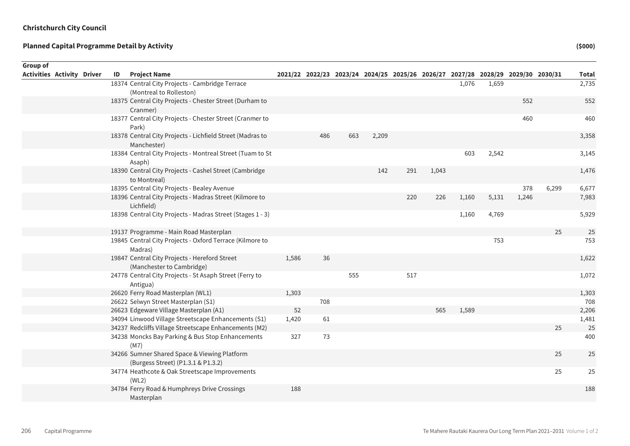| <b>Group of</b><br>Activities Activity Driver | ID | <b>Project Name</b>                                                                |       |     |     |       | 2021/22 2022/23 2023/24 2024/25 2025/26 2026/27 2027/28 2028/29 2029/30 2030/31 |       |       |       |       |       | <b>Total</b> |
|-----------------------------------------------|----|------------------------------------------------------------------------------------|-------|-----|-----|-------|---------------------------------------------------------------------------------|-------|-------|-------|-------|-------|--------------|
|                                               |    | 18374 Central City Projects - Cambridge Terrace<br>(Montreal to Rolleston)         |       |     |     |       |                                                                                 |       | 1,076 | 1,659 |       |       | 2,735        |
|                                               |    | 18375 Central City Projects - Chester Street (Durham to<br>Cranmer)                |       |     |     |       |                                                                                 |       |       |       | 552   |       | 552          |
|                                               |    | 18377 Central City Projects - Chester Street (Cranmer to<br>Park)                  |       |     |     |       |                                                                                 |       |       |       | 460   |       | 460          |
|                                               |    | 18378 Central City Projects - Lichfield Street (Madras to<br>Manchester)           |       | 486 | 663 | 2,209 |                                                                                 |       |       |       |       |       | 3,358        |
|                                               |    | 18384 Central City Projects - Montreal Street (Tuam to St<br>Asaph)                |       |     |     |       |                                                                                 |       | 603   | 2,542 |       |       | 3,145        |
|                                               |    | 18390 Central City Projects - Cashel Street (Cambridge<br>to Montreal)             |       |     |     | 142   | 291                                                                             | 1,043 |       |       |       |       | 1,476        |
|                                               |    | 18395 Central City Projects - Bealey Avenue                                        |       |     |     |       |                                                                                 |       |       |       | 378   | 6,299 | 6,677        |
|                                               |    | 18396 Central City Projects - Madras Street (Kilmore to<br>Lichfield)              |       |     |     |       | 220                                                                             | 226   | 1,160 | 5,131 | 1,246 |       | 7,983        |
|                                               |    | 18398 Central City Projects - Madras Street (Stages 1 - 3)                         |       |     |     |       |                                                                                 |       | 1,160 | 4,769 |       |       | 5,929        |
|                                               |    | 19137 Programme - Main Road Masterplan                                             |       |     |     |       |                                                                                 |       |       |       |       | 25    | 25           |
|                                               |    | 19845 Central City Projects - Oxford Terrace (Kilmore to<br>Madras)                |       |     |     |       |                                                                                 |       |       | 753   |       |       | 753          |
|                                               |    | 19847 Central City Projects - Hereford Street<br>(Manchester to Cambridge)         | 1,586 | 36  |     |       |                                                                                 |       |       |       |       |       | 1,622        |
|                                               |    | 24778 Central City Projects - St Asaph Street (Ferry to<br>Antigua)                |       |     | 555 |       | 517                                                                             |       |       |       |       |       | 1,072        |
|                                               |    | 26620 Ferry Road Masterplan (WL1)                                                  | 1,303 |     |     |       |                                                                                 |       |       |       |       |       | 1,303        |
|                                               |    | 26622 Selwyn Street Masterplan (S1)                                                |       | 708 |     |       |                                                                                 |       |       |       |       |       | 708          |
|                                               |    | 26623 Edgeware Village Masterplan (A1)                                             | 52    |     |     |       |                                                                                 | 565   | 1,589 |       |       |       | 2,206        |
|                                               |    | 34094 Linwood Village Streetscape Enhancements (S1)                                | 1,420 | 61  |     |       |                                                                                 |       |       |       |       |       | 1,481        |
|                                               |    | 34237 Redcliffs Village Streetscape Enhancements (M2)                              |       |     |     |       |                                                                                 |       |       |       |       | 25    | 25           |
|                                               |    | 34238 Moncks Bay Parking & Bus Stop Enhancements<br>(M7)                           | 327   | 73  |     |       |                                                                                 |       |       |       |       |       | 400          |
|                                               |    | 34266 Sumner Shared Space & Viewing Platform<br>(Burgess Street) (P1.3.1 & P1.3.2) |       |     |     |       |                                                                                 |       |       |       |       | 25    | 25           |
|                                               |    | 34774 Heathcote & Oak Streetscape Improvements<br>(WL2)                            |       |     |     |       |                                                                                 |       |       |       |       | 25    | 25           |
|                                               |    | 34784 Ferry Road & Humphreys Drive Crossings<br>Masterplan                         | 188   |     |     |       |                                                                                 |       |       |       |       |       | 188          |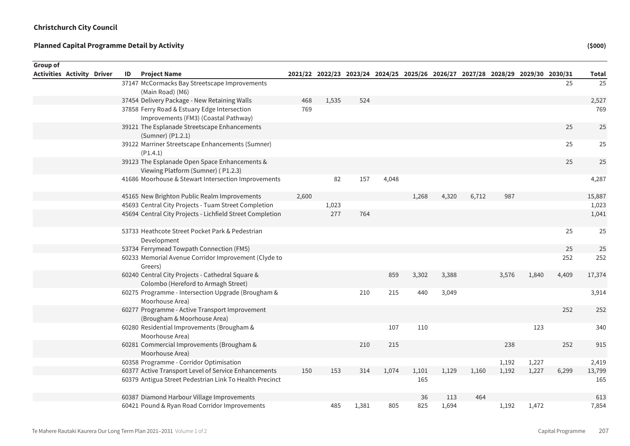Sum of Rounded

| Group of                          |    |                                                                                         |       |       |       |       |       |                                                                                 |       |       |       |       |              |
|-----------------------------------|----|-----------------------------------------------------------------------------------------|-------|-------|-------|-------|-------|---------------------------------------------------------------------------------|-------|-------|-------|-------|--------------|
| <b>Activities Activity Driver</b> | ID | <b>Project Name</b>                                                                     |       |       |       |       |       | 2021/22 2022/23 2023/24 2024/25 2025/26 2026/27 2027/28 2028/29 2029/30 2030/31 |       |       |       |       | <b>Total</b> |
|                                   |    | 37147 McCormacks Bay Streetscape Improvements<br>(Main Road) (M6)                       |       |       |       |       |       |                                                                                 |       |       |       | 25    | 25           |
|                                   |    | 37454 Delivery Package - New Retaining Walls                                            | 468   | 1,535 | 524   |       |       |                                                                                 |       |       |       |       | 2,527        |
|                                   |    | 37858 Ferry Road & Estuary Edge Intersection<br>Improvements (FM3) (Coastal Pathway)    | 769   |       |       |       |       |                                                                                 |       |       |       |       | 769          |
|                                   |    | 39121 The Esplanade Streetscape Enhancements<br>(Sumner) (P1.2.1)                       |       |       |       |       |       |                                                                                 |       |       |       | 25    | 25           |
|                                   |    | 39122 Marriner Streetscape Enhancements (Sumner)<br>(P1.4.1)                            |       |       |       |       |       |                                                                                 |       |       |       | 25    | 25           |
|                                   |    | 39123 The Esplanade Open Space Enhancements &<br>Viewing Platform (Sumner) (P1.2.3)     |       |       |       |       |       |                                                                                 |       |       |       | 25    | 25           |
|                                   |    | 41686 Moorhouse & Stewart Intersection Improvements                                     |       | 82    | 157   | 4,048 |       |                                                                                 |       |       |       |       | 4,287        |
|                                   |    | 45165 New Brighton Public Realm Improvements                                            | 2,600 |       |       |       | 1,268 | 4,320                                                                           | 6,712 | 987   |       |       | 15,887       |
|                                   |    | 45693 Central City Projects - Tuam Street Completion                                    |       | 1,023 |       |       |       |                                                                                 |       |       |       |       | 1,023        |
|                                   |    | 45694 Central City Projects - Lichfield Street Completion                               |       | 277   | 764   |       |       |                                                                                 |       |       |       |       | 1,041        |
|                                   |    | 53733 Heathcote Street Pocket Park & Pedestrian<br>Development                          |       |       |       |       |       |                                                                                 |       |       |       | 25    | 25           |
|                                   |    | 53734 Ferrymead Towpath Connection (FM5)                                                |       |       |       |       |       |                                                                                 |       |       |       | 25    | 25           |
|                                   |    | 60233 Memorial Avenue Corridor Improvement (Clyde to<br>Greers)                         |       |       |       |       |       |                                                                                 |       |       |       | 252   | 252          |
|                                   |    | 60240 Central City Projects - Cathedral Square &<br>Colombo (Hereford to Armagh Street) |       |       |       | 859   | 3,302 | 3,388                                                                           |       | 3,576 | 1,840 | 4,409 | 17,374       |
|                                   |    | 60275 Programme - Intersection Upgrade (Brougham &<br>Moorhouse Area)                   |       |       | 210   | 215   | 440   | 3,049                                                                           |       |       |       |       | 3,914        |
|                                   |    | 60277 Programme - Active Transport Improvement<br>(Brougham & Moorhouse Area)           |       |       |       |       |       |                                                                                 |       |       |       | 252   | 252          |
|                                   |    | 60280 Residential Improvements (Brougham &<br>Moorhouse Area)                           |       |       |       | 107   | 110   |                                                                                 |       |       | 123   |       | 340          |
|                                   |    | 60281 Commercial Improvements (Brougham &<br>Moorhouse Area)                            |       |       | 210   | 215   |       |                                                                                 |       | 238   |       | 252   | 915          |
|                                   |    | 60358 Programme - Corridor Optimisation                                                 |       |       |       |       |       |                                                                                 |       | 1,192 | 1,227 |       | 2,419        |
|                                   |    | 60377 Active Transport Level of Service Enhancements                                    | 150   | 153   | 314   | 1,074 | 1,101 | 1,129                                                                           | 1,160 | 1,192 | 1,227 | 6,299 | 13,799       |
|                                   |    | 60379 Antigua Street Pedestrian Link To Health Precinct                                 |       |       |       |       | 165   |                                                                                 |       |       |       |       | 165          |
|                                   |    | 60387 Diamond Harbour Village Improvements                                              |       |       |       |       | 36    | 113                                                                             | 464   |       |       |       | 613          |
|                                   |    | 60421 Pound & Ryan Road Corridor Improvements                                           |       | 485   | 1,381 | 805   | 825   | 1,694                                                                           |       | 1,192 | 1,472 |       | 7,854        |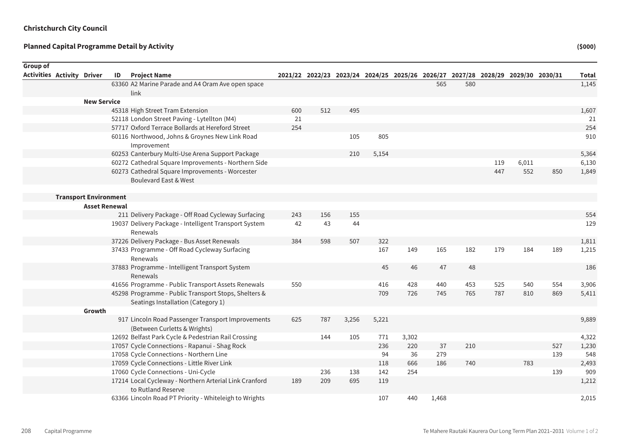Sum of Rounded

| <b>Group of</b>                   |                              |    |                                                                                                 |     |     |       |                                                                                 |       |       |     |     |       |     |              |
|-----------------------------------|------------------------------|----|-------------------------------------------------------------------------------------------------|-----|-----|-------|---------------------------------------------------------------------------------|-------|-------|-----|-----|-------|-----|--------------|
| <b>Activities Activity Driver</b> |                              | ID | <b>Project Name</b>                                                                             |     |     |       | 2021/22 2022/23 2023/24 2024/25 2025/26 2026/27 2027/28 2028/29 2029/30 2030/31 |       |       |     |     |       |     | <b>Total</b> |
|                                   |                              |    | 63360 A2 Marine Parade and A4 Oram Ave open space                                               |     |     |       |                                                                                 |       | 565   | 580 |     |       |     | 1,145        |
|                                   |                              |    | link                                                                                            |     |     |       |                                                                                 |       |       |     |     |       |     |              |
|                                   | <b>New Service</b>           |    |                                                                                                 |     |     |       |                                                                                 |       |       |     |     |       |     |              |
|                                   |                              |    | 45318 High Street Tram Extension                                                                | 600 | 512 | 495   |                                                                                 |       |       |     |     |       |     | 1,607        |
|                                   |                              |    | 52118 London Street Paving - Lytellton (M4)<br>57717 Oxford Terrace Bollards at Hereford Street | 21  |     |       |                                                                                 |       |       |     |     |       |     | 21           |
|                                   |                              |    |                                                                                                 | 254 |     | 105   |                                                                                 |       |       |     |     |       |     | 254<br>910   |
|                                   |                              |    | 60116 Northwood, Johns & Groynes New Link Road<br>Improvement                                   |     |     |       | 805                                                                             |       |       |     |     |       |     |              |
|                                   |                              |    | 60253 Canterbury Multi-Use Arena Support Package                                                |     |     | 210   | 5,154                                                                           |       |       |     |     |       |     | 5,364        |
|                                   |                              |    | 60272 Cathedral Square Improvements - Northern Side                                             |     |     |       |                                                                                 |       |       |     | 119 | 6,011 |     | 6,130        |
|                                   |                              |    | 60273 Cathedral Square Improvements - Worcester<br>Boulevard East & West                        |     |     |       |                                                                                 |       |       |     | 447 | 552   | 850 | 1,849        |
|                                   | <b>Transport Environment</b> |    |                                                                                                 |     |     |       |                                                                                 |       |       |     |     |       |     |              |
|                                   | <b>Asset Renewal</b>         |    |                                                                                                 |     |     |       |                                                                                 |       |       |     |     |       |     |              |
|                                   |                              |    | 211 Delivery Package - Off Road Cycleway Surfacing                                              | 243 | 156 | 155   |                                                                                 |       |       |     |     |       |     | 554          |
|                                   |                              |    | 19037 Delivery Package - Intelligent Transport System<br>Renewals                               | 42  | 43  | 44    |                                                                                 |       |       |     |     |       |     | 129          |
|                                   |                              |    | 37226 Delivery Package - Bus Asset Renewals                                                     | 384 | 598 | 507   | 322                                                                             |       |       |     |     |       |     | 1,811        |
|                                   |                              |    | 37433 Programme - Off Road Cycleway Surfacing                                                   |     |     |       | 167                                                                             | 149   | 165   | 182 | 179 | 184   | 189 | 1,215        |
|                                   |                              |    | Renewals                                                                                        |     |     |       |                                                                                 |       |       |     |     |       |     |              |
|                                   |                              |    | 37883 Programme - Intelligent Transport System<br>Renewals                                      |     |     |       | 45                                                                              | 46    | 47    | 48  |     |       |     | 186          |
|                                   |                              |    | 41656 Programme - Public Transport Assets Renewals                                              | 550 |     |       | 416                                                                             | 428   | 440   | 453 | 525 | 540   | 554 | 3,906        |
|                                   |                              |    | 45298 Programme - Public Transport Stops, Shelters &<br>Seatings Installation (Category 1)      |     |     |       | 709                                                                             | 726   | 745   | 765 | 787 | 810   | 869 | 5,411        |
|                                   | Growth                       |    |                                                                                                 |     |     |       |                                                                                 |       |       |     |     |       |     |              |
|                                   |                              |    | 917 Lincoln Road Passenger Transport Improvements<br>(Between Curletts & Wrights)               | 625 | 787 | 3,256 | 5,221                                                                           |       |       |     |     |       |     | 9,889        |
|                                   |                              |    | 12692 Belfast Park Cycle & Pedestrian Rail Crossing                                             |     | 144 | 105   | 771                                                                             | 3,302 |       |     |     |       |     | 4,322        |
|                                   |                              |    | 17057 Cycle Connections - Rapanui - Shag Rock                                                   |     |     |       | 236                                                                             | 220   | 37    | 210 |     |       | 527 | 1,230        |
|                                   |                              |    | 17058 Cycle Connections - Northern Line                                                         |     |     |       | 94                                                                              | 36    | 279   |     |     |       | 139 | 548          |
|                                   |                              |    | 17059 Cycle Connections - Little River Link                                                     |     |     |       | 118                                                                             | 666   | 186   | 740 |     | 783   |     | 2,493        |
|                                   |                              |    | 17060 Cycle Connections - Uni-Cycle                                                             |     | 236 | 138   | 142                                                                             | 254   |       |     |     |       | 139 | 909          |
|                                   |                              |    | 17214 Local Cycleway - Northern Arterial Link Cranford                                          | 189 | 209 | 695   | 119                                                                             |       |       |     |     |       |     | 1,212        |
|                                   |                              |    | to Rutland Reserve                                                                              |     |     |       |                                                                                 |       |       |     |     |       |     |              |
|                                   |                              |    | 63366 Lincoln Road PT Priority - Whiteleigh to Wrights                                          |     |     |       | 107                                                                             | 440   | 1,468 |     |     |       |     | 2,015        |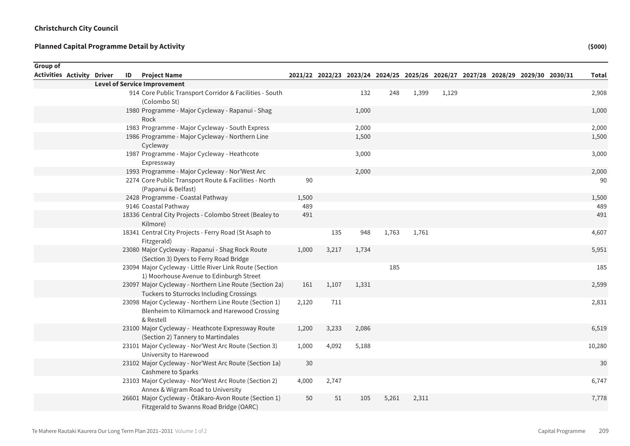Sum of Rounded

| Group of                          |  |    |                                                                                                                     |       |       |       |       |       |       |  |                                                                                 |              |
|-----------------------------------|--|----|---------------------------------------------------------------------------------------------------------------------|-------|-------|-------|-------|-------|-------|--|---------------------------------------------------------------------------------|--------------|
| <b>Activities Activity Driver</b> |  | ID | <b>Project Name</b>                                                                                                 |       |       |       |       |       |       |  | 2021/22 2022/23 2023/24 2024/25 2025/26 2026/27 2027/28 2028/29 2029/30 2030/31 | <b>Total</b> |
|                                   |  |    | <b>Level of Service Improvement</b>                                                                                 |       |       |       |       |       |       |  |                                                                                 |              |
|                                   |  |    | 914 Core Public Transport Corridor & Facilities - South<br>(Colombo St)                                             |       |       | 132   | 248   | 1,399 | 1,129 |  |                                                                                 | 2,908        |
|                                   |  |    | 1980 Programme - Major Cycleway - Rapanui - Shag<br>Rock                                                            |       |       | 1,000 |       |       |       |  |                                                                                 | 1,000        |
|                                   |  |    | 1983 Programme - Major Cycleway - South Express                                                                     |       |       | 2,000 |       |       |       |  |                                                                                 | 2,000        |
|                                   |  |    | 1986 Programme - Major Cycleway - Northern Line<br>Cycleway                                                         |       |       | 1,500 |       |       |       |  |                                                                                 | 1,500        |
|                                   |  |    | 1987 Programme - Major Cycleway - Heathcote<br>Expressway                                                           |       |       | 3,000 |       |       |       |  |                                                                                 | 3,000        |
|                                   |  |    | 1993 Programme - Major Cycleway - Nor'West Arc                                                                      |       |       | 2,000 |       |       |       |  |                                                                                 | 2,000        |
|                                   |  |    | 2274 Core Public Transport Route & Facilities - North<br>(Papanui & Belfast)                                        | 90    |       |       |       |       |       |  |                                                                                 | 90           |
|                                   |  |    | 2428 Programme - Coastal Pathway                                                                                    | 1,500 |       |       |       |       |       |  |                                                                                 | 1,500        |
|                                   |  |    | 9146 Coastal Pathway                                                                                                | 489   |       |       |       |       |       |  |                                                                                 | 489          |
|                                   |  |    | 18336 Central City Projects - Colombo Street (Bealey to<br>Kilmore)                                                 | 491   |       |       |       |       |       |  |                                                                                 | 491          |
|                                   |  |    | 18341 Central City Projects - Ferry Road (St Asaph to<br>Fitzgerald)                                                |       | 135   | 948   | 1,763 | 1,761 |       |  |                                                                                 | 4,607        |
|                                   |  |    | 23080 Major Cycleway - Rapanui - Shag Rock Route<br>(Section 3) Dyers to Ferry Road Bridge                          | 1,000 | 3,217 | 1,734 |       |       |       |  |                                                                                 | 5,951        |
|                                   |  |    | 23094 Major Cycleway - Little River Link Route (Section<br>1) Moorhouse Avenue to Edinburgh Street                  |       |       |       | 185   |       |       |  |                                                                                 | 185          |
|                                   |  |    | 23097 Major Cycleway - Northern Line Route (Section 2a)<br>Tuckers to Sturrocks Including Crossings                 | 161   | 1,107 | 1,331 |       |       |       |  |                                                                                 | 2,599        |
|                                   |  |    | 23098 Major Cycleway - Northern Line Route (Section 1)<br>Blenheim to Kilmarnock and Harewood Crossing<br>& Restell | 2,120 | 711   |       |       |       |       |  |                                                                                 | 2,831        |
|                                   |  |    | 23100 Major Cycleway - Heathcote Expressway Route<br>(Section 2) Tannery to Martindales                             | 1,200 | 3,233 | 2,086 |       |       |       |  |                                                                                 | 6,519        |
|                                   |  |    | 23101 Major Cycleway - Nor'West Arc Route (Section 3)<br>University to Harewood                                     | 1,000 | 4,092 | 5,188 |       |       |       |  |                                                                                 | 10,280       |
|                                   |  |    | 23102 Major Cycleway - Nor'West Arc Route (Section 1a)<br>Cashmere to Sparks                                        | 30    |       |       |       |       |       |  |                                                                                 | 30           |
|                                   |  |    | 23103 Major Cycleway - Nor'West Arc Route (Section 2)<br>Annex & Wigram Road to University                          | 4,000 | 2,747 |       |       |       |       |  |                                                                                 | 6,747        |
|                                   |  |    | 26601 Major Cycleway - Ōtākaro-Avon Route (Section 1)<br>Fitzgerald to Swanns Road Bridge (OARC)                    | 50    | 51    | 105   | 5,261 | 2,311 |       |  |                                                                                 | 7,778        |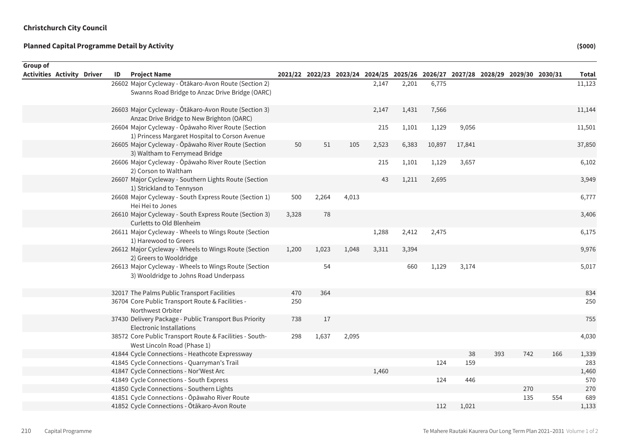| <b>Group of</b>                   |    |                                                                                                          |       |       |       |       |                                                                                 |        |        |     |     |     |              |
|-----------------------------------|----|----------------------------------------------------------------------------------------------------------|-------|-------|-------|-------|---------------------------------------------------------------------------------|--------|--------|-----|-----|-----|--------------|
| <b>Activities Activity Driver</b> | ID | <b>Project Name</b>                                                                                      |       |       |       |       | 2021/22 2022/23 2023/24 2024/25 2025/26 2026/27 2027/28 2028/29 2029/30 2030/31 |        |        |     |     |     | <b>Total</b> |
|                                   |    | 26602 Major Cycleway - Ōtākaro-Avon Route (Section 2)<br>Swanns Road Bridge to Anzac Drive Bridge (OARC) |       |       |       | 2,147 | 2,201                                                                           | 6,775  |        |     |     |     | 11,123       |
|                                   |    | 26603 Major Cycleway - Ōtākaro-Avon Route (Section 3)<br>Anzac Drive Bridge to New Brighton (OARC)       |       |       |       | 2,147 | 1,431                                                                           | 7,566  |        |     |     |     | 11,144       |
|                                   |    | 26604 Major Cycleway - Ōpāwaho River Route (Section<br>1) Princess Margaret Hospital to Corson Avenue    |       |       |       | 215   | 1,101                                                                           | 1,129  | 9,056  |     |     |     | 11,501       |
|                                   |    | 26605 Major Cycleway - Ōpāwaho River Route (Section<br>3) Waltham to Ferrymead Bridge                    | 50    | 51    | 105   | 2,523 | 6,383                                                                           | 10,897 | 17,841 |     |     |     | 37,850       |
|                                   |    | 26606 Major Cycleway - Ōpāwaho River Route (Section<br>2) Corson to Waltham                              |       |       |       | 215   | 1,101                                                                           | 1,129  | 3,657  |     |     |     | 6,102        |
|                                   |    | 26607 Major Cycleway - Southern Lights Route (Section<br>1) Strickland to Tennyson                       |       |       |       | 43    | 1,211                                                                           | 2,695  |        |     |     |     | 3,949        |
|                                   |    | 26608 Major Cycleway - South Express Route (Section 1)<br>Hei Hei to Jones                               | 500   | 2,264 | 4,013 |       |                                                                                 |        |        |     |     |     | 6,777        |
|                                   |    | 26610 Major Cycleway - South Express Route (Section 3)<br>Curletts to Old Blenheim                       | 3,328 | 78    |       |       |                                                                                 |        |        |     |     |     | 3,406        |
|                                   |    | 26611 Major Cycleway - Wheels to Wings Route (Section<br>1) Harewood to Greers                           |       |       |       | 1,288 | 2,412                                                                           | 2,475  |        |     |     |     | 6,175        |
|                                   |    | 26612 Major Cycleway - Wheels to Wings Route (Section<br>2) Greers to Wooldridge                         | 1,200 | 1,023 | 1,048 | 3,311 | 3,394                                                                           |        |        |     |     |     | 9,976        |
|                                   |    | 26613 Major Cycleway - Wheels to Wings Route (Section<br>3) Wooldridge to Johns Road Underpass           |       | 54    |       |       | 660                                                                             | 1,129  | 3,174  |     |     |     | 5,017        |
|                                   |    | 32017 The Palms Public Transport Facilities                                                              | 470   | 364   |       |       |                                                                                 |        |        |     |     |     | 834          |
|                                   |    | 36704 Core Public Transport Route & Facilities -<br>Northwest Orbiter                                    | 250   |       |       |       |                                                                                 |        |        |     |     |     | 250          |
|                                   |    | 37430 Delivery Package - Public Transport Bus Priority<br>Electronic Installations                       | 738   | 17    |       |       |                                                                                 |        |        |     |     |     | 755          |
|                                   |    | 38572 Core Public Transport Route & Facilities - South-<br>West Lincoln Road (Phase 1)                   | 298   | 1,637 | 2,095 |       |                                                                                 |        |        |     |     |     | 4,030        |
|                                   |    | 41844 Cycle Connections - Heathcote Expressway                                                           |       |       |       |       |                                                                                 |        | 38     | 393 | 742 | 166 | 1,339        |
|                                   |    | 41845 Cycle Connections - Quarryman's Trail                                                              |       |       |       |       |                                                                                 | 124    | 159    |     |     |     | 283          |
|                                   |    | 41847 Cycle Connections - Nor'West Arc                                                                   |       |       |       | 1,460 |                                                                                 |        |        |     |     |     | 1,460        |
|                                   |    | 41849 Cycle Connections - South Express                                                                  |       |       |       |       |                                                                                 | 124    | 446    |     |     |     | 570          |
|                                   |    | 41850 Cycle Connections - Southern Lights                                                                |       |       |       |       |                                                                                 |        |        |     | 270 |     | 270          |
|                                   |    | 41851 Cycle Connections - Ōpāwaho River Route                                                            |       |       |       |       |                                                                                 |        |        |     | 135 | 554 | 689          |
|                                   |    | 41852 Cycle Connections - Otākaro-Avon Route                                                             |       |       |       |       |                                                                                 | 112    | 1,021  |     |     |     | 1,133        |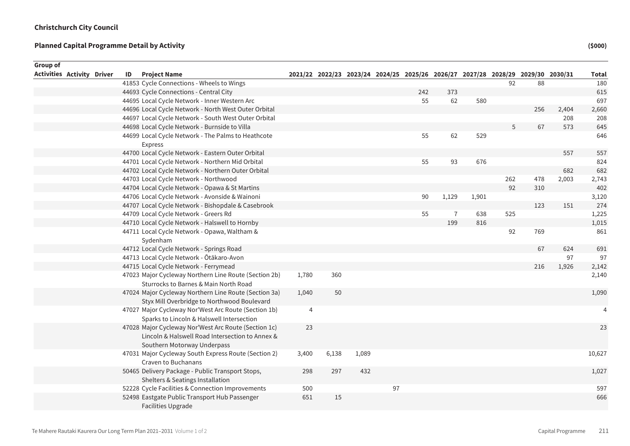| Group of                          |    |                                                                                                |       |       |       |                                                                                 |     |                |       |     |     |       |              |
|-----------------------------------|----|------------------------------------------------------------------------------------------------|-------|-------|-------|---------------------------------------------------------------------------------|-----|----------------|-------|-----|-----|-------|--------------|
| <b>Activities Activity Driver</b> | ID | <b>Project Name</b>                                                                            |       |       |       | 2021/22 2022/23 2023/24 2024/25 2025/26 2026/27 2027/28 2028/29 2029/30 2030/31 |     |                |       |     |     |       | <b>Total</b> |
|                                   |    | 41853 Cycle Connections - Wheels to Wings                                                      |       |       |       |                                                                                 |     |                |       | 92  | 88  |       | 180          |
|                                   |    | 44693 Cycle Connections - Central City                                                         |       |       |       |                                                                                 | 242 | 373            |       |     |     |       | 615          |
|                                   |    | 44695 Local Cycle Network - Inner Western Arc                                                  |       |       |       |                                                                                 | 55  | 62             | 580   |     |     |       | 697          |
|                                   |    | 44696 Local Cycle Network - North West Outer Orbital                                           |       |       |       |                                                                                 |     |                |       |     | 256 | 2,404 | 2,660        |
|                                   |    | 44697 Local Cycle Network - South West Outer Orbital                                           |       |       |       |                                                                                 |     |                |       |     |     | 208   | 208          |
|                                   |    | 44698 Local Cycle Network - Burnside to Villa                                                  |       |       |       |                                                                                 |     |                |       | 5   | 67  | 573   | 645          |
|                                   |    | 44699 Local Cycle Network - The Palms to Heathcote                                             |       |       |       |                                                                                 | 55  | 62             | 529   |     |     |       | 646          |
|                                   |    | Express                                                                                        |       |       |       |                                                                                 |     |                |       |     |     |       |              |
|                                   |    | 44700 Local Cycle Network - Eastern Outer Orbital                                              |       |       |       |                                                                                 |     |                |       |     |     | 557   | 557          |
|                                   |    | 44701 Local Cycle Network - Northern Mid Orbital                                               |       |       |       |                                                                                 | 55  | 93             | 676   |     |     |       | 824          |
|                                   |    | 44702 Local Cycle Network - Northern Outer Orbital                                             |       |       |       |                                                                                 |     |                |       |     |     | 682   | 682          |
|                                   |    | 44703 Local Cycle Network - Northwood                                                          |       |       |       |                                                                                 |     |                |       | 262 | 478 | 2,003 | 2,743        |
|                                   |    | 44704 Local Cycle Network - Opawa & St Martins                                                 |       |       |       |                                                                                 |     |                |       | 92  | 310 |       | 402          |
|                                   |    | 44706 Local Cycle Network - Avonside & Wainoni                                                 |       |       |       |                                                                                 | 90  | 1,129          | 1,901 |     |     |       | 3,120        |
|                                   |    | 44707 Local Cycle Network - Bishopdale & Casebrook                                             |       |       |       |                                                                                 |     |                |       |     | 123 | 151   | 274          |
|                                   |    | 44709 Local Cycle Network - Greers Rd                                                          |       |       |       |                                                                                 | 55  | $\overline{1}$ | 638   | 525 |     |       | 1,225        |
|                                   |    | 44710 Local Cycle Network - Halswell to Hornby                                                 |       |       |       |                                                                                 |     | 199            | 816   |     |     |       | 1,015        |
|                                   |    | 44711 Local Cycle Network - Opawa, Waltham &                                                   |       |       |       |                                                                                 |     |                |       | 92  | 769 |       | 861          |
|                                   |    | Sydenham                                                                                       |       |       |       |                                                                                 |     |                |       |     |     |       |              |
|                                   |    | 44712 Local Cycle Network - Springs Road                                                       |       |       |       |                                                                                 |     |                |       |     | 67  | 624   | 691          |
|                                   |    | 44713 Local Cycle Network - Ōtākaro-Avon                                                       |       |       |       |                                                                                 |     |                |       |     |     | 97    | 97           |
|                                   |    | 44715 Local Cycle Network - Ferrymead                                                          |       |       |       |                                                                                 |     |                |       |     | 216 | 1,926 | 2,142        |
|                                   |    | 47023 Major Cycleway Northern Line Route (Section 2b)<br>Sturrocks to Barnes & Main North Road | 1,780 | 360   |       |                                                                                 |     |                |       |     |     |       | 2,140        |
|                                   |    | 47024 Major Cycleway Northern Line Route (Section 3a)                                          | 1,040 | 50    |       |                                                                                 |     |                |       |     |     |       | 1,090        |
|                                   |    | Styx Mill Overbridge to Northwood Boulevard                                                    |       |       |       |                                                                                 |     |                |       |     |     |       |              |
|                                   |    | 47027 Major Cycleway Nor'West Arc Route (Section 1b)                                           | 4     |       |       |                                                                                 |     |                |       |     |     |       | 4            |
|                                   |    | Sparks to Lincoln & Halswell Intersection                                                      |       |       |       |                                                                                 |     |                |       |     |     |       |              |
|                                   |    | 47028 Major Cycleway Nor'West Arc Route (Section 1c)                                           | 23    |       |       |                                                                                 |     |                |       |     |     |       | 23           |
|                                   |    | Lincoln & Halswell Road Intersection to Annex &                                                |       |       |       |                                                                                 |     |                |       |     |     |       |              |
|                                   |    | Southern Motorway Underpass                                                                    |       |       |       |                                                                                 |     |                |       |     |     |       |              |
|                                   |    | 47031 Major Cycleway South Express Route (Section 2)                                           | 3,400 | 6,138 | 1,089 |                                                                                 |     |                |       |     |     |       | 10,627       |
|                                   |    | Craven to Buchanans                                                                            |       |       |       |                                                                                 |     |                |       |     |     |       |              |
|                                   |    | 50465 Delivery Package - Public Transport Stops,                                               | 298   | 297   | 432   |                                                                                 |     |                |       |     |     |       | 1,027        |
|                                   |    | Shelters & Seatings Installation                                                               |       |       |       |                                                                                 |     |                |       |     |     |       |              |
|                                   |    | 52228 Cycle Facilities & Connection Improvements                                               | 500   |       |       | 97                                                                              |     |                |       |     |     |       | 597          |
|                                   |    | 52498 Eastgate Public Transport Hub Passenger                                                  | 651   | 15    |       |                                                                                 |     |                |       |     |     |       | 666          |
|                                   |    | <b>Facilities Upgrade</b>                                                                      |       |       |       |                                                                                 |     |                |       |     |     |       |              |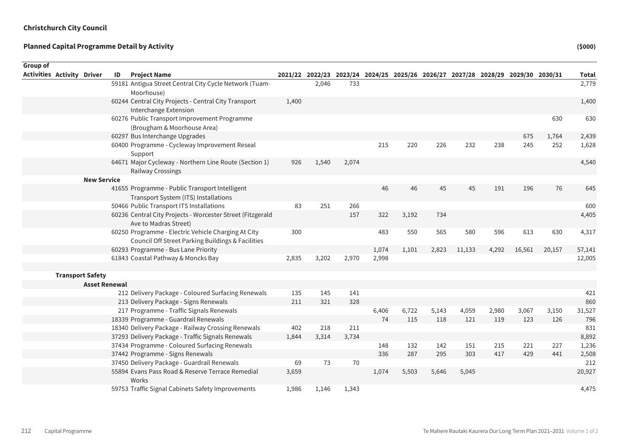| Group of |                                   |                         |    |                                                                                     |       |       |       |       |                                                                                 |       |        |       |        |        |              |
|----------|-----------------------------------|-------------------------|----|-------------------------------------------------------------------------------------|-------|-------|-------|-------|---------------------------------------------------------------------------------|-------|--------|-------|--------|--------|--------------|
|          | <b>Activities Activity Driver</b> |                         | ID | <b>Project Name</b>                                                                 |       |       |       |       | 2021/22 2022/23 2023/24 2024/25 2025/26 2026/27 2027/28 2028/29 2029/30 2030/31 |       |        |       |        |        | <b>Total</b> |
|          |                                   |                         |    | 59181 Antigua Street Central City Cycle Network (Tuam-<br>Moorhouse)                |       | 2,046 | 733   |       |                                                                                 |       |        |       |        |        | 2,779        |
|          |                                   |                         |    | 60244 Central City Projects - Central City Transport                                | 1,400 |       |       |       |                                                                                 |       |        |       |        |        | 1,400        |
|          |                                   |                         |    | Interchange Extension                                                               |       |       |       |       |                                                                                 |       |        |       |        |        |              |
|          |                                   |                         |    | 60276 Public Transport Improvement Programme<br>(Brougham & Moorhouse Area)         |       |       |       |       |                                                                                 |       |        |       |        | 630    | 630          |
|          |                                   |                         |    | 60297 Bus Interchange Upgrades                                                      |       |       |       |       |                                                                                 |       |        |       | 675    | 1,764  | 2,439        |
|          |                                   |                         |    | 60400 Programme - Cycleway Improvement Reseal                                       |       |       |       | 215   | 220                                                                             | 226   | 232    | 238   | 245    | 252    | 1,628        |
|          |                                   |                         |    | Support                                                                             |       |       |       |       |                                                                                 |       |        |       |        |        |              |
|          |                                   |                         |    | 64671 Major Cycleway - Northern Line Route (Section 1)                              | 926   | 1,540 | 2,074 |       |                                                                                 |       |        |       |        |        | 4,540        |
|          |                                   |                         |    | Railway Crossings                                                                   |       |       |       |       |                                                                                 |       |        |       |        |        |              |
|          |                                   | <b>New Service</b>      |    |                                                                                     |       |       |       |       |                                                                                 |       |        |       |        |        |              |
|          |                                   |                         |    | 41655 Programme - Public Transport Intelligent                                      |       |       |       | 46    | 46                                                                              | 45    | 45     | 191   | 196    | 76     | 645          |
|          |                                   |                         |    | Transport System (ITS) Installations                                                |       |       |       |       |                                                                                 |       |        |       |        |        |              |
|          |                                   |                         |    | 50466 Public Transport ITS Installations                                            | 83    | 251   | 266   |       |                                                                                 |       |        |       |        |        | 600          |
|          |                                   |                         |    | 60236 Central City Projects - Worcester Street (Fitzgerald<br>Ave to Madras Street) |       |       | 157   | 322   | 3,192                                                                           | 734   |        |       |        |        | 4,405        |
|          |                                   |                         |    | 60250 Programme - Electric Vehicle Charging At City                                 | 300   |       |       | 483   | 550                                                                             | 565   | 580    | 596   | 613    | 630    | 4,317        |
|          |                                   |                         |    | Council Off Street Parking Buildings & Facilities                                   |       |       |       |       |                                                                                 |       |        |       |        |        |              |
|          |                                   |                         |    | 60293 Programme - Bus Lane Priority                                                 |       |       |       | 1,074 | 1,101                                                                           | 2,823 | 11,133 | 4,292 | 16,561 | 20,157 | 57,141       |
|          |                                   |                         |    | 61843 Coastal Pathway & Moncks Bay                                                  | 2,835 | 3,202 | 2,970 | 2,998 |                                                                                 |       |        |       |        |        | 12,005       |
|          |                                   |                         |    |                                                                                     |       |       |       |       |                                                                                 |       |        |       |        |        |              |
|          |                                   | <b>Transport Safety</b> |    |                                                                                     |       |       |       |       |                                                                                 |       |        |       |        |        |              |
|          |                                   | <b>Asset Renewal</b>    |    |                                                                                     |       |       |       |       |                                                                                 |       |        |       |        |        |              |
|          |                                   |                         |    | 212 Delivery Package - Coloured Surfacing Renewals                                  | 135   | 145   | 141   |       |                                                                                 |       |        |       |        |        | 421          |
|          |                                   |                         |    | 213 Delivery Package - Signs Renewals                                               | 211   | 321   | 328   |       |                                                                                 |       |        |       |        |        | 860          |
|          |                                   |                         |    | 217 Programme - Traffic Signals Renewals                                            |       |       |       | 6,406 | 6,722                                                                           | 5,143 | 4,059  | 2,980 | 3,067  | 3,150  | 31,527       |
|          |                                   |                         |    | 18339 Programme - Guardrail Renewals                                                |       |       |       | 74    | 115                                                                             | 118   | 121    | 119   | 123    | 126    | 796          |
|          |                                   |                         |    | 18340 Delivery Package - Railway Crossing Renewals                                  | 402   | 218   | 211   |       |                                                                                 |       |        |       |        |        | 831          |
|          |                                   |                         |    | 37293 Delivery Package - Traffic Signals Renewals                                   | 1,844 | 3,314 | 3,734 |       |                                                                                 |       |        |       |        |        | 8,892        |
|          |                                   |                         |    | 37434 Programme - Coloured Surfacing Renewals                                       |       |       |       | 148   | 132                                                                             | 142   | 151    | 215   | 221    | 227    | 1,236        |
|          |                                   |                         |    | 37442 Programme - Signs Renewals                                                    |       |       |       | 336   | 287                                                                             | 295   | 303    | 417   | 429    | 441    | 2,508        |
|          |                                   |                         |    | 37450 Delivery Package - Guardrail Renewals                                         | 69    | 73    | 70    |       |                                                                                 |       |        |       |        |        | 212          |
|          |                                   |                         |    | 55894 Evans Pass Road & Reserve Terrace Remedial<br>Works                           | 3,659 |       |       | 1,074 | 5,503                                                                           | 5,646 | 5,045  |       |        |        | 20,927       |
|          |                                   |                         |    | 59753 Traffic Signal Cabinets Safety Improvements                                   | 1,986 | 1,146 | 1,343 |       |                                                                                 |       |        |       |        |        | 4,475        |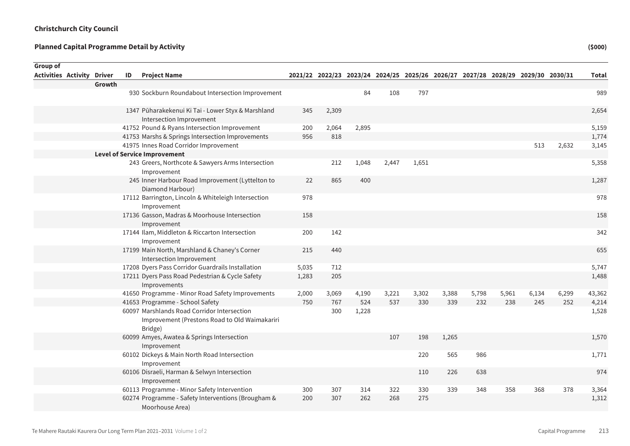| Group of                          |        |    |                                                                                                         |       |       |       |                                                                                 |       |       |       |       |       |       |              |
|-----------------------------------|--------|----|---------------------------------------------------------------------------------------------------------|-------|-------|-------|---------------------------------------------------------------------------------|-------|-------|-------|-------|-------|-------|--------------|
| <b>Activities Activity Driver</b> |        | ID | <b>Project Name</b>                                                                                     |       |       |       | 2021/22 2022/23 2023/24 2024/25 2025/26 2026/27 2027/28 2028/29 2029/30 2030/31 |       |       |       |       |       |       | <b>Total</b> |
|                                   | Growth |    |                                                                                                         |       |       |       |                                                                                 |       |       |       |       |       |       |              |
|                                   |        |    | 930 Sockburn Roundabout Intersection Improvement                                                        |       |       | 84    | 108                                                                             | 797   |       |       |       |       |       | 989          |
|                                   |        |    | 1347 Pūharakekenui Ki Tai - Lower Styx & Marshland<br>Intersection Improvement                          | 345   | 2,309 |       |                                                                                 |       |       |       |       |       |       | 2,654        |
|                                   |        |    | 41752 Pound & Ryans Intersection Improvement                                                            | 200   | 2,064 | 2,895 |                                                                                 |       |       |       |       |       |       | 5,159        |
|                                   |        |    | 41753 Marshs & Springs Intersection Improvements                                                        | 956   | 818   |       |                                                                                 |       |       |       |       |       |       | 1,774        |
|                                   |        |    | 41975 Innes Road Corridor Improvement                                                                   |       |       |       |                                                                                 |       |       |       |       | 513   | 2,632 | 3,145        |
|                                   |        |    | <b>Level of Service Improvement</b>                                                                     |       |       |       |                                                                                 |       |       |       |       |       |       |              |
|                                   |        |    | 243 Greers, Northcote & Sawyers Arms Intersection<br>Improvement                                        |       | 212   | 1,048 | 2,447                                                                           | 1,651 |       |       |       |       |       | 5,358        |
|                                   |        |    | 245 Inner Harbour Road Improvement (Lyttelton to<br>Diamond Harbour)                                    | 22    | 865   | 400   |                                                                                 |       |       |       |       |       |       | 1,287        |
|                                   |        |    | 17112 Barrington, Lincoln & Whiteleigh Intersection<br>Improvement                                      | 978   |       |       |                                                                                 |       |       |       |       |       |       | 978          |
|                                   |        |    | 17136 Gasson, Madras & Moorhouse Intersection<br>Improvement                                            | 158   |       |       |                                                                                 |       |       |       |       |       |       | 158          |
|                                   |        |    | 17144 Ilam, Middleton & Riccarton Intersection<br>Improvement                                           | 200   | 142   |       |                                                                                 |       |       |       |       |       |       | 342          |
|                                   |        |    | 17199 Main North, Marshland & Chaney's Corner<br>Intersection Improvement                               | 215   | 440   |       |                                                                                 |       |       |       |       |       |       | 655          |
|                                   |        |    | 17208 Dyers Pass Corridor Guardrails Installation                                                       | 5,035 | 712   |       |                                                                                 |       |       |       |       |       |       | 5,747        |
|                                   |        |    | 17211 Dyers Pass Road Pedestrian & Cycle Safety<br>Improvements                                         | 1,283 | 205   |       |                                                                                 |       |       |       |       |       |       | 1,488        |
|                                   |        |    | 41650 Programme - Minor Road Safety Improvements                                                        | 2,000 | 3,069 | 4,190 | 3,221                                                                           | 3,302 | 3,388 | 5,798 | 5,961 | 6,134 | 6,299 | 43,362       |
|                                   |        |    | 41653 Programme - School Safety                                                                         | 750   | 767   | 524   | 537                                                                             | 330   | 339   | 232   | 238   | 245   | 252   | 4,214        |
|                                   |        |    | 60097 Marshlands Road Corridor Intersection<br>Improvement (Prestons Road to Old Waimakariri<br>Bridge) |       | 300   | 1,228 |                                                                                 |       |       |       |       |       |       | 1,528        |
|                                   |        |    | 60099 Amyes, Awatea & Springs Intersection<br>Improvement                                               |       |       |       | 107                                                                             | 198   | 1,265 |       |       |       |       | 1,570        |
|                                   |        |    | 60102 Dickeys & Main North Road Intersection<br>Improvement                                             |       |       |       |                                                                                 | 220   | 565   | 986   |       |       |       | 1,771        |
|                                   |        |    | 60106 Disraeli, Harman & Selwyn Intersection<br>Improvement                                             |       |       |       |                                                                                 | 110   | 226   | 638   |       |       |       | 974          |
|                                   |        |    | 60113 Programme - Minor Safety Intervention                                                             | 300   | 307   | 314   | 322                                                                             | 330   | 339   | 348   | 358   | 368   | 378   | 3,364        |
|                                   |        |    | 60274 Programme - Safety Interventions (Brougham &<br>Moorhouse Area)                                   | 200   | 307   | 262   | 268                                                                             | 275   |       |       |       |       |       | 1,312        |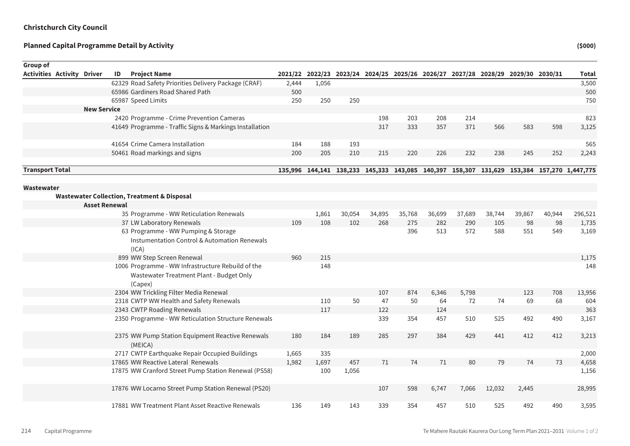Sum of Rounded

| Group of                          |                      |    |                                                                                                          |       |       |        |        |        |        |        |        |                                                                                 |        |                                                                                           |
|-----------------------------------|----------------------|----|----------------------------------------------------------------------------------------------------------|-------|-------|--------|--------|--------|--------|--------|--------|---------------------------------------------------------------------------------|--------|-------------------------------------------------------------------------------------------|
| <b>Activities Activity Driver</b> |                      | ID | <b>Project Name</b>                                                                                      |       |       |        |        |        |        |        |        | 2021/22 2022/23 2023/24 2024/25 2025/26 2026/27 2027/28 2028/29 2029/30 2030/31 |        | Total                                                                                     |
|                                   |                      |    | 62329 Road Safety Priorities Delivery Package (CRAF)                                                     | 2,444 | 1,056 |        |        |        |        |        |        |                                                                                 |        | 3,500                                                                                     |
|                                   |                      |    | 65986 Gardiners Road Shared Path                                                                         | 500   |       |        |        |        |        |        |        |                                                                                 |        | 500                                                                                       |
|                                   |                      |    | 65987 Speed Limits                                                                                       | 250   | 250   | 250    |        |        |        |        |        |                                                                                 |        | 750                                                                                       |
|                                   | <b>New Service</b>   |    |                                                                                                          |       |       |        |        |        |        |        |        |                                                                                 |        |                                                                                           |
|                                   |                      |    | 2420 Programme - Crime Prevention Cameras                                                                |       |       |        | 198    | 203    | 208    | 214    |        |                                                                                 |        | 823                                                                                       |
|                                   |                      |    | 41649 Programme - Traffic Signs & Markings Installation                                                  |       |       |        | 317    | 333    | 357    | 371    | 566    | 583                                                                             | 598    | 3,125                                                                                     |
|                                   |                      |    | 41654 Crime Camera Installation                                                                          | 184   | 188   | 193    |        |        |        |        |        |                                                                                 |        | 565                                                                                       |
|                                   |                      |    | 50461 Road markings and signs                                                                            | 200   | 205   | 210    | 215    | 220    | 226    | 232    | 238    | 245                                                                             | 252    | 2,243                                                                                     |
| <b>Transport Total</b>            |                      |    |                                                                                                          |       |       |        |        |        |        |        |        |                                                                                 |        | 135,996 144,141 138,233 145,333 143,085 140,397 158,307 131,629 153,384 157,270 1,447,775 |
| Wastewater                        |                      |    |                                                                                                          |       |       |        |        |        |        |        |        |                                                                                 |        |                                                                                           |
|                                   |                      |    | <b>Wastewater Collection, Treatment &amp; Disposal</b>                                                   |       |       |        |        |        |        |        |        |                                                                                 |        |                                                                                           |
|                                   | <b>Asset Renewal</b> |    |                                                                                                          |       |       |        |        |        |        |        |        |                                                                                 |        |                                                                                           |
|                                   |                      |    | 35 Programme - WW Reticulation Renewals                                                                  |       | 1,861 | 30,054 | 34,895 | 35,768 | 36,699 | 37,689 | 38,744 | 39,867                                                                          | 40,944 | 296,521                                                                                   |
|                                   |                      |    | 37 LW Laboratory Renewals                                                                                | 109   | 108   | 102    | 268    | 275    | 282    | 290    | 105    | 98                                                                              | 98     | 1,735                                                                                     |
|                                   |                      |    | 63 Programme - WW Pumping & Storage<br><b>Instumentation Control &amp; Automation Renewals</b><br>(ICA)  |       |       |        |        | 396    | 513    | 572    | 588    | 551                                                                             | 549    | 3,169                                                                                     |
|                                   |                      |    | 899 WW Step Screen Renewal                                                                               | 960   | 215   |        |        |        |        |        |        |                                                                                 |        | 1,175                                                                                     |
|                                   |                      |    | 1006 Programme - WW Infrastructure Rebuild of the<br>Wastewater Treatment Plant - Budget Only<br>(Capex) |       | 148   |        |        |        |        |        |        |                                                                                 |        | 148                                                                                       |
|                                   |                      |    | 2304 WW Trickling Filter Media Renewal                                                                   |       |       |        | 107    | 874    | 6,346  | 5,798  |        | 123                                                                             | 708    | 13,956                                                                                    |
|                                   |                      |    | 2318 CWTP WW Health and Safety Renewals                                                                  |       | 110   | 50     | 47     | 50     | 64     | 72     | 74     | 69                                                                              | 68     | 604                                                                                       |
|                                   |                      |    | 2343 CWTP Roading Renewals                                                                               |       | 117   |        | 122    |        | 124    |        |        |                                                                                 |        | 363                                                                                       |
|                                   |                      |    | 2350 Programme - WW Reticulation Structure Renewals                                                      |       |       |        | 339    | 354    | 457    | 510    | 525    | 492                                                                             | 490    | 3,167                                                                                     |
|                                   |                      |    | 2375 WW Pump Station Equipment Reactive Renewals<br>(MEICA)                                              | 180   | 184   | 189    | 285    | 297    | 384    | 429    | 441    | 412                                                                             | 412    | 3,213                                                                                     |
|                                   |                      |    | 2717 CWTP Earthquake Repair Occupied Buildings                                                           | 1,665 | 335   |        |        |        |        |        |        |                                                                                 |        | 2,000                                                                                     |
|                                   |                      |    | 17865 WW Reactive Lateral Renewals                                                                       | 1,982 | 1,697 | 457    | 71     | 74     | 71     | 80     | 79     | 74                                                                              | 73     | 4,658                                                                                     |
|                                   |                      |    | 17875 WW Cranford Street Pump Station Renewal (PS58)                                                     |       | 100   | 1,056  |        |        |        |        |        |                                                                                 |        | 1,156                                                                                     |
|                                   |                      |    | 17876 WW Locarno Street Pump Station Renewal (PS20)                                                      |       |       |        | 107    | 598    | 6,747  | 7,066  | 12,032 | 2,445                                                                           |        | 28,995                                                                                    |
|                                   |                      |    | 17881 WW Treatment Plant Asset Reactive Renewals                                                         | 136   | 149   | 143    | 339    | 354    | 457    | 510    | 525    | 492                                                                             | 490    | 3,595                                                                                     |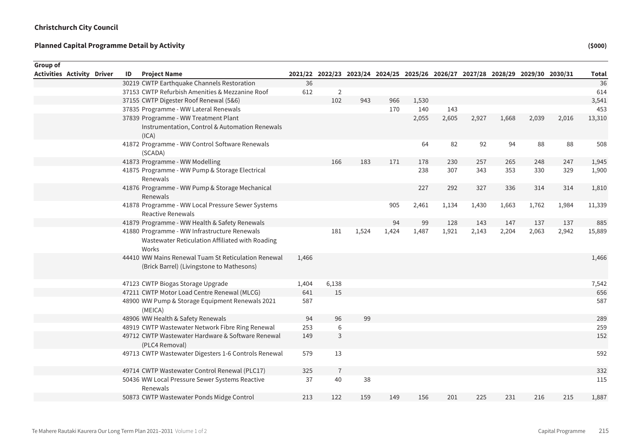Sum of Rounded

| Group of                          |    |                                                                                                          |       |                |       |       |       |       |                                                                                 |       |       |       |              |
|-----------------------------------|----|----------------------------------------------------------------------------------------------------------|-------|----------------|-------|-------|-------|-------|---------------------------------------------------------------------------------|-------|-------|-------|--------------|
| <b>Activities Activity Driver</b> | ID | <b>Project Name</b>                                                                                      |       |                |       |       |       |       | 2021/22 2022/23 2023/24 2024/25 2025/26 2026/27 2027/28 2028/29 2029/30 2030/31 |       |       |       | <b>Total</b> |
|                                   |    | 30219 CWTP Earthquake Channels Restoration                                                               | 36    |                |       |       |       |       |                                                                                 |       |       |       | 36           |
|                                   |    | 37153 CWTP Refurbish Amenities & Mezzanine Roof                                                          | 612   | 2              |       |       |       |       |                                                                                 |       |       |       | 614          |
|                                   |    | 37155 CWTP Digester Roof Renewal (5&6)                                                                   |       | 102            | 943   | 966   | 1,530 |       |                                                                                 |       |       |       | 3,541        |
|                                   |    | 37835 Programme - WW Lateral Renewals                                                                    |       |                |       | 170   | 140   | 143   |                                                                                 |       |       |       | 453          |
|                                   |    | 37839 Programme - WW Treatment Plant<br>Instrumentation, Control & Automation Renewals<br>(ICA)          |       |                |       |       | 2,055 | 2,605 | 2,927                                                                           | 1,668 | 2,039 | 2,016 | 13,310       |
|                                   |    | 41872 Programme - WW Control Software Renewals<br>(SCADA)                                                |       |                |       |       | 64    | 82    | 92                                                                              | 94    | 88    | 88    | 508          |
|                                   |    | 41873 Programme - WW Modelling                                                                           |       | 166            | 183   | 171   | 178   | 230   | 257                                                                             | 265   | 248   | 247   | 1,945        |
|                                   |    | 41875 Programme - WW Pump & Storage Electrical<br>Renewals                                               |       |                |       |       | 238   | 307   | 343                                                                             | 353   | 330   | 329   | 1,900        |
|                                   |    | 41876 Programme - WW Pump & Storage Mechanical<br>Renewals                                               |       |                |       |       | 227   | 292   | 327                                                                             | 336   | 314   | 314   | 1,810        |
|                                   |    | 41878 Programme - WW Local Pressure Sewer Systems<br><b>Reactive Renewals</b>                            |       |                |       | 905   | 2,461 | 1,134 | 1,430                                                                           | 1,663 | 1,762 | 1,984 | 11,339       |
|                                   |    | 41879 Programme - WW Health & Safety Renewals                                                            |       |                |       | 94    | 99    | 128   | 143                                                                             | 147   | 137   | 137   | 885          |
|                                   |    | 41880 Programme - WW Infrastructure Renewals<br>Wastewater Reticulation Affiliated with Roading<br>Works |       | 181            | 1,524 | 1,424 | 1,487 | 1,921 | 2,143                                                                           | 2,204 | 2,063 | 2,942 | 15,889       |
|                                   |    | 44410 WW Mains Renewal Tuam St Reticulation Renewal<br>(Brick Barrel) (Livingstone to Mathesons)         | 1,466 |                |       |       |       |       |                                                                                 |       |       |       | 1,466        |
|                                   |    | 47123 CWTP Biogas Storage Upgrade                                                                        | 1,404 | 6,138          |       |       |       |       |                                                                                 |       |       |       | 7,542        |
|                                   |    | 47211 CWTP Motor Load Centre Renewal (MLCG)                                                              | 641   | 15             |       |       |       |       |                                                                                 |       |       |       | 656          |
|                                   |    | 48900 WW Pump & Storage Equipment Renewals 2021<br>(MEICA)                                               | 587   |                |       |       |       |       |                                                                                 |       |       |       | 587          |
|                                   |    | 48906 WW Health & Safety Renewals                                                                        | 94    | 96             | 99    |       |       |       |                                                                                 |       |       |       | 289          |
|                                   |    | 48919 CWTP Wastewater Network Fibre Ring Renewal                                                         | 253   | 6              |       |       |       |       |                                                                                 |       |       |       | 259          |
|                                   |    | 49712 CWTP Wastewater Hardware & Software Renewal<br>(PLC4 Removal)                                      | 149   | 3              |       |       |       |       |                                                                                 |       |       |       | 152          |
|                                   |    | 49713 CWTP Wastewater Digesters 1-6 Controls Renewal                                                     | 579   | 13             |       |       |       |       |                                                                                 |       |       |       | 592          |
|                                   |    | 49714 CWTP Wastewater Control Renewal (PLC17)                                                            | 325   | $\overline{7}$ |       |       |       |       |                                                                                 |       |       |       | 332          |
|                                   |    | 50436 WW Local Pressure Sewer Systems Reactive<br>Renewals                                               | 37    | 40             | 38    |       |       |       |                                                                                 |       |       |       | 115          |
|                                   |    | 50873 CWTP Wastewater Ponds Midge Control                                                                | 213   | 122            | 159   | 149   | 156   | 201   | 225                                                                             | 231   | 216   | 215   | 1,887        |
|                                   |    |                                                                                                          |       |                |       |       |       |       |                                                                                 |       |       |       |              |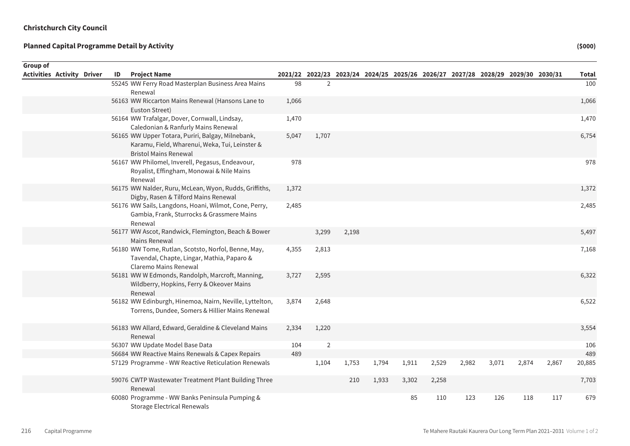| <b>Group of</b> |                                   |    |                                                                                                                                     |       |                |       |       |                                                                                 |       |       |       |       |       |              |
|-----------------|-----------------------------------|----|-------------------------------------------------------------------------------------------------------------------------------------|-------|----------------|-------|-------|---------------------------------------------------------------------------------|-------|-------|-------|-------|-------|--------------|
|                 | <b>Activities Activity Driver</b> | ID | <b>Project Name</b>                                                                                                                 |       |                |       |       | 2021/22 2022/23 2023/24 2024/25 2025/26 2026/27 2027/28 2028/29 2029/30 2030/31 |       |       |       |       |       | <b>Total</b> |
|                 |                                   |    | 55245 WW Ferry Road Masterplan Business Area Mains<br>Renewal                                                                       | 98    | $\overline{2}$ |       |       |                                                                                 |       |       |       |       |       | 100          |
|                 |                                   |    | 56163 WW Riccarton Mains Renewal (Hansons Lane to<br>Euston Street)                                                                 | 1,066 |                |       |       |                                                                                 |       |       |       |       |       | 1,066        |
|                 |                                   |    | 56164 WW Trafalgar, Dover, Cornwall, Lindsay,<br>Caledonian & Ranfurly Mains Renewal                                                | 1,470 |                |       |       |                                                                                 |       |       |       |       |       | 1,470        |
|                 |                                   |    | 56165 WW Upper Totara, Puriri, Balgay, Milnebank,<br>Karamu, Field, Wharenui, Weka, Tui, Leinster &<br><b>Bristol Mains Renewal</b> | 5,047 | 1,707          |       |       |                                                                                 |       |       |       |       |       | 6,754        |
|                 |                                   |    | 56167 WW Philomel, Inverell, Pegasus, Endeavour,<br>Royalist, Effingham, Monowai & Nile Mains<br>Renewal                            | 978   |                |       |       |                                                                                 |       |       |       |       |       | 978          |
|                 |                                   |    | 56175 WW Nalder, Ruru, McLean, Wyon, Rudds, Griffiths,<br>Digby, Rasen & Tilford Mains Renewal                                      | 1,372 |                |       |       |                                                                                 |       |       |       |       |       | 1,372        |
|                 |                                   |    | 56176 WW Sails, Langdons, Hoani, Wilmot, Cone, Perry,<br>Gambia, Frank, Sturrocks & Grassmere Mains<br>Renewal                      | 2,485 |                |       |       |                                                                                 |       |       |       |       |       | 2,485        |
|                 |                                   |    | 56177 WW Ascot, Randwick, Flemington, Beach & Bower<br>Mains Renewal                                                                |       | 3,299          | 2,198 |       |                                                                                 |       |       |       |       |       | 5,497        |
|                 |                                   |    | 56180 WW Tome, Rutlan, Scotsto, Norfol, Benne, May,<br>Tavendal, Chapte, Lingar, Mathia, Paparo &<br>Claremo Mains Renewal          | 4,355 | 2,813          |       |       |                                                                                 |       |       |       |       |       | 7,168        |
|                 |                                   |    | 56181 WW W Edmonds, Randolph, Marcroft, Manning,<br>Wildberry, Hopkins, Ferry & Okeover Mains<br>Renewal                            | 3,727 | 2,595          |       |       |                                                                                 |       |       |       |       |       | 6,322        |
|                 |                                   |    | 56182 WW Edinburgh, Hinemoa, Nairn, Neville, Lyttelton,<br>Torrens, Dundee, Somers & Hillier Mains Renewal                          | 3,874 | 2,648          |       |       |                                                                                 |       |       |       |       |       | 6,522        |
|                 |                                   |    | 56183 WW Allard, Edward, Geraldine & Cleveland Mains<br>Renewal                                                                     | 2,334 | 1,220          |       |       |                                                                                 |       |       |       |       |       | 3,554        |
|                 |                                   |    | 56307 WW Update Model Base Data                                                                                                     | 104   | $\overline{2}$ |       |       |                                                                                 |       |       |       |       |       | 106          |
|                 |                                   |    | 56684 WW Reactive Mains Renewals & Capex Repairs                                                                                    | 489   |                |       |       |                                                                                 |       |       |       |       |       | 489          |
|                 |                                   |    | 57129 Programme - WW Reactive Reticulation Renewals                                                                                 |       | 1,104          | 1,753 | 1,794 | 1,911                                                                           | 2,529 | 2,982 | 3,071 | 2,874 | 2,867 | 20,885       |
|                 |                                   |    | 59076 CWTP Wastewater Treatment Plant Building Three<br>Renewal                                                                     |       |                | 210   | 1,933 | 3,302                                                                           | 2,258 |       |       |       |       | 7,703        |
|                 |                                   |    | 60080 Programme - WW Banks Peninsula Pumping &<br>Storage Electrical Renewals                                                       |       |                |       |       | 85                                                                              | 110   | 123   | 126   | 118   | 117   | 679          |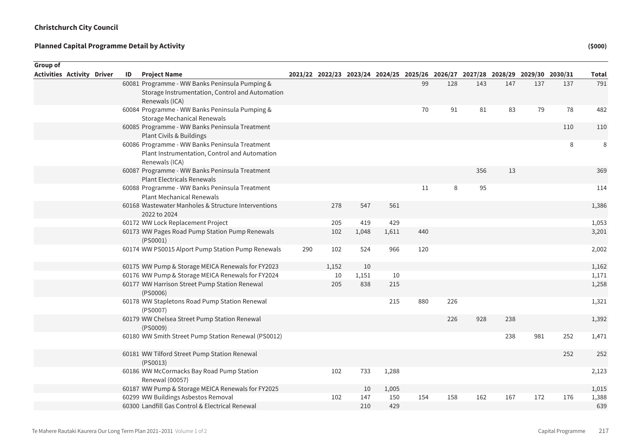| Group of                          |  |    |                                                              |     |       |       |       |     |     |                                                                                 |     |     |     |              |
|-----------------------------------|--|----|--------------------------------------------------------------|-----|-------|-------|-------|-----|-----|---------------------------------------------------------------------------------|-----|-----|-----|--------------|
| <b>Activities Activity Driver</b> |  | ID | <b>Project Name</b>                                          |     |       |       |       |     |     | 2021/22 2022/23 2023/24 2024/25 2025/26 2026/27 2027/28 2028/29 2029/30 2030/31 |     |     |     | <b>Total</b> |
|                                   |  |    | 60081 Programme - WW Banks Peninsula Pumping &               |     |       |       |       | 99  | 128 | 143                                                                             | 147 | 137 | 137 | 791          |
|                                   |  |    | Storage Instrumentation, Control and Automation              |     |       |       |       |     |     |                                                                                 |     |     |     |              |
|                                   |  |    | Renewals (ICA)                                               |     |       |       |       |     |     |                                                                                 |     |     |     |              |
|                                   |  |    | 60084 Programme - WW Banks Peninsula Pumping &               |     |       |       |       | 70  | 91  | 81                                                                              | 83  | 79  | 78  | 482          |
|                                   |  |    | <b>Storage Mechanical Renewals</b>                           |     |       |       |       |     |     |                                                                                 |     |     |     |              |
|                                   |  |    | 60085 Programme - WW Banks Peninsula Treatment               |     |       |       |       |     |     |                                                                                 |     |     | 110 | 110          |
|                                   |  |    | Plant Civils & Buildings                                     |     |       |       |       |     |     |                                                                                 |     |     |     |              |
|                                   |  |    | 60086 Programme - WW Banks Peninsula Treatment               |     |       |       |       |     |     |                                                                                 |     |     | 8   | 8            |
|                                   |  |    | Plant Instrumentation, Control and Automation                |     |       |       |       |     |     |                                                                                 |     |     |     |              |
|                                   |  |    | Renewals (ICA)                                               |     |       |       |       |     |     |                                                                                 |     |     |     |              |
|                                   |  |    | 60087 Programme - WW Banks Peninsula Treatment               |     |       |       |       |     |     | 356                                                                             | 13  |     |     | 369          |
|                                   |  |    | <b>Plant Electricals Renewals</b>                            |     |       |       |       |     |     |                                                                                 |     |     |     |              |
|                                   |  |    | 60088 Programme - WW Banks Peninsula Treatment               |     |       |       |       | 11  | 8   | 95                                                                              |     |     |     | 114          |
|                                   |  |    | <b>Plant Mechanical Renewals</b>                             |     |       |       |       |     |     |                                                                                 |     |     |     |              |
|                                   |  |    | 60168 Wastewater Manholes & Structure Interventions          |     | 278   | 547   | 561   |     |     |                                                                                 |     |     |     | 1,386        |
|                                   |  |    | 2022 to 2024                                                 |     |       |       |       |     |     |                                                                                 |     |     |     |              |
|                                   |  |    | 60172 WW Lock Replacement Project                            |     | 205   | 419   | 429   |     |     |                                                                                 |     |     |     | 1,053        |
|                                   |  |    | 60173 WW Pages Road Pump Station Pump Renewals<br>(PS0001)   |     | 102   | 1,048 | 1,611 | 440 |     |                                                                                 |     |     |     | 3,201        |
|                                   |  |    | 60174 WW PS0015 Alport Pump Station Pump Renewals            | 290 | 102   | 524   | 966   | 120 |     |                                                                                 |     |     |     | 2,002        |
|                                   |  |    | 60175 WW Pump & Storage MEICA Renewals for FY2023            |     | 1,152 | 10    |       |     |     |                                                                                 |     |     |     | 1,162        |
|                                   |  |    | 60176 WW Pump & Storage MEICA Renewals for FY2024            |     | 10    | 1,151 | 10    |     |     |                                                                                 |     |     |     | 1,171        |
|                                   |  |    | 60177 WW Harrison Street Pump Station Renewal                |     | 205   | 838   | 215   |     |     |                                                                                 |     |     |     | 1,258        |
|                                   |  |    | (PS0006)                                                     |     |       |       |       |     |     |                                                                                 |     |     |     |              |
|                                   |  |    | 60178 WW Stapletons Road Pump Station Renewal                |     |       |       | 215   | 880 | 226 |                                                                                 |     |     |     | 1,321        |
|                                   |  |    | (PS0007)                                                     |     |       |       |       |     |     |                                                                                 |     |     |     |              |
|                                   |  |    | 60179 WW Chelsea Street Pump Station Renewal<br>(PS0009)     |     |       |       |       |     | 226 | 928                                                                             | 238 |     |     | 1,392        |
|                                   |  |    | 60180 WW Smith Street Pump Station Renewal (PS0012)          |     |       |       |       |     |     |                                                                                 | 238 | 981 | 252 | 1,471        |
|                                   |  |    |                                                              |     |       |       |       |     |     |                                                                                 |     |     | 252 | 252          |
|                                   |  |    | 60181 WW Tilford Street Pump Station Renewal<br>(PS0013)     |     |       |       |       |     |     |                                                                                 |     |     |     |              |
|                                   |  |    | 60186 WW McCormacks Bay Road Pump Station<br>Renewal (00057) |     | 102   | 733   | 1,288 |     |     |                                                                                 |     |     |     | 2,123        |
|                                   |  |    | 60187 WW Pump & Storage MEICA Renewals for FY2025            |     |       | 10    | 1,005 |     |     |                                                                                 |     |     |     | 1,015        |
|                                   |  |    | 60299 WW Buildings Asbestos Removal                          |     | 102   | 147   | 150   | 154 | 158 | 162                                                                             | 167 | 172 | 176 | 1,388        |
|                                   |  |    | 60300 Landfill Gas Control & Electrical Renewal              |     |       | 210   | 429   |     |     |                                                                                 |     |     |     | 639          |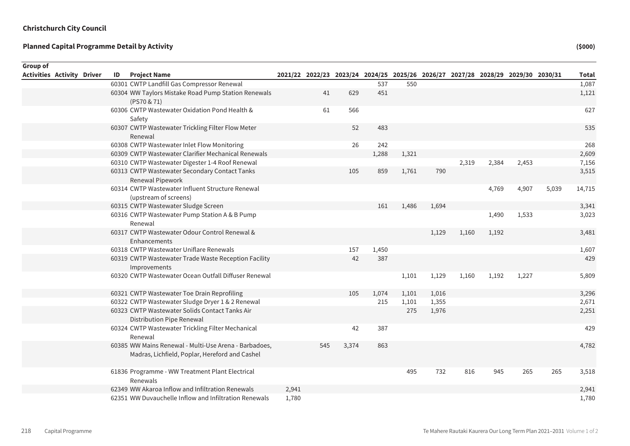| <b>Group of</b> |                                   |    |                                                                                                         |       |     |       |       |                                                                                 |       |       |       |       |       |              |
|-----------------|-----------------------------------|----|---------------------------------------------------------------------------------------------------------|-------|-----|-------|-------|---------------------------------------------------------------------------------|-------|-------|-------|-------|-------|--------------|
|                 | <b>Activities Activity Driver</b> | ID | <b>Project Name</b>                                                                                     |       |     |       |       | 2021/22 2022/23 2023/24 2024/25 2025/26 2026/27 2027/28 2028/29 2029/30 2030/31 |       |       |       |       |       | <b>Total</b> |
|                 |                                   |    | 60301 CWTP Landfill Gas Compressor Renewal                                                              |       |     |       | 537   | 550                                                                             |       |       |       |       |       | 1,087        |
|                 |                                   |    | 60304 WW Taylors Mistake Road Pump Station Renewals<br>(PS70 & 71)                                      |       | 41  | 629   | 451   |                                                                                 |       |       |       |       |       | 1,121        |
|                 |                                   |    | 60306 CWTP Wastewater Oxidation Pond Health &<br>Safety                                                 |       | 61  | 566   |       |                                                                                 |       |       |       |       |       | 627          |
|                 |                                   |    | 60307 CWTP Wastewater Trickling Filter Flow Meter<br>Renewal                                            |       |     | 52    | 483   |                                                                                 |       |       |       |       |       | 535          |
|                 |                                   |    | 60308 CWTP Wastewater Inlet Flow Monitoring                                                             |       |     | 26    | 242   |                                                                                 |       |       |       |       |       | 268          |
|                 |                                   |    | 60309 CWTP Wastewater Clarifier Mechanical Renewals                                                     |       |     |       | 1,288 | 1,321                                                                           |       |       |       |       |       | 2,609        |
|                 |                                   |    | 60310 CWTP Wastewater Digester 1-4 Roof Renewal                                                         |       |     |       |       |                                                                                 |       | 2,319 | 2,384 | 2,453 |       | 7,156        |
|                 |                                   |    | 60313 CWTP Wastewater Secondary Contact Tanks<br>Renewal Pipework                                       |       |     | 105   | 859   | 1,761                                                                           | 790   |       |       |       |       | 3,515        |
|                 |                                   |    | 60314 CWTP Wastewater Influent Structure Renewal<br>(upstream of screens)                               |       |     |       |       |                                                                                 |       |       | 4,769 | 4,907 | 5,039 | 14,715       |
|                 |                                   |    | 60315 CWTP Wastewater Sludge Screen                                                                     |       |     |       | 161   | 1,486                                                                           | 1,694 |       |       |       |       | 3,341        |
|                 |                                   |    | 60316 CWTP Wastewater Pump Station A & B Pump<br>Renewal                                                |       |     |       |       |                                                                                 |       |       | 1,490 | 1,533 |       | 3,023        |
|                 |                                   |    | 60317 CWTP Wastewater Odour Control Renewal &<br>Enhancements                                           |       |     |       |       |                                                                                 | 1,129 | 1,160 | 1,192 |       |       | 3,481        |
|                 |                                   |    | 60318 CWTP Wastewater Uniflare Renewals                                                                 |       |     | 157   | 1,450 |                                                                                 |       |       |       |       |       | 1,607        |
|                 |                                   |    | 60319 CWTP Wastewater Trade Waste Reception Facility<br>Improvements                                    |       |     | 42    | 387   |                                                                                 |       |       |       |       |       | 429          |
|                 |                                   |    | 60320 CWTP Wastewater Ocean Outfall Diffuser Renewal                                                    |       |     |       |       | 1,101                                                                           | 1,129 | 1,160 | 1,192 | 1,227 |       | 5,809        |
|                 |                                   |    | 60321 CWTP Wastewater Toe Drain Reprofiling                                                             |       |     | 105   | 1,074 | 1,101                                                                           | 1,016 |       |       |       |       | 3,296        |
|                 |                                   |    | 60322 CWTP Wastewater Sludge Dryer 1 & 2 Renewal                                                        |       |     |       | 215   | 1,101                                                                           | 1,355 |       |       |       |       | 2,671        |
|                 |                                   |    | 60323 CWTP Wastewater Solids Contact Tanks Air<br>Distribution Pipe Renewal                             |       |     |       |       | 275                                                                             | 1,976 |       |       |       |       | 2,251        |
|                 |                                   |    | 60324 CWTP Wastewater Trickling Filter Mechanical<br>Renewal                                            |       |     | 42    | 387   |                                                                                 |       |       |       |       |       | 429          |
|                 |                                   |    | 60385 WW Mains Renewal - Multi-Use Arena - Barbadoes,<br>Madras, Lichfield, Poplar, Hereford and Cashel |       | 545 | 3,374 | 863   |                                                                                 |       |       |       |       |       | 4,782        |
|                 |                                   |    | 61836 Programme - WW Treatment Plant Electrical<br>Renewals                                             |       |     |       |       | 495                                                                             | 732   | 816   | 945   | 265   | 265   | 3,518        |
|                 |                                   |    | 62349 WW Akaroa Inflow and Infiltration Renewals                                                        | 2,941 |     |       |       |                                                                                 |       |       |       |       |       | 2,941        |
|                 |                                   |    | 62351 WW Duvauchelle Inflow and Infiltration Renewals                                                   | 1,780 |     |       |       |                                                                                 |       |       |       |       |       | 1,780        |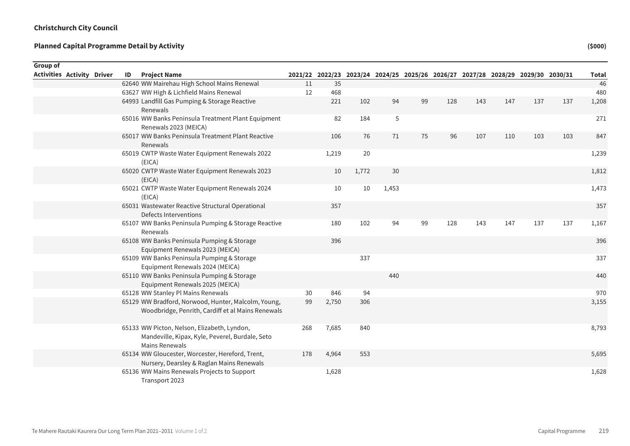| <b>Group of</b>                   |  |    |                                                                                                                  |     |       |       |       |                                                                                 |     |     |     |     |     |              |
|-----------------------------------|--|----|------------------------------------------------------------------------------------------------------------------|-----|-------|-------|-------|---------------------------------------------------------------------------------|-----|-----|-----|-----|-----|--------------|
| <b>Activities Activity Driver</b> |  | ID | <b>Project Name</b>                                                                                              |     |       |       |       | 2021/22 2022/23 2023/24 2024/25 2025/26 2026/27 2027/28 2028/29 2029/30 2030/31 |     |     |     |     |     | <b>Total</b> |
|                                   |  |    | 62640 WW Mairehau High School Mains Renewal                                                                      | 11  | 35    |       |       |                                                                                 |     |     |     |     |     | 46           |
|                                   |  |    | 63627 WW High & Lichfield Mains Renewal                                                                          | 12  | 468   |       |       |                                                                                 |     |     |     |     |     | 480          |
|                                   |  |    | 64993 Landfill Gas Pumping & Storage Reactive<br>Renewals                                                        |     | 221   | 102   | 94    | 99                                                                              | 128 | 143 | 147 | 137 | 137 | 1,208        |
|                                   |  |    | 65016 WW Banks Peninsula Treatment Plant Equipment<br>Renewals 2023 (MEICA)                                      |     | 82    | 184   | 5     |                                                                                 |     |     |     |     |     | 271          |
|                                   |  |    | 65017 WW Banks Peninsula Treatment Plant Reactive<br>Renewals                                                    |     | 106   | 76    | 71    | 75                                                                              | 96  | 107 | 110 | 103 | 103 | 847          |
|                                   |  |    | 65019 CWTP Waste Water Equipment Renewals 2022<br>(EICA)                                                         |     | 1,219 | 20    |       |                                                                                 |     |     |     |     |     | 1,239        |
|                                   |  |    | 65020 CWTP Waste Water Equipment Renewals 2023<br>(EICA)                                                         |     | 10    | 1,772 | 30    |                                                                                 |     |     |     |     |     | 1,812        |
|                                   |  |    | 65021 CWTP Waste Water Equipment Renewals 2024<br>(EICA)                                                         |     | 10    | 10    | 1,453 |                                                                                 |     |     |     |     |     | 1,473        |
|                                   |  |    | 65031 Wastewater Reactive Structural Operational<br>Defects Interventions                                        |     | 357   |       |       |                                                                                 |     |     |     |     |     | 357          |
|                                   |  |    | 65107 WW Banks Peninsula Pumping & Storage Reactive<br>Renewals                                                  |     | 180   | 102   | 94    | 99                                                                              | 128 | 143 | 147 | 137 | 137 | 1,167        |
|                                   |  |    | 65108 WW Banks Peninsula Pumping & Storage<br>Equipment Renewals 2023 (MEICA)                                    |     | 396   |       |       |                                                                                 |     |     |     |     |     | 396          |
|                                   |  |    | 65109 WW Banks Peninsula Pumping & Storage<br>Equipment Renewals 2024 (MEICA)                                    |     |       | 337   |       |                                                                                 |     |     |     |     |     | 337          |
|                                   |  |    | 65110 WW Banks Peninsula Pumping & Storage<br>Equipment Renewals 2025 (MEICA)                                    |     |       |       | 440   |                                                                                 |     |     |     |     |     | 440          |
|                                   |  |    | 65128 WW Stanley Pl Mains Renewals                                                                               | 30  | 846   | 94    |       |                                                                                 |     |     |     |     |     | 970          |
|                                   |  |    | 65129 WW Bradford, Norwood, Hunter, Malcolm, Young,<br>Woodbridge, Penrith, Cardiff et al Mains Renewals         | 99  | 2,750 | 306   |       |                                                                                 |     |     |     |     |     | 3,155        |
|                                   |  |    | 65133 WW Picton, Nelson, Elizabeth, Lyndon,<br>Mandeville, Kipax, Kyle, Peverel, Burdale, Seto<br>Mains Renewals | 268 | 7,685 | 840   |       |                                                                                 |     |     |     |     |     | 8,793        |
|                                   |  |    | 65134 WW Gloucester, Worcester, Hereford, Trent,<br>Nursery, Dearsley & Raglan Mains Renewals                    | 178 | 4,964 | 553   |       |                                                                                 |     |     |     |     |     | 5,695        |
|                                   |  |    | 65136 WW Mains Renewals Projects to Support<br>Transport 2023                                                    |     | 1,628 |       |       |                                                                                 |     |     |     |     |     | 1,628        |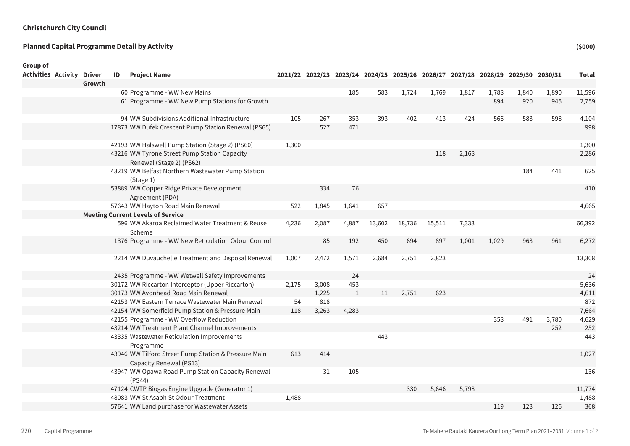| Group of                   |        |    |                                                                                 |       |       |              |        |                                                                                 |        |       |       |       |       |              |
|----------------------------|--------|----|---------------------------------------------------------------------------------|-------|-------|--------------|--------|---------------------------------------------------------------------------------|--------|-------|-------|-------|-------|--------------|
| Activities Activity Driver |        | ID | <b>Project Name</b>                                                             |       |       |              |        | 2021/22 2022/23 2023/24 2024/25 2025/26 2026/27 2027/28 2028/29 2029/30 2030/31 |        |       |       |       |       | <b>Total</b> |
|                            | Growth |    |                                                                                 |       |       |              |        |                                                                                 |        |       |       |       |       |              |
|                            |        |    | 60 Programme - WW New Mains                                                     |       |       | 185          | 583    | 1,724                                                                           | 1,769  | 1,817 | 1,788 | 1,840 | 1,890 | 11,596       |
|                            |        |    | 61 Programme - WW New Pump Stations for Growth                                  |       |       |              |        |                                                                                 |        |       | 894   | 920   | 945   | 2,759        |
|                            |        |    | 94 WW Subdivisions Additional Infrastructure                                    | 105   | 267   | 353          | 393    | 402                                                                             | 413    | 424   | 566   | 583   | 598   | 4,104        |
|                            |        |    | 17873 WW Dufek Crescent Pump Station Renewal (PS65)                             |       | 527   | 471          |        |                                                                                 |        |       |       |       |       | 998          |
|                            |        |    | 42193 WW Halswell Pump Station (Stage 2) (PS60)                                 | 1,300 |       |              |        |                                                                                 |        |       |       |       |       | 1,300        |
|                            |        |    | 43216 WW Tyrone Street Pump Station Capacity<br>Renewal (Stage 2) (PS62)        |       |       |              |        |                                                                                 | 118    | 2,168 |       |       |       | 2,286        |
|                            |        |    | 43219 WW Belfast Northern Wastewater Pump Station<br>(Stage 1)                  |       |       |              |        |                                                                                 |        |       |       | 184   | 441   | 625          |
|                            |        |    | 53889 WW Copper Ridge Private Development<br>Agreement (PDA)                    |       | 334   | 76           |        |                                                                                 |        |       |       |       |       | 410          |
|                            |        |    | 57643 WW Hayton Road Main Renewal                                               | 522   | 1,845 | 1,641        | 657    |                                                                                 |        |       |       |       |       | 4,665        |
|                            |        |    | <b>Meeting Current Levels of Service</b>                                        |       |       |              |        |                                                                                 |        |       |       |       |       |              |
|                            |        |    | 596 WW Akaroa Reclaimed Water Treatment & Reuse<br>Scheme                       | 4,236 | 2,087 | 4,887        | 13,602 | 18,736                                                                          | 15,511 | 7,333 |       |       |       | 66,392       |
|                            |        |    | 1376 Programme - WW New Reticulation Odour Control                              |       | 85    | 192          | 450    | 694                                                                             | 897    | 1,001 | 1,029 | 963   | 961   | 6,272        |
|                            |        |    | 2214 WW Duvauchelle Treatment and Disposal Renewal                              | 1,007 | 2,472 | 1,571        | 2,684  | 2,751                                                                           | 2,823  |       |       |       |       | 13,308       |
|                            |        |    | 2435 Programme - WW Wetwell Safety Improvements                                 |       |       | 24           |        |                                                                                 |        |       |       |       |       | 24           |
|                            |        |    | 30172 WW Riccarton Interceptor (Upper Riccarton)                                | 2,175 | 3,008 | 453          |        |                                                                                 |        |       |       |       |       | 5,636        |
|                            |        |    | 30173 WW Avonhead Road Main Renewal                                             |       | 1,225 | $\mathbf{1}$ | 11     | 2,751                                                                           | 623    |       |       |       |       | 4,611        |
|                            |        |    | 42153 WW Eastern Terrace Wastewater Main Renewal                                | 54    | 818   |              |        |                                                                                 |        |       |       |       |       | 872          |
|                            |        |    | 42154 WW Somerfield Pump Station & Pressure Main                                | 118   | 3,263 | 4,283        |        |                                                                                 |        |       |       |       |       | 7,664        |
|                            |        |    | 42155 Programme - WW Overflow Reduction                                         |       |       |              |        |                                                                                 |        |       | 358   | 491   | 3,780 | 4,629        |
|                            |        |    | 43214 WW Treatment Plant Channel Improvements                                   |       |       |              |        |                                                                                 |        |       |       |       | 252   | 252          |
|                            |        |    | 43335 Wastewater Reticulation Improvements<br>Programme                         |       |       |              | 443    |                                                                                 |        |       |       |       |       | 443          |
|                            |        |    | 43946 WW Tilford Street Pump Station & Pressure Main<br>Capacity Renewal (PS13) | 613   | 414   |              |        |                                                                                 |        |       |       |       |       | 1,027        |
|                            |        |    | 43947 WW Opawa Road Pump Station Capacity Renewal<br>(PS44)                     |       | 31    | 105          |        |                                                                                 |        |       |       |       |       | 136          |
|                            |        |    | 47124 CWTP Biogas Engine Upgrade (Generator 1)                                  |       |       |              |        | 330                                                                             | 5,646  | 5,798 |       |       |       | 11,774       |
|                            |        |    | 48083 WW St Asaph St Odour Treatment                                            | 1,488 |       |              |        |                                                                                 |        |       |       |       |       | 1,488        |
|                            |        |    | 57641 WW Land purchase for Wastewater Assets                                    |       |       |              |        |                                                                                 |        |       | 119   | 123   | 126   | 368          |
|                            |        |    |                                                                                 |       |       |              |        |                                                                                 |        |       |       |       |       |              |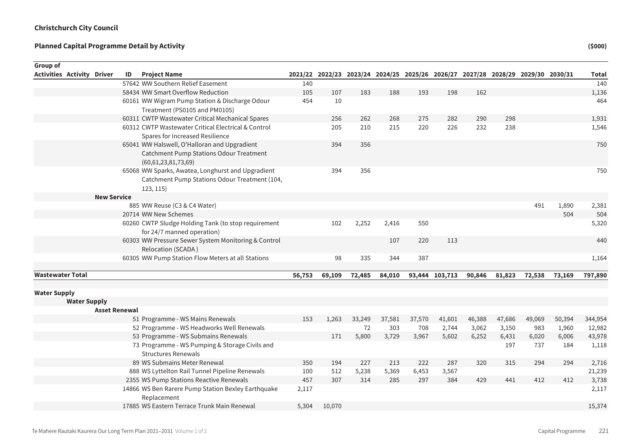| Group of                   |                    |                      |                                                     |        |        |        |        |        |                |        |                                                                                 |        |        |         |
|----------------------------|--------------------|----------------------|-----------------------------------------------------|--------|--------|--------|--------|--------|----------------|--------|---------------------------------------------------------------------------------|--------|--------|---------|
| Activities Activity Driver |                    | ID                   | <b>Project Name</b>                                 |        |        |        |        |        |                |        | 2021/22 2022/23 2023/24 2024/25 2025/26 2026/27 2027/28 2028/29 2029/30 2030/31 |        |        | Total   |
|                            |                    |                      | 57642 WW Southern Relief Easement                   | 140    |        |        |        |        |                |        |                                                                                 |        |        | 140     |
|                            |                    |                      | 58434 WW Smart Overflow Reduction                   | 105    | 107    | 183    | 188    | 193    | 198            | 162    |                                                                                 |        |        | 1,136   |
|                            |                    |                      | 60161 WW Wigram Pump Station & Discharge Odour      | 454    | 10     |        |        |        |                |        |                                                                                 |        |        | 464     |
|                            |                    |                      | Treatment (PS0105 and PM0105)                       |        |        |        |        |        |                |        |                                                                                 |        |        |         |
|                            |                    |                      | 60311 CWTP Wastewater Critical Mechanical Spares    |        | 256    | 262    | 268    | 275    | 282            | 290    | 298                                                                             |        |        | 1,931   |
|                            |                    |                      | 60312 CWTP Wastewater Critical Electrical & Control |        | 205    | 210    | 215    | 220    | 226            | 232    | 238                                                                             |        |        | 1,546   |
|                            |                    |                      | Spares for Increased Resilience                     |        |        |        |        |        |                |        |                                                                                 |        |        |         |
|                            |                    |                      | 65041 WW Halswell, O'Halloran and Upgradient        |        | 394    | 356    |        |        |                |        |                                                                                 |        |        | 750     |
|                            |                    |                      | Catchment Pump Stations Odour Treatment             |        |        |        |        |        |                |        |                                                                                 |        |        |         |
|                            |                    |                      | (60,61,23,81,73,69)                                 |        |        |        |        |        |                |        |                                                                                 |        |        |         |
|                            |                    |                      | 65068 WW Sparks, Awatea, Longhurst and Upgradient   |        | 394    | 356    |        |        |                |        |                                                                                 |        |        | 750     |
|                            |                    |                      | Catchment Pump Stations Odour Treatment (104,       |        |        |        |        |        |                |        |                                                                                 |        |        |         |
|                            |                    |                      | 123, 115)                                           |        |        |        |        |        |                |        |                                                                                 |        |        |         |
|                            | <b>New Service</b> |                      |                                                     |        |        |        |        |        |                |        |                                                                                 |        |        |         |
|                            |                    |                      | 885 WW Reuse (C3 & C4 Water)                        |        |        |        |        |        |                |        |                                                                                 | 491    | 1,890  | 2,381   |
|                            |                    |                      | 20714 WW New Schemes                                |        |        |        |        |        |                |        |                                                                                 |        | 504    | 504     |
|                            |                    |                      | 60260 CWTP Sludge Holding Tank (to stop requirement |        | 102    | 2,252  | 2,416  | 550    |                |        |                                                                                 |        |        | 5,320   |
|                            |                    |                      | for 24/7 manned operation)                          |        |        |        |        |        |                |        |                                                                                 |        |        |         |
|                            |                    |                      | 60303 WW Pressure Sewer System Monitoring & Control |        |        |        | 107    | 220    | 113            |        |                                                                                 |        |        | 440     |
|                            |                    |                      | Relocation (SCADA)                                  |        |        |        |        |        |                |        |                                                                                 |        |        |         |
|                            |                    |                      | 60305 WW Pump Station Flow Meters at all Stations   |        | 98     | 335    | 344    | 387    |                |        |                                                                                 |        |        | 1,164   |
|                            |                    |                      |                                                     |        |        |        |        |        |                |        |                                                                                 |        |        |         |
| <b>Wastewater Total</b>    |                    |                      |                                                     | 56,753 | 69,109 | 72,485 | 84,010 |        | 93,444 103,713 | 90,846 | 81,823                                                                          | 72,538 | 73,169 | 797,890 |
| <b>Water Supply</b>        |                    |                      |                                                     |        |        |        |        |        |                |        |                                                                                 |        |        |         |
| <b>Water Supply</b>        |                    |                      |                                                     |        |        |        |        |        |                |        |                                                                                 |        |        |         |
|                            |                    | <b>Asset Renewal</b> |                                                     |        |        |        |        |        |                |        |                                                                                 |        |        |         |
|                            |                    |                      | 51 Programme - WS Mains Renewals                    | 153    | 1,263  | 33,249 | 37,581 | 37,570 | 41,601         | 46,388 | 47,686                                                                          | 49,069 | 50,394 | 344,954 |
|                            |                    |                      | 52 Programme - WS Headworks Well Renewals           |        |        | 72     | 303    | 708    | 2,744          | 3,062  | 3,150                                                                           | 983    | 1,960  | 12,982  |
|                            |                    |                      | 53 Programme - WS Submains Renewals                 |        | 171    | 5,800  | 3,729  | 3,967  | 5,602          | 6,252  | 6,431                                                                           | 6,020  | 6,006  | 43,978  |
|                            |                    |                      | 73 Programme - WS Pumping & Storage Civils and      |        |        |        |        |        |                |        | 197                                                                             | 737    | 184    | 1,118   |
|                            |                    |                      | <b>Structures Renewals</b>                          |        |        |        |        |        |                |        |                                                                                 |        |        |         |
|                            |                    |                      | 89 WS Submains Meter Renewal                        | 350    | 194    | 227    | 213    | 222    | 287            | 320    | 315                                                                             | 294    | 294    | 2,716   |
|                            |                    |                      | 888 WS Lyttelton Rail Tunnel Pipeline Renewals      | 100    | 512    | 5,238  | 5,369  | 6,453  | 3,567          |        |                                                                                 |        |        | 21,239  |
|                            |                    |                      | 2355 WS Pump Stations Reactive Renewals             | 457    | 307    | 314    | 285    | 297    | 384            | 429    | 441                                                                             | 412    | 412    | 3,738   |
|                            |                    |                      | 14866 WS Ben Rarere Pump Station Bexley Earthquake  | 2,117  |        |        |        |        |                |        |                                                                                 |        |        | 2,117   |
|                            |                    |                      | Replacement                                         |        |        |        |        |        |                |        |                                                                                 |        |        |         |
|                            |                    |                      | 17885 WS Eastern Terrace Trunk Main Renewal         | 5.304  | 10,070 |        |        |        |                |        |                                                                                 |        |        | 15,374  |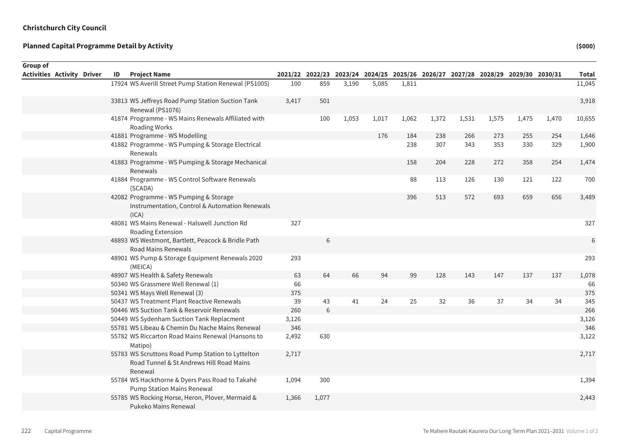| <b>Group of</b>            |    |                                                                                                          |       |       |       |                                                                                 |       |       |       |       |       |       |              |
|----------------------------|----|----------------------------------------------------------------------------------------------------------|-------|-------|-------|---------------------------------------------------------------------------------|-------|-------|-------|-------|-------|-------|--------------|
| Activities Activity Driver | ID | <b>Project Name</b>                                                                                      |       |       |       | 2021/22 2022/23 2023/24 2024/25 2025/26 2026/27 2027/28 2028/29 2029/30 2030/31 |       |       |       |       |       |       | <b>Total</b> |
|                            |    | 17924 WS Averill Street Pump Station Renewal (PS1005)                                                    | 100   | 859   | 3,190 | 5,085                                                                           | 1,811 |       |       |       |       |       | 11,045       |
|                            |    | 33813 WS Jeffreys Road Pump Station Suction Tank<br>Renewal (PS1076)                                     | 3,417 | 501   |       |                                                                                 |       |       |       |       |       |       | 3,918        |
|                            |    | 41874 Programme - WS Mains Renewals Affiliated with<br>Roading Works                                     |       | 100   | 1,053 | 1,017                                                                           | 1,062 | 1,372 | 1,531 | 1,575 | 1,475 | 1,470 | 10,655       |
|                            |    | 41881 Programme - WS Modelling                                                                           |       |       |       | 176                                                                             | 184   | 238   | 266   | 273   | 255   | 254   | 1,646        |
|                            |    | 41882 Programme - WS Pumping & Storage Electrical<br>Renewals                                            |       |       |       |                                                                                 | 238   | 307   | 343   | 353   | 330   | 329   | 1,900        |
|                            |    | 41883 Programme - WS Pumping & Storage Mechanical<br>Renewals                                            |       |       |       |                                                                                 | 158   | 204   | 228   | 272   | 358   | 254   | 1,474        |
|                            |    | 41884 Programme - WS Control Software Renewals<br>(SCADA)                                                |       |       |       |                                                                                 | 88    | 113   | 126   | 130   | 121   | 122   | 700          |
|                            |    | 42082 Programme - WS Pumping & Storage<br>Instrumentation, Control & Automation Renewals<br>(ICA)        |       |       |       |                                                                                 | 396   | 513   | 572   | 693   | 659   | 656   | 3,489        |
|                            |    | 48081 WS Mains Renewal - Halswell Junction Rd<br>Roading Extension                                       | 327   |       |       |                                                                                 |       |       |       |       |       |       | 327          |
|                            |    | 48893 WS Westmont, Bartlett, Peacock & Bridle Path<br>Road Mains Renewals                                |       | 6     |       |                                                                                 |       |       |       |       |       |       | 6            |
|                            |    | 48901 WS Pump & Storage Equipment Renewals 2020<br>(MEICA)                                               | 293   |       |       |                                                                                 |       |       |       |       |       |       | 293          |
|                            |    | 48907 WS Health & Safety Renewals                                                                        | 63    | 64    | 66    | 94                                                                              | 99    | 128   | 143   | 147   | 137   | 137   | 1,078        |
|                            |    | 50340 WS Grassmere Well Renewal (1)                                                                      | 66    |       |       |                                                                                 |       |       |       |       |       |       | 66           |
|                            |    | 50341 WS Mays Well Renewal (3)                                                                           | 375   |       |       |                                                                                 |       |       |       |       |       |       | 375          |
|                            |    | 50437 WS Treatment Plant Reactive Renewals                                                               | 39    | 43    | 41    | 24                                                                              | 25    | 32    | 36    | 37    | 34    | 34    | 345          |
|                            |    | 50446 WS Suction Tank & Reservoir Renewals                                                               | 260   | 6     |       |                                                                                 |       |       |       |       |       |       | 266          |
|                            |    | 50449 WS Sydenham Suction Tank Replacment                                                                | 3,126 |       |       |                                                                                 |       |       |       |       |       |       | 3,126        |
|                            |    | 55781 WS Libeau & Chemin Du Nache Mains Renewal                                                          | 346   |       |       |                                                                                 |       |       |       |       |       |       | 346          |
|                            |    | 55782 WS Riccarton Road Mains Renewal (Hansons to<br>Matipo)                                             | 2,492 | 630   |       |                                                                                 |       |       |       |       |       |       | 3,122        |
|                            |    | 55783 WS Scruttons Road Pump Station to Lyttelton<br>Road Tunnel & St Andrews Hill Road Mains<br>Renewal | 2,717 |       |       |                                                                                 |       |       |       |       |       |       | 2,717        |
|                            |    | 55784 WS Hackthorne & Dyers Pass Road to Takahē<br><b>Pump Station Mains Renewal</b>                     | 1,094 | 300   |       |                                                                                 |       |       |       |       |       |       | 1,394        |
|                            |    | 55785 WS Rocking Horse, Heron, Plover, Mermaid &<br>Pukeko Mains Renewal                                 | 1,366 | 1,077 |       |                                                                                 |       |       |       |       |       |       | 2,443        |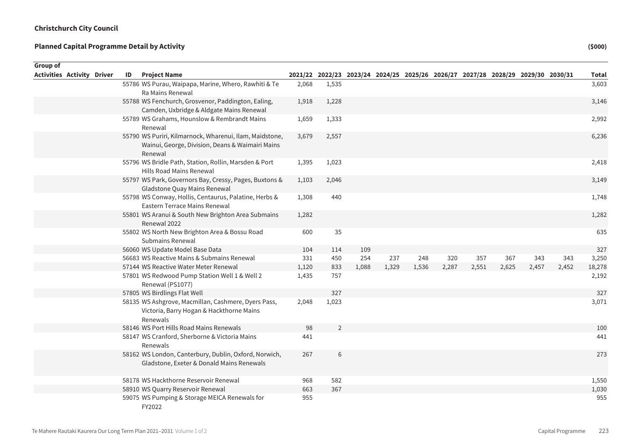| Group of                          |    |                                                                                                                        |       |                |       |       |                                                                                 |       |       |       |       |       |              |
|-----------------------------------|----|------------------------------------------------------------------------------------------------------------------------|-------|----------------|-------|-------|---------------------------------------------------------------------------------|-------|-------|-------|-------|-------|--------------|
| <b>Activities Activity Driver</b> | ID | <b>Project Name</b>                                                                                                    |       |                |       |       | 2021/22 2022/23 2023/24 2024/25 2025/26 2026/27 2027/28 2028/29 2029/30 2030/31 |       |       |       |       |       | <b>Total</b> |
|                                   |    | 55786 WS Purau, Waipapa, Marine, Whero, Rawhiti & Te                                                                   | 2,068 | 1,535          |       |       |                                                                                 |       |       |       |       |       | 3,603        |
|                                   |    | Ra Mains Renewal                                                                                                       |       |                |       |       |                                                                                 |       |       |       |       |       |              |
|                                   |    | 55788 WS Fenchurch, Grosvenor, Paddington, Ealing,<br>Camden, Uxbridge & Aldgate Mains Renewal                         | 1,918 | 1,228          |       |       |                                                                                 |       |       |       |       |       | 3,146        |
|                                   |    | 55789 WS Grahams, Hounslow & Rembrandt Mains<br>Renewal                                                                | 1,659 | 1,333          |       |       |                                                                                 |       |       |       |       |       | 2,992        |
|                                   |    | 55790 WS Puriri, Kilmarnock, Wharenui, Ilam, Maidstone,<br>Wainui, George, Division, Deans & Waimairi Mains<br>Renewal | 3,679 | 2,557          |       |       |                                                                                 |       |       |       |       |       | 6,236        |
|                                   |    | 55796 WS Bridle Path, Station, Rollin, Marsden & Port<br>Hills Road Mains Renewal                                      | 1,395 | 1,023          |       |       |                                                                                 |       |       |       |       |       | 2,418        |
|                                   |    | 55797 WS Park, Governors Bay, Cressy, Pages, Buxtons &<br>Gladstone Quay Mains Renewal                                 | 1,103 | 2,046          |       |       |                                                                                 |       |       |       |       |       | 3,149        |
|                                   |    | 55798 WS Conway, Hollis, Centaurus, Palatine, Herbs &<br>Eastern Terrace Mains Renewal                                 | 1,308 | 440            |       |       |                                                                                 |       |       |       |       |       | 1,748        |
|                                   |    | 55801 WS Aranui & South New Brighton Area Submains<br>Renewal 2022                                                     | 1,282 |                |       |       |                                                                                 |       |       |       |       |       | 1,282        |
|                                   |    | 55802 WS North New Brighton Area & Bossu Road<br><b>Submains Renewal</b>                                               | 600   | 35             |       |       |                                                                                 |       |       |       |       |       | 635          |
|                                   |    | 56060 WS Update Model Base Data                                                                                        | 104   | 114            | 109   |       |                                                                                 |       |       |       |       |       | 327          |
|                                   |    | 56683 WS Reactive Mains & Submains Renewal                                                                             | 331   | 450            | 254   | 237   | 248                                                                             | 320   | 357   | 367   | 343   | 343   | 3,250        |
|                                   |    | 57144 WS Reactive Water Meter Renewal                                                                                  | 1,120 | 833            | 1,088 | 1,329 | 1,536                                                                           | 2,287 | 2,551 | 2,625 | 2,457 | 2,452 | 18,278       |
|                                   |    | 57801 WS Redwood Pump Station Well 1 & Well 2<br>Renewal (PS1077)                                                      | 1,435 | 757            |       |       |                                                                                 |       |       |       |       |       | 2,192        |
|                                   |    | 57805 WS Birdlings Flat Well                                                                                           |       | 327            |       |       |                                                                                 |       |       |       |       |       | 327          |
|                                   |    | 58135 WS Ashgrove, Macmillan, Cashmere, Dyers Pass,<br>Victoria, Barry Hogan & Hackthorne Mains<br>Renewals            | 2,048 | 1,023          |       |       |                                                                                 |       |       |       |       |       | 3,071        |
|                                   |    | 58146 WS Port Hills Road Mains Renewals                                                                                | 98    | $\overline{2}$ |       |       |                                                                                 |       |       |       |       |       | 100          |
|                                   |    | 58147 WS Cranford, Sherborne & Victoria Mains<br>Renewals                                                              | 441   |                |       |       |                                                                                 |       |       |       |       |       | 441          |
|                                   |    | 58162 WS London, Canterbury, Dublin, Oxford, Norwich,<br>Gladstone, Exeter & Donald Mains Renewals                     | 267   | 6              |       |       |                                                                                 |       |       |       |       |       | 273          |
|                                   |    | 58178 WS Hackthorne Reservoir Renewal                                                                                  | 968   | 582            |       |       |                                                                                 |       |       |       |       |       | 1,550        |
|                                   |    | 58910 WS Quarry Reservoir Renewal                                                                                      | 663   | 367            |       |       |                                                                                 |       |       |       |       |       | 1,030        |
|                                   |    | 59075 WS Pumping & Storage MEICA Renewals for<br>FY2022                                                                | 955   |                |       |       |                                                                                 |       |       |       |       |       | 955          |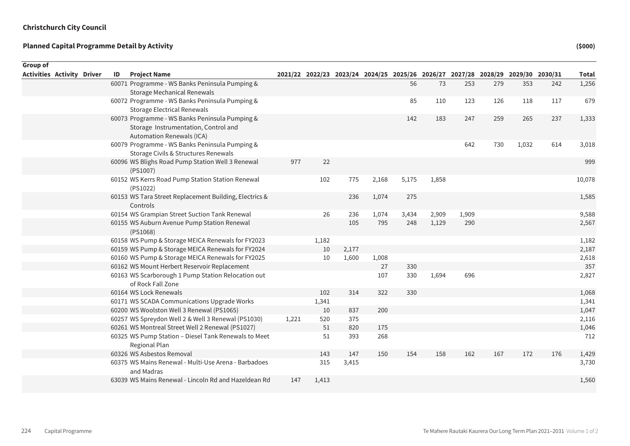| Group of                          |  |    |                                                                                                                            |       |       |       |                                                                                 |       |       |       |     |       |     |              |
|-----------------------------------|--|----|----------------------------------------------------------------------------------------------------------------------------|-------|-------|-------|---------------------------------------------------------------------------------|-------|-------|-------|-----|-------|-----|--------------|
| <b>Activities Activity Driver</b> |  | ID | <b>Project Name</b>                                                                                                        |       |       |       | 2021/22 2022/23 2023/24 2024/25 2025/26 2026/27 2027/28 2028/29 2029/30 2030/31 |       |       |       |     |       |     | <b>Total</b> |
|                                   |  |    | 60071 Programme - WS Banks Peninsula Pumping &<br><b>Storage Mechanical Renewals</b>                                       |       |       |       |                                                                                 | 56    | 73    | 253   | 279 | 353   | 242 | 1,256        |
|                                   |  |    | 60072 Programme - WS Banks Peninsula Pumping &<br><b>Storage Electrical Renewals</b>                                       |       |       |       |                                                                                 | 85    | 110   | 123   | 126 | 118   | 117 | 679          |
|                                   |  |    | 60073 Programme - WS Banks Peninsula Pumping &<br>Storage Instrumentation, Control and<br><b>Automation Renewals (ICA)</b> |       |       |       |                                                                                 | 142   | 183   | 247   | 259 | 265   | 237 | 1,333        |
|                                   |  |    | 60079 Programme - WS Banks Peninsula Pumping &<br>Storage Civils & Structures Renewals                                     |       |       |       |                                                                                 |       |       | 642   | 730 | 1,032 | 614 | 3,018        |
|                                   |  |    | 60096 WS Blighs Road Pump Station Well 3 Renewal<br>(PS1007)                                                               | 977   | 22    |       |                                                                                 |       |       |       |     |       |     | 999          |
|                                   |  |    | 60152 WS Kerrs Road Pump Station Station Renewal<br>(PS1022)                                                               |       | 102   | 775   | 2,168                                                                           | 5,175 | 1,858 |       |     |       |     | 10,078       |
|                                   |  |    | 60153 WS Tara Street Replacement Building, Electrics &<br>Controls                                                         |       |       | 236   | 1,074                                                                           | 275   |       |       |     |       |     | 1,585        |
|                                   |  |    | 60154 WS Grampian Street Suction Tank Renewal                                                                              |       | 26    | 236   | 1,074                                                                           | 3,434 | 2,909 | 1,909 |     |       |     | 9,588        |
|                                   |  |    | 60155 WS Auburn Avenue Pump Station Renewal<br>(PS1068)                                                                    |       |       | 105   | 795                                                                             | 248   | 1,129 | 290   |     |       |     | 2,567        |
|                                   |  |    | 60158 WS Pump & Storage MEICA Renewals for FY2023                                                                          |       | 1,182 |       |                                                                                 |       |       |       |     |       |     | 1,182        |
|                                   |  |    | 60159 WS Pump & Storage MEICA Renewals for FY2024                                                                          |       | 10    | 2,177 |                                                                                 |       |       |       |     |       |     | 2,187        |
|                                   |  |    | 60160 WS Pump & Storage MEICA Renewals for FY2025                                                                          |       | 10    | 1,600 | 1,008                                                                           |       |       |       |     |       |     | 2,618        |
|                                   |  |    | 60162 WS Mount Herbert Reservoir Replacement                                                                               |       |       |       | 27                                                                              | 330   |       |       |     |       |     | 357          |
|                                   |  |    | 60163 WS Scarborough 1 Pump Station Relocation out<br>of Rock Fall Zone                                                    |       |       |       | 107                                                                             | 330   | 1,694 | 696   |     |       |     | 2,827        |
|                                   |  |    | 60164 WS Lock Renewals                                                                                                     |       | 102   | 314   | 322                                                                             | 330   |       |       |     |       |     | 1,068        |
|                                   |  |    | 60171 WS SCADA Communications Upgrade Works                                                                                |       | 1,341 |       |                                                                                 |       |       |       |     |       |     | 1,341        |
|                                   |  |    | 60200 WS Woolston Well 3 Renewal (PS1065)                                                                                  |       | 10    | 837   | 200                                                                             |       |       |       |     |       |     | 1,047        |
|                                   |  |    | 60257 WS Spreydon Well 2 & Well 3 Renewal (PS1030)                                                                         | 1,221 | 520   | 375   |                                                                                 |       |       |       |     |       |     | 2,116        |
|                                   |  |    | 60261 WS Montreal Street Well 2 Renewal (PS1027)                                                                           |       | 51    | 820   | 175                                                                             |       |       |       |     |       |     | 1,046        |
|                                   |  |    | 60325 WS Pump Station - Diesel Tank Renewals to Meet<br>Regional Plan                                                      |       | 51    | 393   | 268                                                                             |       |       |       |     |       |     | 712          |
|                                   |  |    | 60326 WS Asbestos Removal                                                                                                  |       | 143   | 147   | 150                                                                             | 154   | 158   | 162   | 167 | 172   | 176 | 1,429        |
|                                   |  |    | 60375 WS Mains Renewal - Multi-Use Arena - Barbadoes<br>and Madras                                                         |       | 315   | 3,415 |                                                                                 |       |       |       |     |       |     | 3,730        |
|                                   |  |    | 63039 WS Mains Renewal - Lincoln Rd and Hazeldean Rd                                                                       | 147   | 1,413 |       |                                                                                 |       |       |       |     |       |     | 1,560        |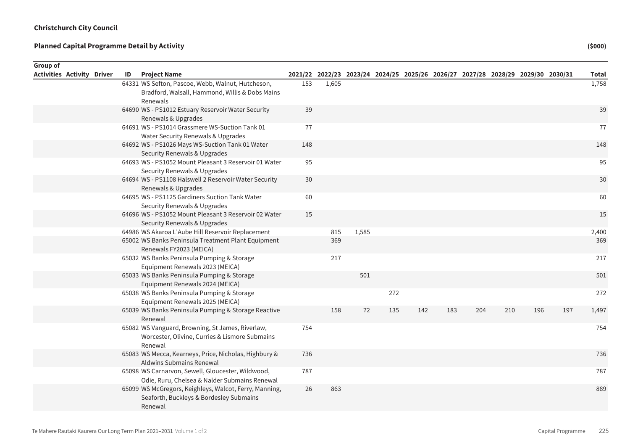| Group of                          |    |                                                                                                    |     |       |       |                                                                                 |     |     |     |     |     |     |              |
|-----------------------------------|----|----------------------------------------------------------------------------------------------------|-----|-------|-------|---------------------------------------------------------------------------------|-----|-----|-----|-----|-----|-----|--------------|
| <b>Activities Activity Driver</b> | ID | <b>Project Name</b>                                                                                |     |       |       | 2021/22 2022/23 2023/24 2024/25 2025/26 2026/27 2027/28 2028/29 2029/30 2030/31 |     |     |     |     |     |     | <b>Total</b> |
|                                   |    | 64331 WS Sefton, Pascoe, Webb, Walnut, Hutcheson,                                                  | 153 | 1,605 |       |                                                                                 |     |     |     |     |     |     | 1,758        |
|                                   |    | Bradford, Walsall, Hammond, Willis & Dobs Mains                                                    |     |       |       |                                                                                 |     |     |     |     |     |     |              |
|                                   |    | Renewals                                                                                           |     |       |       |                                                                                 |     |     |     |     |     |     |              |
|                                   |    | 64690 WS - PS1012 Estuary Reservoir Water Security                                                 | 39  |       |       |                                                                                 |     |     |     |     |     |     | 39           |
|                                   |    | Renewals & Upgrades                                                                                |     |       |       |                                                                                 |     |     |     |     |     |     |              |
|                                   |    | 64691 WS - PS1014 Grassmere WS-Suction Tank 01                                                     | 77  |       |       |                                                                                 |     |     |     |     |     |     | 77           |
|                                   |    | Water Security Renewals & Upgrades                                                                 |     |       |       |                                                                                 |     |     |     |     |     |     |              |
|                                   |    | 64692 WS - PS1026 Mays WS-Suction Tank 01 Water                                                    | 148 |       |       |                                                                                 |     |     |     |     |     |     | 148          |
|                                   |    | Security Renewals & Upgrades                                                                       |     |       |       |                                                                                 |     |     |     |     |     |     |              |
|                                   |    | 64693 WS - PS1052 Mount Pleasant 3 Reservoir 01 Water<br>Security Renewals & Upgrades              | 95  |       |       |                                                                                 |     |     |     |     |     |     | 95           |
|                                   |    | 64694 WS - PS1108 Halswell 2 Reservoir Water Security                                              | 30  |       |       |                                                                                 |     |     |     |     |     |     | 30           |
|                                   |    | Renewals & Upgrades                                                                                |     |       |       |                                                                                 |     |     |     |     |     |     |              |
|                                   |    | 64695 WS - PS1125 Gardiners Suction Tank Water                                                     | 60  |       |       |                                                                                 |     |     |     |     |     |     | 60           |
|                                   |    | Security Renewals & Upgrades                                                                       |     |       |       |                                                                                 |     |     |     |     |     |     |              |
|                                   |    | 64696 WS - PS1052 Mount Pleasant 3 Reservoir 02 Water                                              | 15  |       |       |                                                                                 |     |     |     |     |     |     | 15           |
|                                   |    | Security Renewals & Upgrades                                                                       |     |       |       |                                                                                 |     |     |     |     |     |     |              |
|                                   |    | 64986 WS Akaroa L'Aube Hill Reservoir Replacement                                                  |     | 815   | 1,585 |                                                                                 |     |     |     |     |     |     | 2,400        |
|                                   |    | 65002 WS Banks Peninsula Treatment Plant Equipment                                                 |     | 369   |       |                                                                                 |     |     |     |     |     |     | 369          |
|                                   |    | Renewals FY2023 (MEICA)                                                                            |     |       |       |                                                                                 |     |     |     |     |     |     |              |
|                                   |    | 65032 WS Banks Peninsula Pumping & Storage                                                         |     | 217   |       |                                                                                 |     |     |     |     |     |     | 217          |
|                                   |    | Equipment Renewals 2023 (MEICA)                                                                    |     |       |       |                                                                                 |     |     |     |     |     |     |              |
|                                   |    | 65033 WS Banks Peninsula Pumping & Storage                                                         |     |       | 501   |                                                                                 |     |     |     |     |     |     | 501          |
|                                   |    | Equipment Renewals 2024 (MEICA)                                                                    |     |       |       |                                                                                 |     |     |     |     |     |     |              |
|                                   |    | 65038 WS Banks Peninsula Pumping & Storage                                                         |     |       |       | 272                                                                             |     |     |     |     |     |     | 272          |
|                                   |    | Equipment Renewals 2025 (MEICA)                                                                    |     |       |       |                                                                                 |     |     |     |     |     |     |              |
|                                   |    | 65039 WS Banks Peninsula Pumping & Storage Reactive                                                |     | 158   | 72    | 135                                                                             | 142 | 183 | 204 | 210 | 196 | 197 | 1,497        |
|                                   |    | Renewal                                                                                            |     |       |       |                                                                                 |     |     |     |     |     |     |              |
|                                   |    | 65082 WS Vanguard, Browning, St James, Riverlaw,                                                   | 754 |       |       |                                                                                 |     |     |     |     |     |     | 754          |
|                                   |    | Worcester, Olivine, Curries & Lismore Submains                                                     |     |       |       |                                                                                 |     |     |     |     |     |     |              |
|                                   |    | Renewal                                                                                            |     |       |       |                                                                                 |     |     |     |     |     |     |              |
|                                   |    | 65083 WS Mecca, Kearneys, Price, Nicholas, Highbury &                                              | 736 |       |       |                                                                                 |     |     |     |     |     |     | 736          |
|                                   |    | Aldwins Submains Renewal                                                                           | 787 |       |       |                                                                                 |     |     |     |     |     |     | 787          |
|                                   |    | 65098 WS Carnarvon, Sewell, Gloucester, Wildwood,<br>Odie, Ruru, Chelsea & Nalder Submains Renewal |     |       |       |                                                                                 |     |     |     |     |     |     |              |
|                                   |    | 65099 WS McGregors, Keighleys, Walcot, Ferry, Manning,                                             | 26  | 863   |       |                                                                                 |     |     |     |     |     |     | 889          |
|                                   |    | Seaforth, Buckleys & Bordesley Submains                                                            |     |       |       |                                                                                 |     |     |     |     |     |     |              |
|                                   |    | Renewal                                                                                            |     |       |       |                                                                                 |     |     |     |     |     |     |              |
|                                   |    |                                                                                                    |     |       |       |                                                                                 |     |     |     |     |     |     |              |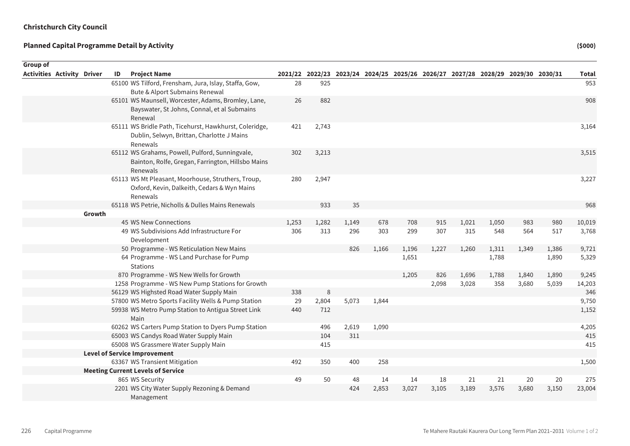| Group of                          |        |    |                                                            |           |              |       |                                                                                 |       |       |       |       |       |       |                |
|-----------------------------------|--------|----|------------------------------------------------------------|-----------|--------------|-------|---------------------------------------------------------------------------------|-------|-------|-------|-------|-------|-------|----------------|
| <b>Activities Activity Driver</b> |        | ID | <b>Project Name</b>                                        |           |              |       | 2021/22 2022/23 2023/24 2024/25 2025/26 2026/27 2027/28 2028/29 2029/30 2030/31 |       |       |       |       |       |       | <b>Total</b>   |
|                                   |        |    | 65100 WS Tilford, Frensham, Jura, Islay, Staffa, Gow,      | 28        | 925          |       |                                                                                 |       |       |       |       |       |       | 953            |
|                                   |        |    | Bute & Alport Submains Renewal                             |           |              |       |                                                                                 |       |       |       |       |       |       |                |
|                                   |        |    | 65101 WS Maunsell, Worcester, Adams, Bromley, Lane,        | 26        | 882          |       |                                                                                 |       |       |       |       |       |       | 908            |
|                                   |        |    | Bayswater, St Johns, Connal, et al Submains                |           |              |       |                                                                                 |       |       |       |       |       |       |                |
|                                   |        |    | Renewal                                                    |           |              |       |                                                                                 |       |       |       |       |       |       |                |
|                                   |        |    | 65111 WS Bridle Path, Ticehurst, Hawkhurst, Coleridge,     | 421       | 2,743        |       |                                                                                 |       |       |       |       |       |       | 3,164          |
|                                   |        |    | Dublin, Selwyn, Brittan, Charlotte J Mains                 |           |              |       |                                                                                 |       |       |       |       |       |       |                |
|                                   |        |    | Renewals                                                   |           |              |       |                                                                                 |       |       |       |       |       |       |                |
|                                   |        |    | 65112 WS Grahams, Powell, Pulford, Sunningvale,            | 302       | 3,213        |       |                                                                                 |       |       |       |       |       |       | 3,515          |
|                                   |        |    | Bainton, Rolfe, Gregan, Farrington, Hillsbo Mains          |           |              |       |                                                                                 |       |       |       |       |       |       |                |
|                                   |        |    | Renewals                                                   |           |              |       |                                                                                 |       |       |       |       |       |       |                |
|                                   |        |    | 65113 WS Mt Pleasant, Moorhouse, Struthers, Troup,         | 280       | 2,947        |       |                                                                                 |       |       |       |       |       |       | 3,227          |
|                                   |        |    | Oxford, Kevin, Dalkeith, Cedars & Wyn Mains                |           |              |       |                                                                                 |       |       |       |       |       |       |                |
|                                   |        |    | Renewals                                                   |           |              |       |                                                                                 |       |       |       |       |       |       |                |
|                                   |        |    | 65118 WS Petrie, Nicholls & Dulles Mains Renewals          |           | 933          | 35    |                                                                                 |       |       |       |       |       |       | 968            |
|                                   | Growth |    |                                                            |           |              |       |                                                                                 |       |       |       |       |       |       |                |
|                                   |        |    | 45 WS New Connections                                      | 1,253     | 1,282        | 1,149 | 678                                                                             | 708   | 915   | 1,021 | 1,050 | 983   | 980   | 10,019         |
|                                   |        |    | 49 WS Subdivisions Add Infrastructure For                  | 306       | 313          | 296   | 303                                                                             | 299   | 307   | 315   | 548   | 564   | 517   | 3,768          |
|                                   |        |    | Development                                                |           |              |       |                                                                                 |       |       |       |       |       |       |                |
|                                   |        |    | 50 Programme - WS Reticulation New Mains                   |           |              | 826   | 1,166                                                                           | 1,196 | 1,227 | 1,260 | 1,311 | 1,349 | 1,386 | 9,721          |
|                                   |        |    | 64 Programme - WS Land Purchase for Pump                   |           |              |       |                                                                                 | 1,651 |       |       | 1,788 |       | 1,890 | 5,329          |
|                                   |        |    | <b>Stations</b>                                            |           |              |       |                                                                                 |       |       |       |       |       |       |                |
|                                   |        |    | 870 Programme - WS New Wells for Growth                    |           |              |       |                                                                                 | 1,205 | 826   | 1,696 | 1,788 | 1,840 | 1,890 | 9,245          |
|                                   |        |    | 1258 Programme - WS New Pump Stations for Growth           |           |              |       |                                                                                 |       | 2,098 | 3,028 | 358   | 3,680 | 5,039 | 14,203         |
|                                   |        |    | 56129 WS Highsted Road Water Supply Main                   | 338       | 8            |       |                                                                                 |       |       |       |       |       |       | 346            |
|                                   |        |    | 57800 WS Metro Sports Facility Wells & Pump Station        | 29<br>440 | 2,804<br>712 | 5,073 | 1,844                                                                           |       |       |       |       |       |       | 9,750<br>1,152 |
|                                   |        |    | 59938 WS Metro Pump Station to Antigua Street Link<br>Main |           |              |       |                                                                                 |       |       |       |       |       |       |                |
|                                   |        |    | 60262 WS Carters Pump Station to Dyers Pump Station        |           | 496          | 2,619 | 1,090                                                                           |       |       |       |       |       |       | 4,205          |
|                                   |        |    | 65003 WS Candys Road Water Supply Main                     |           | 104          | 311   |                                                                                 |       |       |       |       |       |       | 415            |
|                                   |        |    | 65008 WS Grassmere Water Supply Main                       |           | 415          |       |                                                                                 |       |       |       |       |       |       | 415            |
|                                   |        |    | <b>Level of Service Improvement</b>                        |           |              |       |                                                                                 |       |       |       |       |       |       |                |
|                                   |        |    | 63367 WS Transient Mitigation                              | 492       | 350          | 400   | 258                                                                             |       |       |       |       |       |       | 1,500          |
|                                   |        |    | <b>Meeting Current Levels of Service</b>                   |           |              |       |                                                                                 |       |       |       |       |       |       |                |
|                                   |        |    | 865 WS Security                                            | 49        | 50           | 48    | 14                                                                              | 14    | 18    | 21    | 21    | 20    | 20    | 275            |
|                                   |        |    | 2201 WS City Water Supply Rezoning & Demand                |           |              | 424   | 2,853                                                                           | 3,027 | 3,105 | 3,189 | 3,576 | 3,680 | 3,150 | 23,004         |
|                                   |        |    | Management                                                 |           |              |       |                                                                                 |       |       |       |       |       |       |                |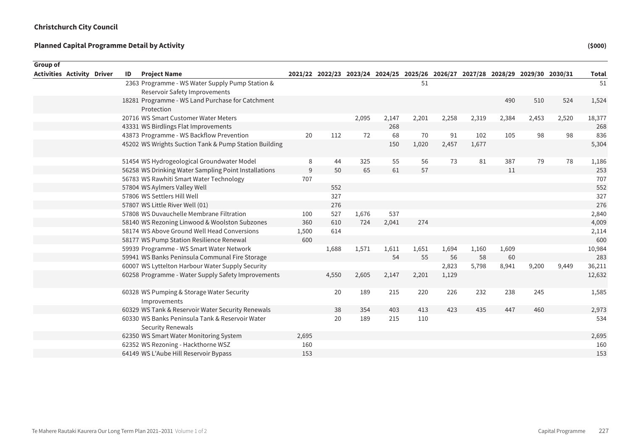| Group of |                                   |    |                                                                      |       |       |       |       |                                                                                 |       |       |       |       |       |              |
|----------|-----------------------------------|----|----------------------------------------------------------------------|-------|-------|-------|-------|---------------------------------------------------------------------------------|-------|-------|-------|-------|-------|--------------|
|          | <b>Activities Activity Driver</b> | ID | <b>Project Name</b>                                                  |       |       |       |       | 2021/22 2022/23 2023/24 2024/25 2025/26 2026/27 2027/28 2028/29 2029/30 2030/31 |       |       |       |       |       | <b>Total</b> |
|          |                                   |    | 2363 Programme - WS Water Supply Pump Station &                      |       |       |       |       | 51                                                                              |       |       |       |       |       | 51           |
|          |                                   |    | Reservoir Safety Improvements                                        |       |       |       |       |                                                                                 |       |       |       |       |       |              |
|          |                                   |    | 18281 Programme - WS Land Purchase for Catchment                     |       |       |       |       |                                                                                 |       |       | 490   | 510   | 524   | 1,524        |
|          |                                   |    | Protection                                                           |       |       |       |       |                                                                                 |       |       |       |       |       |              |
|          |                                   |    | 20716 WS Smart Customer Water Meters                                 |       |       | 2,095 | 2,147 | 2,201                                                                           | 2,258 | 2,319 | 2,384 | 2,453 | 2,520 | 18,377       |
|          |                                   |    | 43331 WS Birdlings Flat Improvements                                 |       |       |       | 268   |                                                                                 |       |       |       |       |       | 268          |
|          |                                   |    | 43873 Programme - WS Backflow Prevention                             | 20    | 112   | 72    | 68    | 70                                                                              | 91    | 102   | 105   | 98    | 98    | 836          |
|          |                                   |    | 45202 WS Wrights Suction Tank & Pump Station Building                |       |       |       | 150   | 1,020                                                                           | 2,457 | 1,677 |       |       |       | 5,304        |
|          |                                   |    | 51454 WS Hydrogeological Groundwater Model                           | 8     | 44    | 325   | 55    | 56                                                                              | 73    | 81    | 387   | 79    | 78    | 1,186        |
|          |                                   |    | 56258 WS Drinking Water Sampling Point Installations                 | 9     | 50    | 65    | 61    | 57                                                                              |       |       | 11    |       |       | 253          |
|          |                                   |    | 56783 WS Rawhiti Smart Water Technology                              | 707   |       |       |       |                                                                                 |       |       |       |       |       | 707          |
|          |                                   |    | 57804 WS Aylmers Valley Well                                         |       | 552   |       |       |                                                                                 |       |       |       |       |       | 552          |
|          |                                   |    | 57806 WS Settlers Hill Well                                          |       | 327   |       |       |                                                                                 |       |       |       |       |       | 327          |
|          |                                   |    | 57807 WS Little River Well (01)                                      |       | 276   |       |       |                                                                                 |       |       |       |       |       | 276          |
|          |                                   |    | 57808 WS Duvauchelle Membrane Filtration                             | 100   | 527   | 1,676 | 537   |                                                                                 |       |       |       |       |       | 2,840        |
|          |                                   |    | 58140 WS Rezoning Linwood & Woolston Subzones                        | 360   | 610   | 724   | 2,041 | 274                                                                             |       |       |       |       |       | 4,009        |
|          |                                   |    | 58174 WS Above Ground Well Head Conversions                          | 1,500 | 614   |       |       |                                                                                 |       |       |       |       |       | 2,114        |
|          |                                   |    | 58177 WS Pump Station Resilience Renewal                             | 600   |       |       |       |                                                                                 |       |       |       |       |       | 600          |
|          |                                   |    | 59939 Programme - WS Smart Water Network                             |       | 1,688 | 1,571 | 1,611 | 1,651                                                                           | 1,694 | 1,160 | 1,609 |       |       | 10,984       |
|          |                                   |    | 59941 WS Banks Peninsula Communal Fire Storage                       |       |       |       | 54    | 55                                                                              | 56    | 58    | 60    |       |       | 283          |
|          |                                   |    | 60007 WS Lyttelton Harbour Water Supply Security                     |       |       |       |       |                                                                                 | 2,823 | 5,798 | 8,941 | 9,200 | 9,449 | 36,211       |
|          |                                   |    | 60258 Programme - Water Supply Safety Improvements                   |       | 4,550 | 2,605 | 2,147 | 2,201                                                                           | 1,129 |       |       |       |       | 12,632       |
|          |                                   |    | 60328 WS Pumping & Storage Water Security<br>Improvements            |       | 20    | 189   | 215   | 220                                                                             | 226   | 232   | 238   | 245   |       | 1,585        |
|          |                                   |    | 60329 WS Tank & Reservoir Water Security Renewals                    |       | 38    | 354   | 403   | 413                                                                             | 423   | 435   | 447   | 460   |       | 2,973        |
|          |                                   |    | 60330 WS Banks Peninsula Tank & Reservoir Water<br>Security Renewals |       | 20    | 189   | 215   | 110                                                                             |       |       |       |       |       | 534          |
|          |                                   |    | 62350 WS Smart Water Monitoring System                               | 2,695 |       |       |       |                                                                                 |       |       |       |       |       | 2,695        |
|          |                                   |    | 62352 WS Rezoning - Hackthorne WSZ                                   | 160   |       |       |       |                                                                                 |       |       |       |       |       | 160          |
|          |                                   |    | 64149 WS L'Aube Hill Reservoir Bypass                                | 153   |       |       |       |                                                                                 |       |       |       |       |       | 153          |